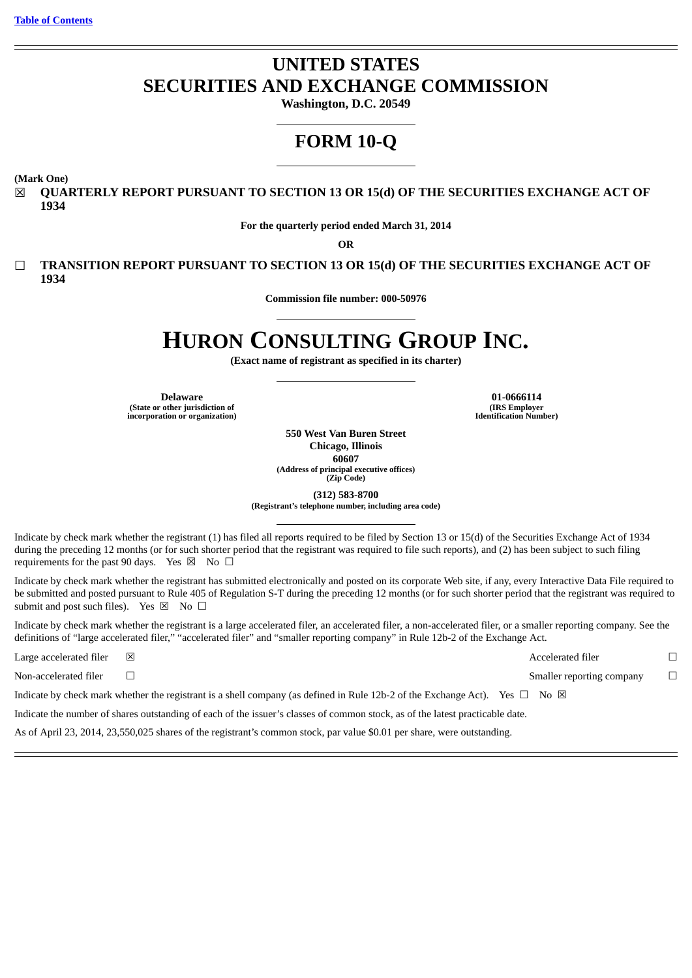# **UNITED STATES SECURITIES AND EXCHANGE COMMISSION**

**Washington, D.C. 20549**

## **FORM 10-Q**

**(Mark One)**

☒ **QUARTERLY REPORT PURSUANT TO SECTION 13 OR 15(d) OF THE SECURITIES EXCHANGE ACT OF 1934**

**For the quarterly period ended March 31, 2014**

**OR**

☐ **TRANSITION REPORT PURSUANT TO SECTION 13 OR 15(d) OF THE SECURITIES EXCHANGE ACT OF 1934**

**Commission file number: 000-50976**

# **HURON CONSULTING GROUP INC.**

**(Exact name of registrant as specified in its charter)**

**(State or other jurisdiction of incorporation or organization)**

**Delaware 01-0666114 (IRS Employer Identification Number)**

> **550 West Van Buren Street Chicago, Illinois 60607 (Address of principal executive offices) (Zip Code)**

> > **(312) 583-8700**

**(Registrant's telephone number, including area code)**

Indicate by check mark whether the registrant (1) has filed all reports required to be filed by Section 13 or 15(d) of the Securities Exchange Act of 1934 during the preceding 12 months (or for such shorter period that the registrant was required to file such reports), and (2) has been subject to such filing requirements for the past 90 days. Yes  $\boxtimes$  No  $\Box$ 

Indicate by check mark whether the registrant has submitted electronically and posted on its corporate Web site, if any, every Interactive Data File required to be submitted and posted pursuant to Rule 405 of Regulation S-T during the preceding 12 months (or for such shorter period that the registrant was required to submit and post such files). Yes  $\boxtimes$  No  $\Box$ 

Indicate by check mark whether the registrant is a large accelerated filer, an accelerated filer, a non-accelerated filer, or a smaller reporting company. See the definitions of "large accelerated filer," "accelerated filer" and "smaller reporting company" in Rule 12b-2 of the Exchange Act.

Large accelerated filer ☒ Accelerated filer ☐

Non-accelerated filer <del>□</del> □

Indicate by check mark whether the registrant is a shell company (as defined in Rule 12b-2 of the Exchange Act). Yes  $\Box$  No  $\boxtimes$ 

Indicate the number of shares outstanding of each of the issuer's classes of common stock, as of the latest practicable date.

As of April 23, 2014, 23,550,025 shares of the registrant's common stock, par value \$0.01 per share, were outstanding.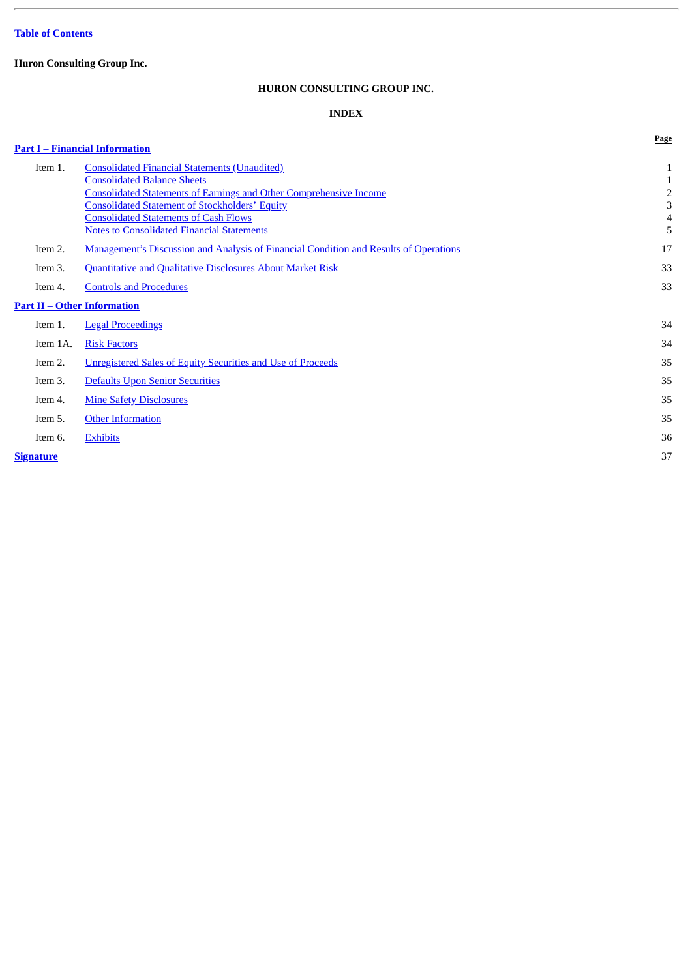## **Huron Consulting Group Inc.**

## **HURON CONSULTING GROUP INC.**

## **INDEX**

<span id="page-1-0"></span>

|           | <b>Part I – Financial Information</b>                                                                                                                                                                                                                                                                                                 | Page                  |
|-----------|---------------------------------------------------------------------------------------------------------------------------------------------------------------------------------------------------------------------------------------------------------------------------------------------------------------------------------------|-----------------------|
| Item 1.   | <b>Consolidated Financial Statements (Unaudited)</b><br><b>Consolidated Balance Sheets</b><br><b>Consolidated Statements of Earnings and Other Comprehensive Income</b><br><b>Consolidated Statement of Stockholders' Equity</b><br><b>Consolidated Statements of Cash Flows</b><br><b>Notes to Consolidated Financial Statements</b> | 1<br>2<br>3<br>4<br>5 |
| Item 2.   | <b>Management's Discussion and Analysis of Financial Condition and Results of Operations</b>                                                                                                                                                                                                                                          | 17                    |
| Item 3.   | <b>Quantitative and Qualitative Disclosures About Market Risk</b>                                                                                                                                                                                                                                                                     | 33                    |
| Item 4.   | <b>Controls and Procedures</b>                                                                                                                                                                                                                                                                                                        | 33                    |
|           | <b>Part II – Other Information</b>                                                                                                                                                                                                                                                                                                    |                       |
| Item 1.   | <b>Legal Proceedings</b>                                                                                                                                                                                                                                                                                                              | 34                    |
| Item 1A.  | <b>Risk Factors</b>                                                                                                                                                                                                                                                                                                                   | 34                    |
| Item 2.   | <b>Unregistered Sales of Equity Securities and Use of Proceeds</b>                                                                                                                                                                                                                                                                    | 35                    |
| Item 3.   | <b>Defaults Upon Senior Securities</b>                                                                                                                                                                                                                                                                                                | 35                    |
| Item 4.   | <b>Mine Safety Disclosures</b>                                                                                                                                                                                                                                                                                                        | 35                    |
| Item 5.   | <b>Other Information</b>                                                                                                                                                                                                                                                                                                              | 35                    |
| Item 6.   | <b>Exhibits</b>                                                                                                                                                                                                                                                                                                                       | 36                    |
| Signature |                                                                                                                                                                                                                                                                                                                                       | 37                    |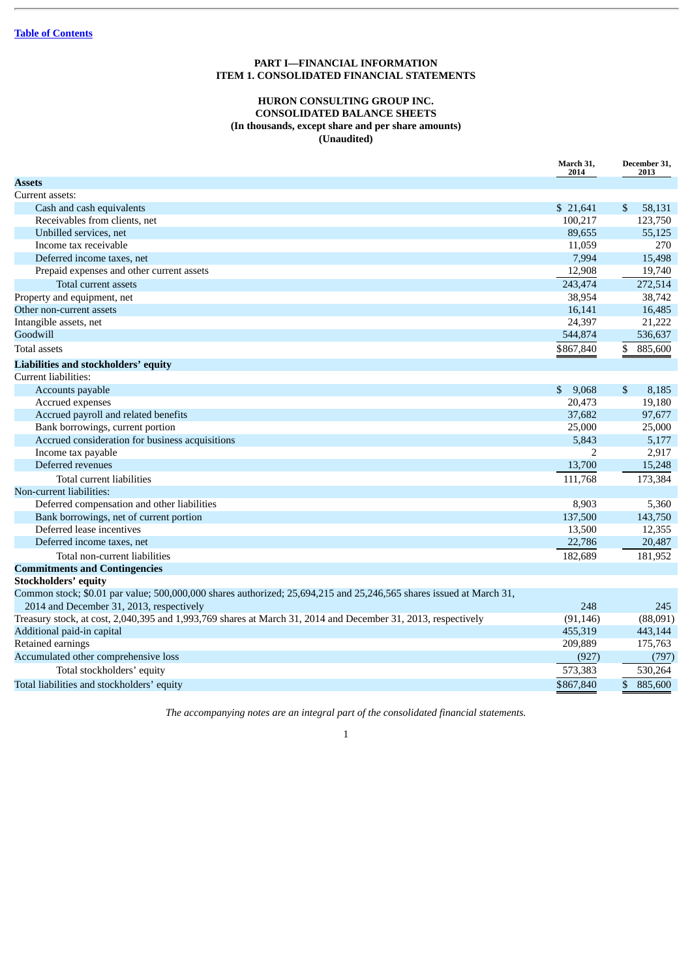#### **PART I—FINANCIAL INFORMATION ITEM 1. CONSOLIDATED FINANCIAL STATEMENTS**

#### **HURON CONSULTING GROUP INC. CONSOLIDATED BALANCE SHEETS (In thousands, except share and per share amounts) (Unaudited)**

<span id="page-2-2"></span><span id="page-2-1"></span><span id="page-2-0"></span>

|                                                                                                                     | March 31,<br>2014 | December 31,<br>2013    |
|---------------------------------------------------------------------------------------------------------------------|-------------------|-------------------------|
| <b>Assets</b>                                                                                                       |                   |                         |
| Current assets:                                                                                                     |                   |                         |
| Cash and cash equivalents                                                                                           | \$ 21,641         | \$<br>58,131            |
| Receivables from clients, net                                                                                       | 100,217           | 123,750                 |
| Unbilled services, net                                                                                              | 89,655            | 55,125                  |
| Income tax receivable                                                                                               | 11,059            | 270                     |
| Deferred income taxes, net                                                                                          | 7,994             | 15,498                  |
| Prepaid expenses and other current assets                                                                           | 12,908            | 19,740                  |
| Total current assets                                                                                                | 243,474           | 272,514                 |
| Property and equipment, net                                                                                         | 38,954            | 38,742                  |
| Other non-current assets                                                                                            | 16,141            | 16,485                  |
| Intangible assets, net                                                                                              | 24,397            | 21,222                  |
| Goodwill                                                                                                            | 544,874           | 536,637                 |
| <b>Total assets</b>                                                                                                 | \$867,840         | \$<br>885,600           |
| Liabilities and stockholders' equity                                                                                |                   |                         |
| Current liabilities:                                                                                                |                   |                         |
| Accounts payable                                                                                                    | \$<br>9.068       | $\mathbb{S}$<br>8,185   |
| Accrued expenses                                                                                                    | 20,473            | 19,180                  |
| Accrued payroll and related benefits                                                                                | 37,682            | 97,677                  |
| Bank borrowings, current portion                                                                                    | 25,000            | 25,000                  |
| Accrued consideration for business acquisitions                                                                     | 5,843             | 5,177                   |
| Income tax payable                                                                                                  | 2                 | 2,917                   |
| Deferred revenues                                                                                                   | 13,700            | 15,248                  |
| Total current liabilities                                                                                           | 111,768           | 173,384                 |
| Non-current liabilities:                                                                                            |                   |                         |
| Deferred compensation and other liabilities                                                                         | 8,903             | 5,360                   |
| Bank borrowings, net of current portion                                                                             | 137,500           | 143,750                 |
| Deferred lease incentives                                                                                           | 13,500            | 12,355                  |
| Deferred income taxes, net                                                                                          | 22,786            | 20,487                  |
| Total non-current liabilities                                                                                       | 182,689           | 181,952                 |
| <b>Commitments and Contingencies</b>                                                                                |                   |                         |
| <b>Stockholders' equity</b>                                                                                         |                   |                         |
| Common stock; \$0.01 par value; 500,000,000 shares authorized; 25,694,215 and 25,246,565 shares issued at March 31, |                   |                         |
| 2014 and December 31, 2013, respectively                                                                            | 248               | 245                     |
| Treasury stock, at cost, 2,040,395 and 1,993,769 shares at March 31, 2014 and December 31, 2013, respectively       | (91, 146)         | (88,091)                |
| Additional paid-in capital                                                                                          | 455,319           | 443,144                 |
| Retained earnings                                                                                                   | 209,889           | 175,763                 |
| Accumulated other comprehensive loss                                                                                | (927)             | (797)                   |
| Total stockholders' equity                                                                                          | 573,383           | 530,264                 |
| Total liabilities and stockholders' equity                                                                          | \$867,840         | $\mathbb{S}$<br>885,600 |

*The accompanying notes are an integral part of the consolidated financial statements.*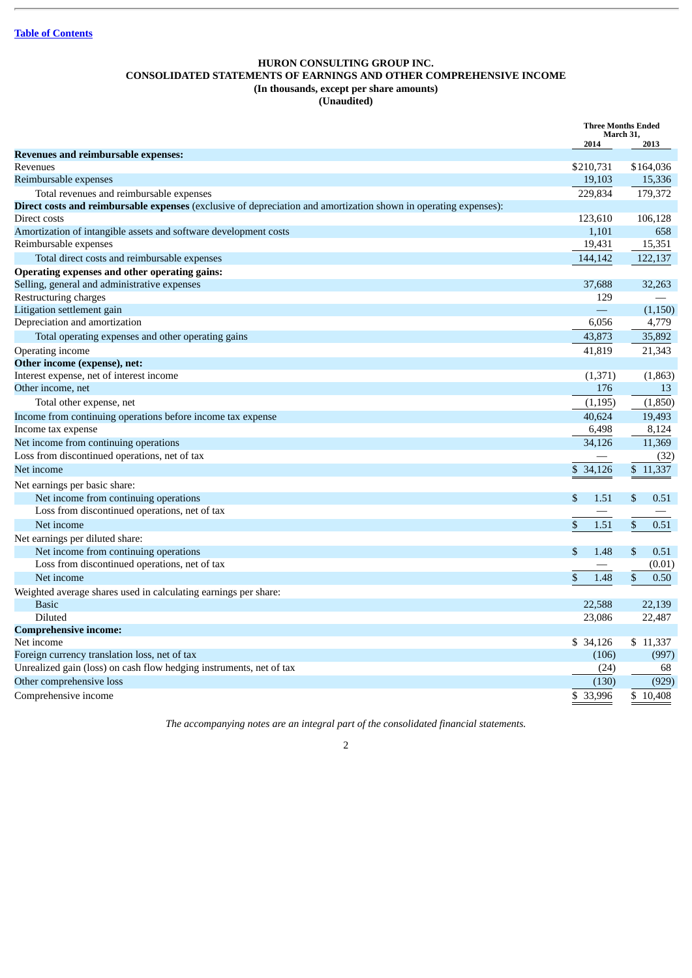## **HURON CONSULTING GROUP INC. CONSOLIDATED STATEMENTS OF EARNINGS AND OTHER COMPREHENSIVE INCOME (In thousands, except per share amounts)**

**(Unaudited)**

<span id="page-3-0"></span>

| 2014<br>2013<br>\$164,036<br>\$210,731<br>Reimbursable expenses<br>19,103<br>15,336<br>229,834<br>179,372<br>Total revenues and reimbursable expenses<br>123,610<br>106,128<br>1,101<br>658<br>19,431<br>15,351<br>122,137<br>Total direct costs and reimbursable expenses<br>144,142<br>37,688<br>32,263<br>129<br>$\overline{\phantom{0}}$<br>(1,150)<br>6,056<br>4,779<br>35,892<br>43,873<br>Total operating expenses and other operating gains<br>21,343<br>41,819<br>(1,863)<br>(1,371)<br>176<br>13<br>(1,850)<br>(1, 195)<br>Total other expense, net<br>40,624<br>19,493<br>Income from continuing operations before income tax expense<br>6,498<br>8,124<br>11,369<br>Net income from continuing operations<br>34,126<br>(32)<br>\$11,337<br>\$<br>34,126<br>Net earnings per basic share:<br>Net income from continuing operations<br>\$<br>1.51<br>\$<br>0.51<br>Loss from discontinued operations, net of tax<br>$\,$<br>\$<br>0.51<br>1.51<br>Net income<br>Net earnings per diluted share:<br>\$<br>Net income from continuing operations<br>\$<br>1.48<br>0.51<br>Loss from discontinued operations, net of tax<br>(0.01)<br>$\, \, \raisebox{12pt}{$\scriptstyle \$}$<br>Net income<br>\$<br>0.50<br>1.48<br>Weighted average shares used in calculating earnings per share:<br><b>Basic</b><br>22,139<br>22,588<br><b>Diluted</b><br>23,086<br>22,487<br><b>Comprehensive income:</b> |                                                                                                                         |          | <b>Three Months Ended</b><br>March 31, |
|---------------------------------------------------------------------------------------------------------------------------------------------------------------------------------------------------------------------------------------------------------------------------------------------------------------------------------------------------------------------------------------------------------------------------------------------------------------------------------------------------------------------------------------------------------------------------------------------------------------------------------------------------------------------------------------------------------------------------------------------------------------------------------------------------------------------------------------------------------------------------------------------------------------------------------------------------------------------------------------------------------------------------------------------------------------------------------------------------------------------------------------------------------------------------------------------------------------------------------------------------------------------------------------------------------------------------------------------------------------------------------------------------------|-------------------------------------------------------------------------------------------------------------------------|----------|----------------------------------------|
|                                                                                                                                                                                                                                                                                                                                                                                                                                                                                                                                                                                                                                                                                                                                                                                                                                                                                                                                                                                                                                                                                                                                                                                                                                                                                                                                                                                                         |                                                                                                                         |          |                                        |
|                                                                                                                                                                                                                                                                                                                                                                                                                                                                                                                                                                                                                                                                                                                                                                                                                                                                                                                                                                                                                                                                                                                                                                                                                                                                                                                                                                                                         | Revenues and reimbursable expenses:                                                                                     |          |                                        |
|                                                                                                                                                                                                                                                                                                                                                                                                                                                                                                                                                                                                                                                                                                                                                                                                                                                                                                                                                                                                                                                                                                                                                                                                                                                                                                                                                                                                         | Revenues                                                                                                                |          |                                        |
|                                                                                                                                                                                                                                                                                                                                                                                                                                                                                                                                                                                                                                                                                                                                                                                                                                                                                                                                                                                                                                                                                                                                                                                                                                                                                                                                                                                                         |                                                                                                                         |          |                                        |
|                                                                                                                                                                                                                                                                                                                                                                                                                                                                                                                                                                                                                                                                                                                                                                                                                                                                                                                                                                                                                                                                                                                                                                                                                                                                                                                                                                                                         |                                                                                                                         |          |                                        |
|                                                                                                                                                                                                                                                                                                                                                                                                                                                                                                                                                                                                                                                                                                                                                                                                                                                                                                                                                                                                                                                                                                                                                                                                                                                                                                                                                                                                         | <b>Direct costs and reimbursable expenses</b> (exclusive of depreciation and amortization shown in operating expenses): |          |                                        |
|                                                                                                                                                                                                                                                                                                                                                                                                                                                                                                                                                                                                                                                                                                                                                                                                                                                                                                                                                                                                                                                                                                                                                                                                                                                                                                                                                                                                         | Direct costs                                                                                                            |          |                                        |
|                                                                                                                                                                                                                                                                                                                                                                                                                                                                                                                                                                                                                                                                                                                                                                                                                                                                                                                                                                                                                                                                                                                                                                                                                                                                                                                                                                                                         | Amortization of intangible assets and software development costs                                                        |          |                                        |
|                                                                                                                                                                                                                                                                                                                                                                                                                                                                                                                                                                                                                                                                                                                                                                                                                                                                                                                                                                                                                                                                                                                                                                                                                                                                                                                                                                                                         | Reimbursable expenses                                                                                                   |          |                                        |
|                                                                                                                                                                                                                                                                                                                                                                                                                                                                                                                                                                                                                                                                                                                                                                                                                                                                                                                                                                                                                                                                                                                                                                                                                                                                                                                                                                                                         |                                                                                                                         |          |                                        |
|                                                                                                                                                                                                                                                                                                                                                                                                                                                                                                                                                                                                                                                                                                                                                                                                                                                                                                                                                                                                                                                                                                                                                                                                                                                                                                                                                                                                         | Operating expenses and other operating gains:                                                                           |          |                                        |
|                                                                                                                                                                                                                                                                                                                                                                                                                                                                                                                                                                                                                                                                                                                                                                                                                                                                                                                                                                                                                                                                                                                                                                                                                                                                                                                                                                                                         | Selling, general and administrative expenses                                                                            |          |                                        |
|                                                                                                                                                                                                                                                                                                                                                                                                                                                                                                                                                                                                                                                                                                                                                                                                                                                                                                                                                                                                                                                                                                                                                                                                                                                                                                                                                                                                         | Restructuring charges                                                                                                   |          |                                        |
|                                                                                                                                                                                                                                                                                                                                                                                                                                                                                                                                                                                                                                                                                                                                                                                                                                                                                                                                                                                                                                                                                                                                                                                                                                                                                                                                                                                                         | Litigation settlement gain                                                                                              |          |                                        |
|                                                                                                                                                                                                                                                                                                                                                                                                                                                                                                                                                                                                                                                                                                                                                                                                                                                                                                                                                                                                                                                                                                                                                                                                                                                                                                                                                                                                         | Depreciation and amortization                                                                                           |          |                                        |
|                                                                                                                                                                                                                                                                                                                                                                                                                                                                                                                                                                                                                                                                                                                                                                                                                                                                                                                                                                                                                                                                                                                                                                                                                                                                                                                                                                                                         |                                                                                                                         |          |                                        |
|                                                                                                                                                                                                                                                                                                                                                                                                                                                                                                                                                                                                                                                                                                                                                                                                                                                                                                                                                                                                                                                                                                                                                                                                                                                                                                                                                                                                         | Operating income                                                                                                        |          |                                        |
|                                                                                                                                                                                                                                                                                                                                                                                                                                                                                                                                                                                                                                                                                                                                                                                                                                                                                                                                                                                                                                                                                                                                                                                                                                                                                                                                                                                                         | Other income (expense), net:                                                                                            |          |                                        |
|                                                                                                                                                                                                                                                                                                                                                                                                                                                                                                                                                                                                                                                                                                                                                                                                                                                                                                                                                                                                                                                                                                                                                                                                                                                                                                                                                                                                         | Interest expense, net of interest income                                                                                |          |                                        |
|                                                                                                                                                                                                                                                                                                                                                                                                                                                                                                                                                                                                                                                                                                                                                                                                                                                                                                                                                                                                                                                                                                                                                                                                                                                                                                                                                                                                         | Other income, net                                                                                                       |          |                                        |
|                                                                                                                                                                                                                                                                                                                                                                                                                                                                                                                                                                                                                                                                                                                                                                                                                                                                                                                                                                                                                                                                                                                                                                                                                                                                                                                                                                                                         |                                                                                                                         |          |                                        |
|                                                                                                                                                                                                                                                                                                                                                                                                                                                                                                                                                                                                                                                                                                                                                                                                                                                                                                                                                                                                                                                                                                                                                                                                                                                                                                                                                                                                         |                                                                                                                         |          |                                        |
|                                                                                                                                                                                                                                                                                                                                                                                                                                                                                                                                                                                                                                                                                                                                                                                                                                                                                                                                                                                                                                                                                                                                                                                                                                                                                                                                                                                                         | Income tax expense                                                                                                      |          |                                        |
|                                                                                                                                                                                                                                                                                                                                                                                                                                                                                                                                                                                                                                                                                                                                                                                                                                                                                                                                                                                                                                                                                                                                                                                                                                                                                                                                                                                                         |                                                                                                                         |          |                                        |
|                                                                                                                                                                                                                                                                                                                                                                                                                                                                                                                                                                                                                                                                                                                                                                                                                                                                                                                                                                                                                                                                                                                                                                                                                                                                                                                                                                                                         | Loss from discontinued operations, net of tax                                                                           |          |                                        |
|                                                                                                                                                                                                                                                                                                                                                                                                                                                                                                                                                                                                                                                                                                                                                                                                                                                                                                                                                                                                                                                                                                                                                                                                                                                                                                                                                                                                         | Net income                                                                                                              |          |                                        |
|                                                                                                                                                                                                                                                                                                                                                                                                                                                                                                                                                                                                                                                                                                                                                                                                                                                                                                                                                                                                                                                                                                                                                                                                                                                                                                                                                                                                         |                                                                                                                         |          |                                        |
|                                                                                                                                                                                                                                                                                                                                                                                                                                                                                                                                                                                                                                                                                                                                                                                                                                                                                                                                                                                                                                                                                                                                                                                                                                                                                                                                                                                                         |                                                                                                                         |          |                                        |
|                                                                                                                                                                                                                                                                                                                                                                                                                                                                                                                                                                                                                                                                                                                                                                                                                                                                                                                                                                                                                                                                                                                                                                                                                                                                                                                                                                                                         |                                                                                                                         |          |                                        |
|                                                                                                                                                                                                                                                                                                                                                                                                                                                                                                                                                                                                                                                                                                                                                                                                                                                                                                                                                                                                                                                                                                                                                                                                                                                                                                                                                                                                         |                                                                                                                         |          |                                        |
|                                                                                                                                                                                                                                                                                                                                                                                                                                                                                                                                                                                                                                                                                                                                                                                                                                                                                                                                                                                                                                                                                                                                                                                                                                                                                                                                                                                                         |                                                                                                                         |          |                                        |
|                                                                                                                                                                                                                                                                                                                                                                                                                                                                                                                                                                                                                                                                                                                                                                                                                                                                                                                                                                                                                                                                                                                                                                                                                                                                                                                                                                                                         |                                                                                                                         |          |                                        |
|                                                                                                                                                                                                                                                                                                                                                                                                                                                                                                                                                                                                                                                                                                                                                                                                                                                                                                                                                                                                                                                                                                                                                                                                                                                                                                                                                                                                         |                                                                                                                         |          |                                        |
|                                                                                                                                                                                                                                                                                                                                                                                                                                                                                                                                                                                                                                                                                                                                                                                                                                                                                                                                                                                                                                                                                                                                                                                                                                                                                                                                                                                                         |                                                                                                                         |          |                                        |
|                                                                                                                                                                                                                                                                                                                                                                                                                                                                                                                                                                                                                                                                                                                                                                                                                                                                                                                                                                                                                                                                                                                                                                                                                                                                                                                                                                                                         |                                                                                                                         |          |                                        |
|                                                                                                                                                                                                                                                                                                                                                                                                                                                                                                                                                                                                                                                                                                                                                                                                                                                                                                                                                                                                                                                                                                                                                                                                                                                                                                                                                                                                         |                                                                                                                         |          |                                        |
|                                                                                                                                                                                                                                                                                                                                                                                                                                                                                                                                                                                                                                                                                                                                                                                                                                                                                                                                                                                                                                                                                                                                                                                                                                                                                                                                                                                                         |                                                                                                                         |          |                                        |
|                                                                                                                                                                                                                                                                                                                                                                                                                                                                                                                                                                                                                                                                                                                                                                                                                                                                                                                                                                                                                                                                                                                                                                                                                                                                                                                                                                                                         |                                                                                                                         |          |                                        |
|                                                                                                                                                                                                                                                                                                                                                                                                                                                                                                                                                                                                                                                                                                                                                                                                                                                                                                                                                                                                                                                                                                                                                                                                                                                                                                                                                                                                         | Net income                                                                                                              | \$34,126 | \$11,337                               |
| (997)<br>(106)                                                                                                                                                                                                                                                                                                                                                                                                                                                                                                                                                                                                                                                                                                                                                                                                                                                                                                                                                                                                                                                                                                                                                                                                                                                                                                                                                                                          | Foreign currency translation loss, net of tax                                                                           |          |                                        |
| (24)<br>68                                                                                                                                                                                                                                                                                                                                                                                                                                                                                                                                                                                                                                                                                                                                                                                                                                                                                                                                                                                                                                                                                                                                                                                                                                                                                                                                                                                              | Unrealized gain (loss) on cash flow hedging instruments, net of tax                                                     |          |                                        |
| (130)<br>(929)                                                                                                                                                                                                                                                                                                                                                                                                                                                                                                                                                                                                                                                                                                                                                                                                                                                                                                                                                                                                                                                                                                                                                                                                                                                                                                                                                                                          | Other comprehensive loss                                                                                                |          |                                        |
| \$ 33,996<br>\$10,408                                                                                                                                                                                                                                                                                                                                                                                                                                                                                                                                                                                                                                                                                                                                                                                                                                                                                                                                                                                                                                                                                                                                                                                                                                                                                                                                                                                   | Comprehensive income                                                                                                    |          |                                        |

*The accompanying notes are an integral part of the consolidated financial statements.*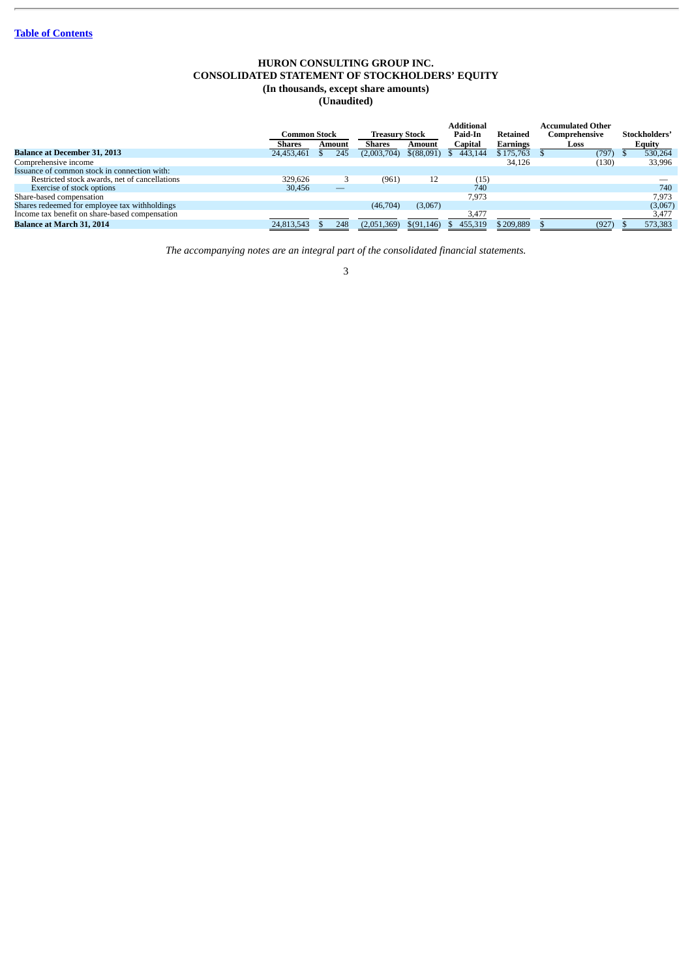## **HURON CONSULTING GROUP INC. CONSOLIDATED STATEMENT OF STOCKHOLDERS' EQUITY (In thousands, except share amounts)**

**(Unaudited)**

<span id="page-4-0"></span>

|                                                |               |        |                |            |         | Additional |           | <b>Accumulated Other</b> |               |
|------------------------------------------------|---------------|--------|----------------|------------|---------|------------|-----------|--------------------------|---------------|
|                                                | Common Stock  |        | Treasurv Stock |            | Paid-In |            | Retained  | Comprehensive            | Stockholders' |
|                                                | <b>Shares</b> | Amount | <b>Shares</b>  | Amount     |         | Capital    | Earnings  | Loss                     | <b>Equity</b> |
| <b>Balance at December 31, 2013</b>            | 24,453,461    | 245    | (2,003,704)    | \$(88,091) |         | 443,144    | \$175,763 | (797)                    | 530.264       |
| Comprehensive income                           |               |        |                |            |         |            | 34,126    | (130)                    | 33,996        |
| Issuance of common stock in connection with:   |               |        |                |            |         |            |           |                          |               |
| Restricted stock awards, net of cancellations  | 329.626       |        | (961)          | 12         |         | (15)       |           |                          |               |
| Exercise of stock options                      | 30,456        |        |                |            |         | 740        |           |                          | 740           |
| Share-based compensation                       |               |        |                |            |         | 7.973      |           |                          | 7,973         |
| Shares redeemed for employee tax withholdings  |               |        | (46,704)       | (3,067)    |         |            |           |                          | (3,067)       |
| Income tax benefit on share-based compensation |               |        |                |            |         | 3.477      |           |                          | 3,477         |
| <b>Balance at March 31, 2014</b>               | 24,813,543    | 248    | (2,051,369)    | \$(91,146) |         | 455,319    | \$209,889 | (927)                    | 573,383       |

*The accompanying notes are an integral part of the consolidated financial statements.*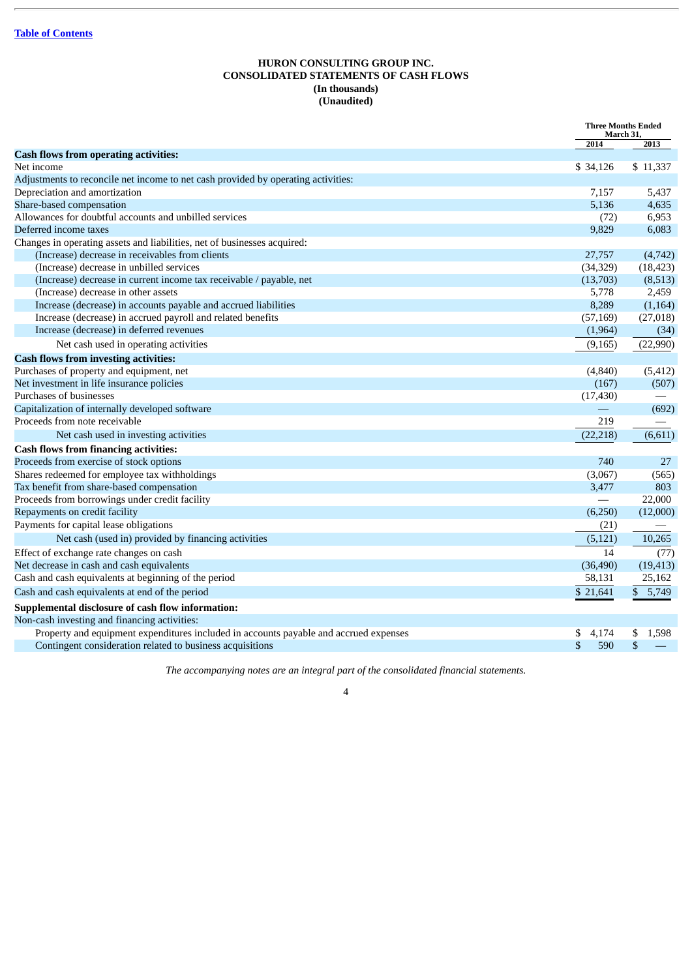## **HURON CONSULTING GROUP INC. CONSOLIDATED STATEMENTS OF CASH FLOWS (In thousands) (Unaudited)**

<span id="page-5-0"></span>

|                                                                                       | March 31,   | <b>Three Months Ended</b> |
|---------------------------------------------------------------------------------------|-------------|---------------------------|
|                                                                                       | 2014        | 2013                      |
| <b>Cash flows from operating activities:</b>                                          |             |                           |
| Net income                                                                            | \$ 34,126   | \$11,337                  |
| Adjustments to reconcile net income to net cash provided by operating activities:     |             |                           |
| Depreciation and amortization                                                         | 7,157       | 5,437                     |
| Share-based compensation                                                              | 5,136       | 4,635                     |
| Allowances for doubtful accounts and unbilled services                                | (72)        | 6,953                     |
| Deferred income taxes                                                                 | 9,829       | 6,083                     |
| Changes in operating assets and liabilities, net of businesses acquired:              |             |                           |
| (Increase) decrease in receivables from clients                                       | 27,757      | (4,742)                   |
| (Increase) decrease in unbilled services                                              | (34, 329)   | (18, 423)                 |
| (Increase) decrease in current income tax receivable / payable, net                   | (13,703)    | (8,513)                   |
| (Increase) decrease in other assets                                                   | 5,778       | 2,459                     |
| Increase (decrease) in accounts payable and accrued liabilities                       | 8,289       | (1, 164)                  |
| Increase (decrease) in accrued payroll and related benefits                           | (57, 169)   | (27, 018)                 |
| Increase (decrease) in deferred revenues                                              | (1,964)     | (34)                      |
| Net cash used in operating activities                                                 | (9, 165)    | (22,990)                  |
| <b>Cash flows from investing activities:</b>                                          |             |                           |
| Purchases of property and equipment, net                                              | (4,840)     | (5, 412)                  |
| Net investment in life insurance policies                                             | (167)       | (507)                     |
| Purchases of businesses                                                               | (17, 430)   |                           |
| Capitalization of internally developed software                                       |             | (692)                     |
| Proceeds from note receivable                                                         | 219         |                           |
| Net cash used in investing activities                                                 | (22, 218)   | (6,611)                   |
| <b>Cash flows from financing activities:</b>                                          |             |                           |
| Proceeds from exercise of stock options                                               | 740         | 27                        |
| Shares redeemed for employee tax withholdings                                         | (3,067)     | (565)                     |
| Tax benefit from share-based compensation                                             | 3,477       | 803                       |
| Proceeds from borrowings under credit facility                                        |             | 22,000                    |
| Repayments on credit facility                                                         | (6,250)     | (12,000)                  |
| Payments for capital lease obligations                                                | (21)        |                           |
| Net cash (used in) provided by financing activities                                   | (5, 121)    | 10,265                    |
| Effect of exchange rate changes on cash                                               | 14          | (77)                      |
| Net decrease in cash and cash equivalents                                             | (36, 490)   | (19, 413)                 |
| Cash and cash equivalents at beginning of the period                                  | 58,131      | 25,162                    |
| Cash and cash equivalents at end of the period                                        | \$21,641    | 5,749                     |
| Supplemental disclosure of cash flow information:                                     |             |                           |
| Non-cash investing and financing activities:                                          |             |                           |
| Property and equipment expenditures included in accounts payable and accrued expenses | \$<br>4,174 | 1,598<br>S.               |
| Contingent consideration related to business acquisitions                             | \$<br>590   | \$                        |
|                                                                                       |             |                           |

*The accompanying notes are an integral part of the consolidated financial statements.*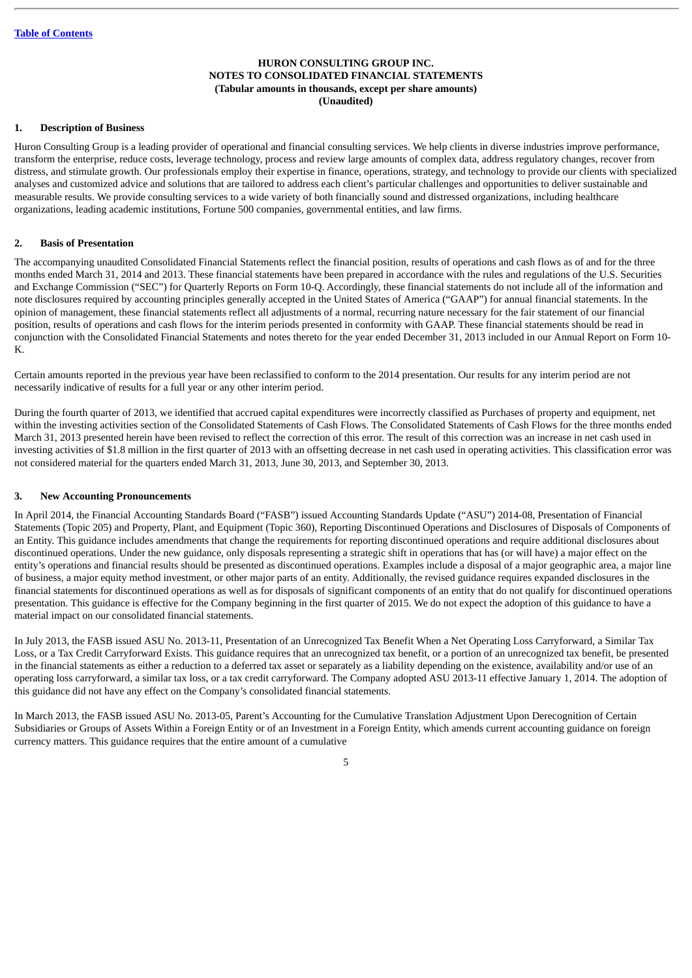#### <span id="page-6-0"></span>**1. Description of Business**

Huron Consulting Group is a leading provider of operational and financial consulting services. We help clients in diverse industries improve performance, transform the enterprise, reduce costs, leverage technology, process and review large amounts of complex data, address regulatory changes, recover from distress, and stimulate growth. Our professionals employ their expertise in finance, operations, strategy, and technology to provide our clients with specialized analyses and customized advice and solutions that are tailored to address each client's particular challenges and opportunities to deliver sustainable and measurable results. We provide consulting services to a wide variety of both financially sound and distressed organizations, including healthcare organizations, leading academic institutions, Fortune 500 companies, governmental entities, and law firms.

#### **2. Basis of Presentation**

The accompanying unaudited Consolidated Financial Statements reflect the financial position, results of operations and cash flows as of and for the three months ended March 31, 2014 and 2013. These financial statements have been prepared in accordance with the rules and regulations of the U.S. Securities and Exchange Commission ("SEC") for Quarterly Reports on Form 10-Q. Accordingly, these financial statements do not include all of the information and note disclosures required by accounting principles generally accepted in the United States of America ("GAAP") for annual financial statements. In the opinion of management, these financial statements reflect all adjustments of a normal, recurring nature necessary for the fair statement of our financial position, results of operations and cash flows for the interim periods presented in conformity with GAAP. These financial statements should be read in conjunction with the Consolidated Financial Statements and notes thereto for the year ended December 31, 2013 included in our Annual Report on Form 10- K.

Certain amounts reported in the previous year have been reclassified to conform to the 2014 presentation. Our results for any interim period are not necessarily indicative of results for a full year or any other interim period.

During the fourth quarter of 2013, we identified that accrued capital expenditures were incorrectly classified as Purchases of property and equipment, net within the investing activities section of the Consolidated Statements of Cash Flows. The Consolidated Statements of Cash Flows for the three months ended March 31, 2013 presented herein have been revised to reflect the correction of this error. The result of this correction was an increase in net cash used in investing activities of \$1.8 million in the first quarter of 2013 with an offsetting decrease in net cash used in operating activities. This classification error was not considered material for the quarters ended March 31, 2013, June 30, 2013, and September 30, 2013.

#### **3. New Accounting Pronouncements**

In April 2014, the Financial Accounting Standards Board ("FASB") issued Accounting Standards Update ("ASU") 2014-08, Presentation of Financial Statements (Topic 205) and Property, Plant, and Equipment (Topic 360), Reporting Discontinued Operations and Disclosures of Disposals of Components of an Entity. This guidance includes amendments that change the requirements for reporting discontinued operations and require additional disclosures about discontinued operations. Under the new guidance, only disposals representing a strategic shift in operations that has (or will have) a major effect on the entity's operations and financial results should be presented as discontinued operations. Examples include a disposal of a major geographic area, a major line of business, a major equity method investment, or other major parts of an entity. Additionally, the revised guidance requires expanded disclosures in the financial statements for discontinued operations as well as for disposals of significant components of an entity that do not qualify for discontinued operations presentation. This guidance is effective for the Company beginning in the first quarter of 2015. We do not expect the adoption of this guidance to have a material impact on our consolidated financial statements.

In July 2013, the FASB issued ASU No. 2013-11, Presentation of an Unrecognized Tax Benefit When a Net Operating Loss Carryforward, a Similar Tax Loss, or a Tax Credit Carryforward Exists. This guidance requires that an unrecognized tax benefit, or a portion of an unrecognized tax benefit, be presented in the financial statements as either a reduction to a deferred tax asset or separately as a liability depending on the existence, availability and/or use of an operating loss carryforward, a similar tax loss, or a tax credit carryforward. The Company adopted ASU 2013-11 effective January 1, 2014. The adoption of this guidance did not have any effect on the Company's consolidated financial statements.

In March 2013, the FASB issued ASU No. 2013-05, Parent's Accounting for the Cumulative Translation Adjustment Upon Derecognition of Certain Subsidiaries or Groups of Assets Within a Foreign Entity or of an Investment in a Foreign Entity, which amends current accounting guidance on foreign currency matters. This guidance requires that the entire amount of a cumulative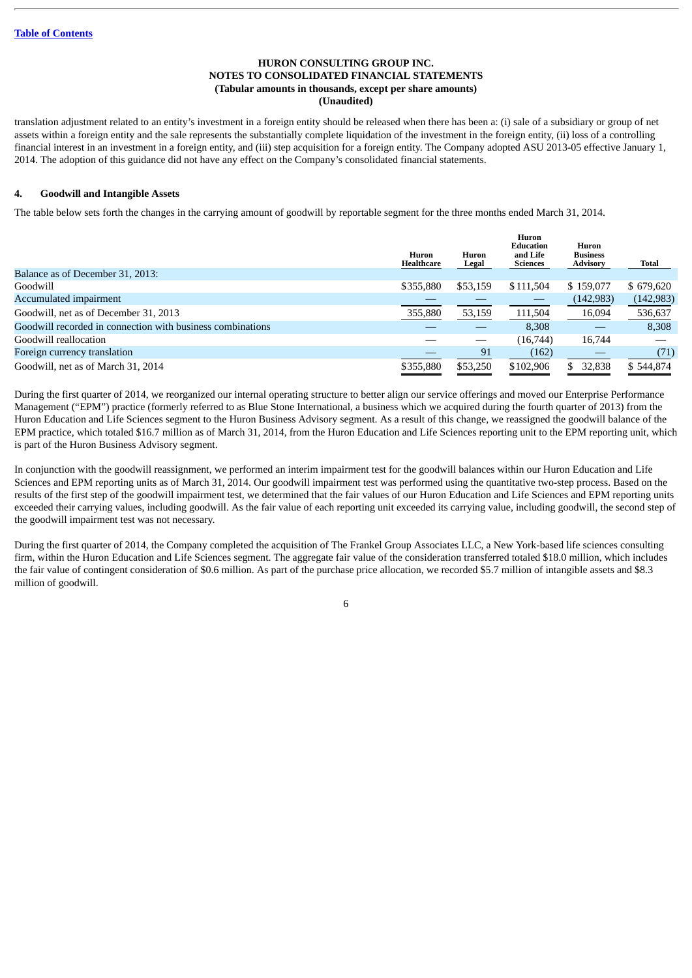translation adjustment related to an entity's investment in a foreign entity should be released when there has been a: (i) sale of a subsidiary or group of net assets within a foreign entity and the sale represents the substantially complete liquidation of the investment in the foreign entity, (ii) loss of a controlling financial interest in an investment in a foreign entity, and (iii) step acquisition for a foreign entity. The Company adopted ASU 2013-05 effective January 1, 2014. The adoption of this guidance did not have any effect on the Company's consolidated financial statements.

#### **4. Goodwill and Intangible Assets**

The table below sets forth the changes in the carrying amount of goodwill by reportable segment for the three months ended March 31, 2014.

| Balance as of December 31, 2013:                           | Huron<br>Healthcare | Huron<br>Legal | Huron<br><b>Education</b><br>and Life<br><b>Sciences</b> | Huron<br><b>Business</b><br><b>Advisory</b> | Total      |
|------------------------------------------------------------|---------------------|----------------|----------------------------------------------------------|---------------------------------------------|------------|
|                                                            |                     |                |                                                          |                                             |            |
| Goodwill                                                   | \$355,880           | \$53,159       | \$111,504                                                | \$159,077                                   | \$679,620  |
| Accumulated impairment                                     |                     |                |                                                          | (142, 983)                                  | (142, 983) |
| Goodwill, net as of December 31, 2013                      | 355,880             | 53,159         | 111,504                                                  | 16,094                                      | 536,637    |
| Goodwill recorded in connection with business combinations |                     |                | 8.308                                                    |                                             | 8.308      |
| Goodwill reallocation                                      |                     |                | (16,744)                                                 | 16,744                                      |            |
| Foreign currency translation                               |                     | 91             | (162)                                                    |                                             | (71)       |
| Goodwill, net as of March 31, 2014                         | \$355,880           | \$53,250       | \$102,906                                                | 32,838                                      | \$544,874  |

During the first quarter of 2014, we reorganized our internal operating structure to better align our service offerings and moved our Enterprise Performance Management ("EPM") practice (formerly referred to as Blue Stone International, a business which we acquired during the fourth quarter of 2013) from the Huron Education and Life Sciences segment to the Huron Business Advisory segment. As a result of this change, we reassigned the goodwill balance of the EPM practice, which totaled \$16.7 million as of March 31, 2014, from the Huron Education and Life Sciences reporting unit to the EPM reporting unit, which is part of the Huron Business Advisory segment.

In conjunction with the goodwill reassignment, we performed an interim impairment test for the goodwill balances within our Huron Education and Life Sciences and EPM reporting units as of March 31, 2014. Our goodwill impairment test was performed using the quantitative two-step process. Based on the results of the first step of the goodwill impairment test, we determined that the fair values of our Huron Education and Life Sciences and EPM reporting units exceeded their carrying values, including goodwill. As the fair value of each reporting unit exceeded its carrying value, including goodwill, the second step of the goodwill impairment test was not necessary.

During the first quarter of 2014, the Company completed the acquisition of The Frankel Group Associates LLC, a New York-based life sciences consulting firm, within the Huron Education and Life Sciences segment. The aggregate fair value of the consideration transferred totaled \$18.0 million, which includes the fair value of contingent consideration of \$0.6 million. As part of the purchase price allocation, we recorded \$5.7 million of intangible assets and \$8.3 million of goodwill.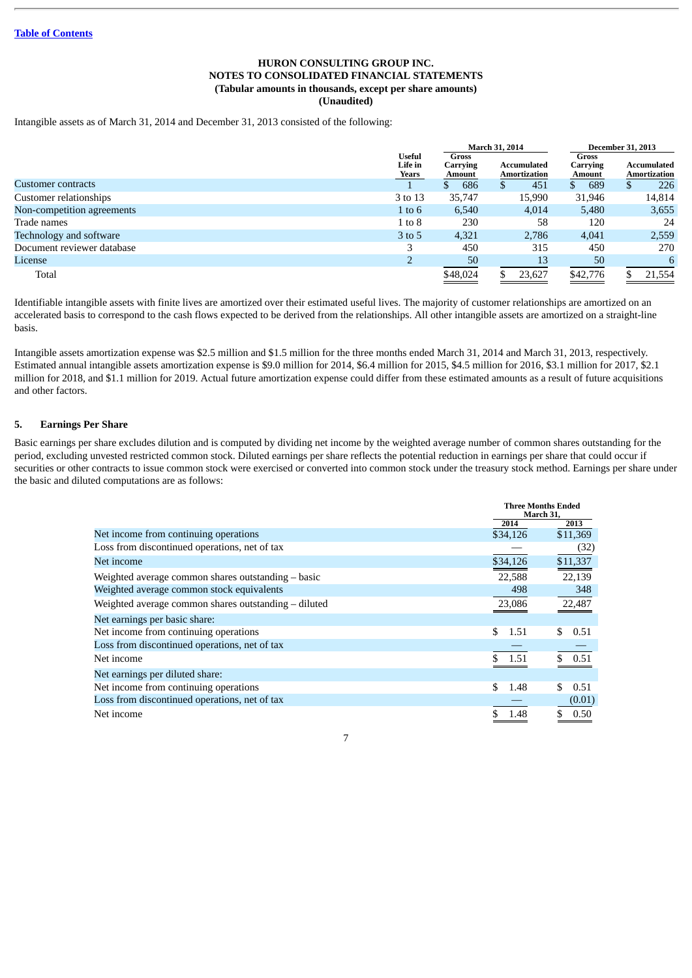Intangible assets as of March 31, 2014 and December 31, 2013 consisted of the following:

|                            |                                          |                             | <b>March 31, 2014</b>              |                                           | <b>December 31, 2013</b>    |
|----------------------------|------------------------------------------|-----------------------------|------------------------------------|-------------------------------------------|-----------------------------|
|                            | <b>Useful</b><br>Life in<br><u>Years</u> | Gross<br>Carrying<br>Amount | Accumulated<br><b>Amortization</b> | <b>Gross</b><br>Carrying<br><b>Amount</b> | Accumulated<br>Amortization |
| Customer contracts         |                                          | 686                         | 451                                | 689<br>SS.                                | 226<br>Ð                    |
| Customer relationships     | 3 to 13                                  | 35,747                      | 15,990                             | 31,946                                    | 14,814                      |
| Non-competition agreements | $1$ to $6$                               | 6,540                       | 4,014                              | 5,480                                     | 3,655                       |
| Trade names                | 1 to 8                                   | 230                         | 58                                 | 120                                       | 24                          |
| Technology and software    | 3 to 5                                   | 4,321                       | 2,786                              | 4,041                                     | 2,559                       |
| Document reviewer database |                                          | 450                         | 315                                | 450                                       | 270                         |
| License                    |                                          | 50                          | 13                                 | 50                                        | 6                           |
| Total                      |                                          | \$48,024                    | 23,627                             | \$42,776                                  | 21,554                      |

Identifiable intangible assets with finite lives are amortized over their estimated useful lives. The majority of customer relationships are amortized on an accelerated basis to correspond to the cash flows expected to be derived from the relationships. All other intangible assets are amortized on a straight-line basis.

Intangible assets amortization expense was \$2.5 million and \$1.5 million for the three months ended March 31, 2014 and March 31, 2013, respectively. Estimated annual intangible assets amortization expense is \$9.0 million for 2014, \$6.4 million for 2015, \$4.5 million for 2016, \$3.1 million for 2017, \$2.1 million for 2018, and \$1.1 million for 2019. Actual future amortization expense could differ from these estimated amounts as a result of future acquisitions and other factors.

#### **5. Earnings Per Share**

Basic earnings per share excludes dilution and is computed by dividing net income by the weighted average number of common shares outstanding for the period, excluding unvested restricted common stock. Diluted earnings per share reflects the potential reduction in earnings per share that could occur if securities or other contracts to issue common stock were exercised or converted into common stock under the treasury stock method. Earnings per share under the basic and diluted computations are as follows:

|                                                      |            | <b>Three Months Ended</b><br>March 31, |
|------------------------------------------------------|------------|----------------------------------------|
|                                                      | 2014       | 2013                                   |
| Net income from continuing operations                | \$34,126   | \$11,369                               |
| Loss from discontinued operations, net of tax        |            | (32)                                   |
| Net income                                           | \$34,126   | \$11,337                               |
| Weighted average common shares outstanding - basic   | 22,588     | 22,139                                 |
| Weighted average common stock equivalents            | 498        | 348                                    |
| Weighted average common shares outstanding – diluted | 23,086     | 22,487                                 |
| Net earnings per basic share:                        |            |                                        |
| Net income from continuing operations                | \$<br>1.51 | \$.<br>0.51                            |
| Loss from discontinued operations, net of tax        |            |                                        |
| Net income                                           | 1.51       | 0.51                                   |
| Net earnings per diluted share:                      |            |                                        |
| Net income from continuing operations                | \$<br>1.48 | 0.51                                   |
| Loss from discontinued operations, net of tax        |            | (0.01)                                 |
| Net income                                           | 1.48       | 0.50                                   |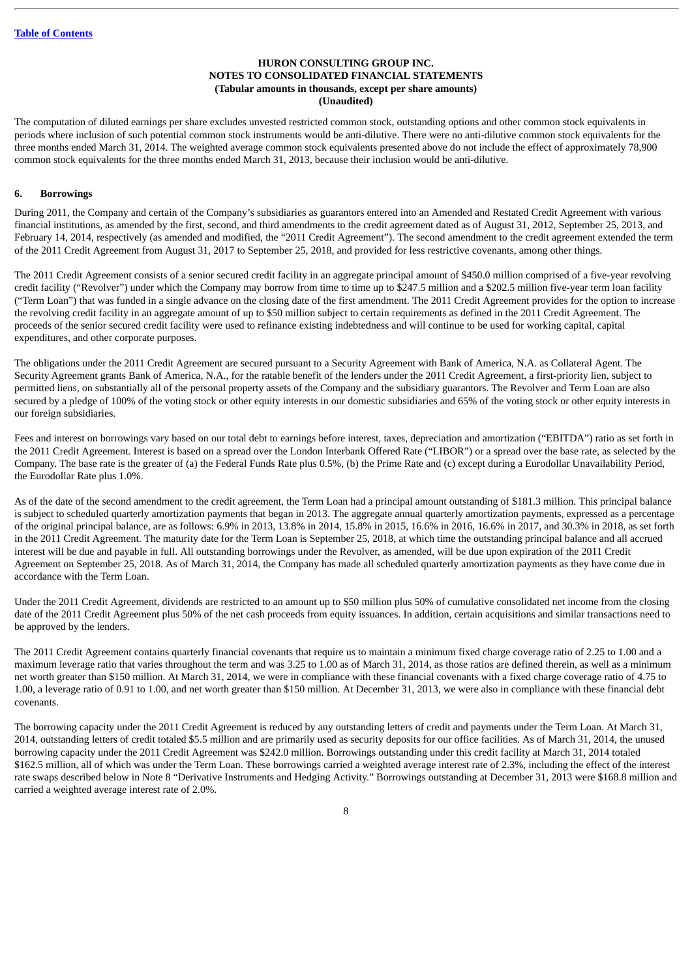The computation of diluted earnings per share excludes unvested restricted common stock, outstanding options and other common stock equivalents in periods where inclusion of such potential common stock instruments would be anti-dilutive. There were no anti-dilutive common stock equivalents for the three months ended March 31, 2014. The weighted average common stock equivalents presented above do not include the effect of approximately 78,900 common stock equivalents for the three months ended March 31, 2013, because their inclusion would be anti-dilutive.

#### **6. Borrowings**

During 2011, the Company and certain of the Company's subsidiaries as guarantors entered into an Amended and Restated Credit Agreement with various financial institutions, as amended by the first, second, and third amendments to the credit agreement dated as of August 31, 2012, September 25, 2013, and February 14, 2014, respectively (as amended and modified, the "2011 Credit Agreement"). The second amendment to the credit agreement extended the term of the 2011 Credit Agreement from August 31, 2017 to September 25, 2018, and provided for less restrictive covenants, among other things.

The 2011 Credit Agreement consists of a senior secured credit facility in an aggregate principal amount of \$450.0 million comprised of a five-year revolving credit facility ("Revolver") under which the Company may borrow from time to time up to \$247.5 million and a \$202.5 million five-year term loan facility ("Term Loan") that was funded in a single advance on the closing date of the first amendment. The 2011 Credit Agreement provides for the option to increase the revolving credit facility in an aggregate amount of up to \$50 million subject to certain requirements as defined in the 2011 Credit Agreement. The proceeds of the senior secured credit facility were used to refinance existing indebtedness and will continue to be used for working capital, capital expenditures, and other corporate purposes.

The obligations under the 2011 Credit Agreement are secured pursuant to a Security Agreement with Bank of America, N.A. as Collateral Agent. The Security Agreement grants Bank of America, N.A., for the ratable benefit of the lenders under the 2011 Credit Agreement, a first-priority lien, subject to permitted liens, on substantially all of the personal property assets of the Company and the subsidiary guarantors. The Revolver and Term Loan are also secured by a pledge of 100% of the voting stock or other equity interests in our domestic subsidiaries and 65% of the voting stock or other equity interests in our foreign subsidiaries.

Fees and interest on borrowings vary based on our total debt to earnings before interest, taxes, depreciation and amortization ("EBITDA") ratio as set forth in the 2011 Credit Agreement. Interest is based on a spread over the London Interbank Offered Rate ("LIBOR") or a spread over the base rate, as selected by the Company. The base rate is the greater of (a) the Federal Funds Rate plus 0.5%, (b) the Prime Rate and (c) except during a Eurodollar Unavailability Period, the Eurodollar Rate plus 1.0%.

As of the date of the second amendment to the credit agreement, the Term Loan had a principal amount outstanding of \$181.3 million. This principal balance is subject to scheduled quarterly amortization payments that began in 2013. The aggregate annual quarterly amortization payments, expressed as a percentage of the original principal balance, are as follows: 6.9% in 2013, 13.8% in 2014, 15.8% in 2015, 16.6% in 2016, 16.6% in 2017, and 30.3% in 2018, as set forth in the 2011 Credit Agreement. The maturity date for the Term Loan is September 25, 2018, at which time the outstanding principal balance and all accrued interest will be due and payable in full. All outstanding borrowings under the Revolver, as amended, will be due upon expiration of the 2011 Credit Agreement on September 25, 2018. As of March 31, 2014, the Company has made all scheduled quarterly amortization payments as they have come due in accordance with the Term Loan.

Under the 2011 Credit Agreement, dividends are restricted to an amount up to \$50 million plus 50% of cumulative consolidated net income from the closing date of the 2011 Credit Agreement plus 50% of the net cash proceeds from equity issuances. In addition, certain acquisitions and similar transactions need to be approved by the lenders.

The 2011 Credit Agreement contains quarterly financial covenants that require us to maintain a minimum fixed charge coverage ratio of 2.25 to 1.00 and a maximum leverage ratio that varies throughout the term and was 3.25 to 1.00 as of March 31, 2014, as those ratios are defined therein, as well as a minimum net worth greater than \$150 million. At March 31, 2014, we were in compliance with these financial covenants with a fixed charge coverage ratio of 4.75 to 1.00, a leverage ratio of 0.91 to 1.00, and net worth greater than \$150 million. At December 31, 2013, we were also in compliance with these financial debt covenants.

The borrowing capacity under the 2011 Credit Agreement is reduced by any outstanding letters of credit and payments under the Term Loan. At March 31, 2014, outstanding letters of credit totaled \$5.5 million and are primarily used as security deposits for our office facilities. As of March 31, 2014, the unused borrowing capacity under the 2011 Credit Agreement was \$242.0 million. Borrowings outstanding under this credit facility at March 31, 2014 totaled \$162.5 million, all of which was under the Term Loan. These borrowings carried a weighted average interest rate of 2.3%, including the effect of the interest rate swaps described below in Note 8 "Derivative Instruments and Hedging Activity." Borrowings outstanding at December 31, 2013 were \$168.8 million and carried a weighted average interest rate of 2.0%.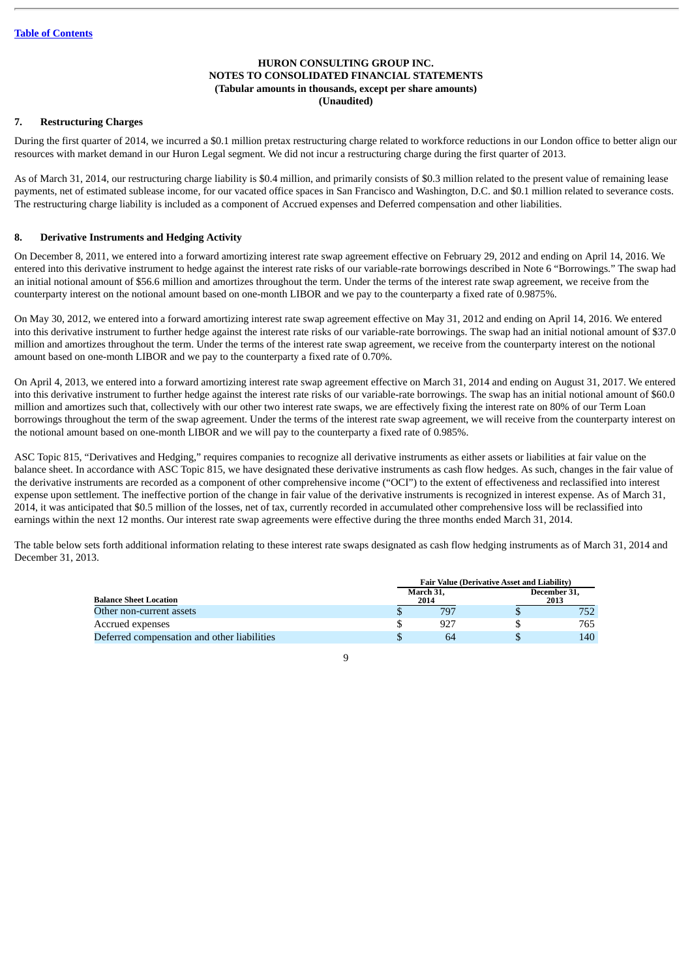#### **7. Restructuring Charges**

During the first quarter of 2014, we incurred a \$0.1 million pretax restructuring charge related to workforce reductions in our London office to better align our resources with market demand in our Huron Legal segment. We did not incur a restructuring charge during the first quarter of 2013.

As of March 31, 2014, our restructuring charge liability is \$0.4 million, and primarily consists of \$0.3 million related to the present value of remaining lease payments, net of estimated sublease income, for our vacated office spaces in San Francisco and Washington, D.C. and \$0.1 million related to severance costs. The restructuring charge liability is included as a component of Accrued expenses and Deferred compensation and other liabilities.

#### **8. Derivative Instruments and Hedging Activity**

On December 8, 2011, we entered into a forward amortizing interest rate swap agreement effective on February 29, 2012 and ending on April 14, 2016. We entered into this derivative instrument to hedge against the interest rate risks of our variable-rate borrowings described in Note 6 "Borrowings." The swap had an initial notional amount of \$56.6 million and amortizes throughout the term. Under the terms of the interest rate swap agreement, we receive from the counterparty interest on the notional amount based on one-month LIBOR and we pay to the counterparty a fixed rate of 0.9875%.

On May 30, 2012, we entered into a forward amortizing interest rate swap agreement effective on May 31, 2012 and ending on April 14, 2016. We entered into this derivative instrument to further hedge against the interest rate risks of our variable-rate borrowings. The swap had an initial notional amount of \$37.0 million and amortizes throughout the term. Under the terms of the interest rate swap agreement, we receive from the counterparty interest on the notional amount based on one-month LIBOR and we pay to the counterparty a fixed rate of 0.70%.

On April 4, 2013, we entered into a forward amortizing interest rate swap agreement effective on March 31, 2014 and ending on August 31, 2017. We entered into this derivative instrument to further hedge against the interest rate risks of our variable-rate borrowings. The swap has an initial notional amount of \$60.0 million and amortizes such that, collectively with our other two interest rate swaps, we are effectively fixing the interest rate on 80% of our Term Loan borrowings throughout the term of the swap agreement. Under the terms of the interest rate swap agreement, we will receive from the counterparty interest on the notional amount based on one-month LIBOR and we will pay to the counterparty a fixed rate of 0.985%.

ASC Topic 815, "Derivatives and Hedging," requires companies to recognize all derivative instruments as either assets or liabilities at fair value on the balance sheet. In accordance with ASC Topic 815, we have designated these derivative instruments as cash flow hedges. As such, changes in the fair value of the derivative instruments are recorded as a component of other comprehensive income ("OCI") to the extent of effectiveness and reclassified into interest expense upon settlement. The ineffective portion of the change in fair value of the derivative instruments is recognized in interest expense. As of March 31, 2014, it was anticipated that \$0.5 million of the losses, net of tax, currently recorded in accumulated other comprehensive loss will be reclassified into earnings within the next 12 months. Our interest rate swap agreements were effective during the three months ended March 31, 2014.

The table below sets forth additional information relating to these interest rate swaps designated as cash flow hedging instruments as of March 31, 2014 and December 31, 2013.

|                                             | <b>Fair Value (Derivative Asset and Liability)</b> |  |                      |  |  |  |  |
|---------------------------------------------|----------------------------------------------------|--|----------------------|--|--|--|--|
| <b>Balance Sheet Location</b>               | March 31.<br>2014                                  |  | December 31.<br>2013 |  |  |  |  |
| Other non-current assets                    | 797                                                |  | 752                  |  |  |  |  |
| Accrued expenses                            | 927                                                |  | 765.                 |  |  |  |  |
| Deferred compensation and other liabilities | 64                                                 |  | 140                  |  |  |  |  |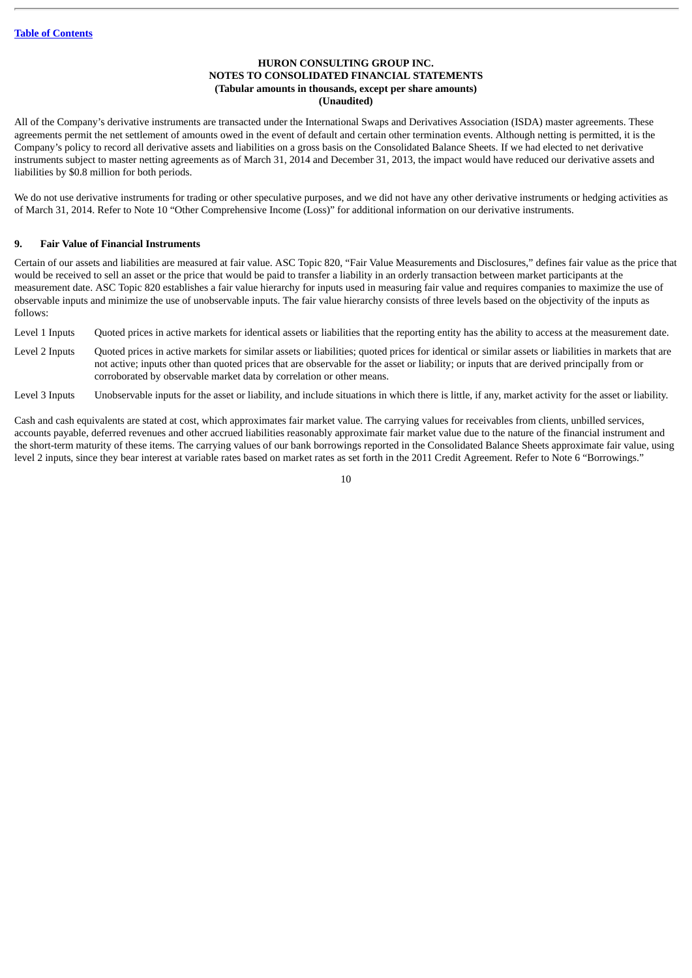All of the Company's derivative instruments are transacted under the International Swaps and Derivatives Association (ISDA) master agreements. These agreements permit the net settlement of amounts owed in the event of default and certain other termination events. Although netting is permitted, it is the Company's policy to record all derivative assets and liabilities on a gross basis on the Consolidated Balance Sheets. If we had elected to net derivative instruments subject to master netting agreements as of March 31, 2014 and December 31, 2013, the impact would have reduced our derivative assets and liabilities by \$0.8 million for both periods.

We do not use derivative instruments for trading or other speculative purposes, and we did not have any other derivative instruments or hedging activities as of March 31, 2014. Refer to Note 10 "Other Comprehensive Income (Loss)" for additional information on our derivative instruments.

#### **9. Fair Value of Financial Instruments**

Certain of our assets and liabilities are measured at fair value. ASC Topic 820, "Fair Value Measurements and Disclosures," defines fair value as the price that would be received to sell an asset or the price that would be paid to transfer a liability in an orderly transaction between market participants at the measurement date. ASC Topic 820 establishes a fair value hierarchy for inputs used in measuring fair value and requires companies to maximize the use of observable inputs and minimize the use of unobservable inputs. The fair value hierarchy consists of three levels based on the objectivity of the inputs as follows:

Level 1 Inputs Ouoted prices in active markets for identical assets or liabilities that the reporting entity has the ability to access at the measurement date.

Level 2 Inputs Ouoted prices in active markets for similar assets or liabilities; quoted prices for identical or similar assets or liabilities in markets that are not active; inputs other than quoted prices that are observable for the asset or liability; or inputs that are derived principally from or corroborated by observable market data by correlation or other means.

Level 3 Inputs Unobservable inputs for the asset or liability, and include situations in which there is little, if any, market activity for the asset or liability.

Cash and cash equivalents are stated at cost, which approximates fair market value. The carrying values for receivables from clients, unbilled services, accounts payable, deferred revenues and other accrued liabilities reasonably approximate fair market value due to the nature of the financial instrument and the short-term maturity of these items. The carrying values of our bank borrowings reported in the Consolidated Balance Sheets approximate fair value, using level 2 inputs, since they bear interest at variable rates based on market rates as set forth in the 2011 Credit Agreement. Refer to Note 6 "Borrowings."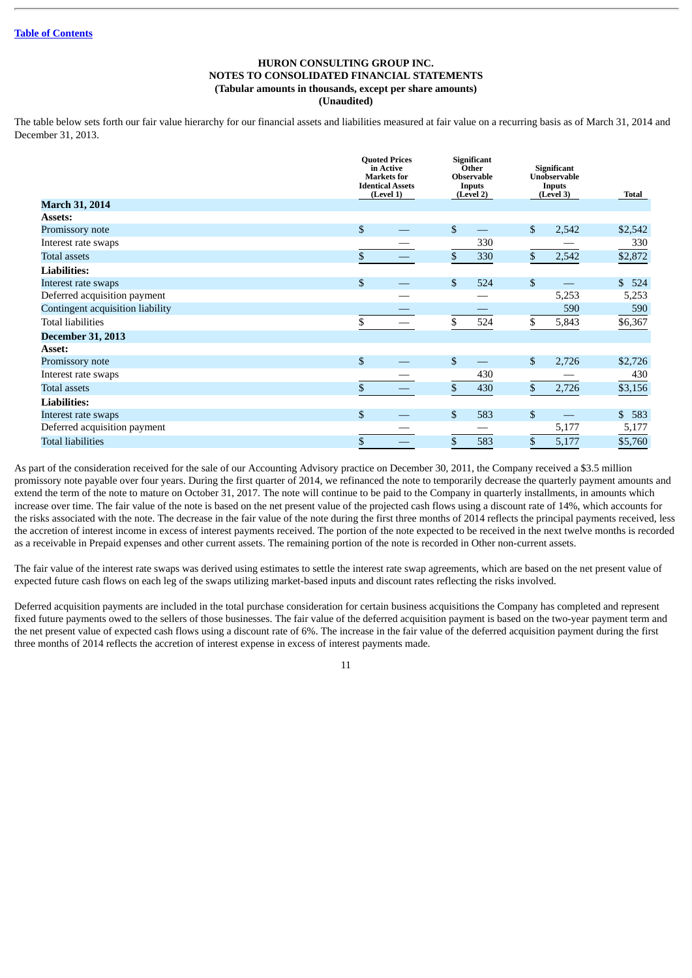The table below sets forth our fair value hierarchy for our financial assets and liabilities measured at fair value on a recurring basis as of March 31, 2014 and December 31, 2013.

|                                  | <b>Ouoted Prices</b><br>in Active<br><b>Markets</b> for<br><b>Identical Assets</b><br>(Level 1) |  | <b>Significant</b><br>Other<br><b>Observable</b><br><b>Inputs</b><br>(Level 2) |     | <b>Significant</b><br>Unobservable<br><b>Inputs</b><br>(Level 3) | <b>Total</b>        |
|----------------------------------|-------------------------------------------------------------------------------------------------|--|--------------------------------------------------------------------------------|-----|------------------------------------------------------------------|---------------------|
| <b>March 31, 2014</b>            |                                                                                                 |  |                                                                                |     |                                                                  |                     |
| Assets:                          |                                                                                                 |  |                                                                                |     |                                                                  |                     |
| Promissory note                  | \$                                                                                              |  | \$                                                                             |     | \$<br>2,542                                                      | \$2,542             |
| Interest rate swaps              |                                                                                                 |  |                                                                                | 330 |                                                                  | 330                 |
| <b>Total assets</b>              | \$                                                                                              |  | \$                                                                             | 330 | \$<br>2,542                                                      | \$2,872             |
| <b>Liabilities:</b>              |                                                                                                 |  |                                                                                |     |                                                                  |                     |
| Interest rate swaps              | \$                                                                                              |  | \$                                                                             | 524 | \$                                                               | \$524               |
| Deferred acquisition payment     |                                                                                                 |  |                                                                                |     | 5,253                                                            | 5,253               |
| Contingent acquisition liability |                                                                                                 |  |                                                                                | __  | 590                                                              | 590                 |
| <b>Total liabilities</b>         | \$                                                                                              |  | \$                                                                             | 524 | \$<br>5,843                                                      | \$6,367             |
| <b>December 31, 2013</b>         |                                                                                                 |  |                                                                                |     |                                                                  |                     |
| Asset:                           |                                                                                                 |  |                                                                                |     |                                                                  |                     |
| Promissory note                  | \$                                                                                              |  | \$                                                                             |     | \$<br>2,726                                                      | \$2,726             |
| Interest rate swaps              |                                                                                                 |  |                                                                                | 430 |                                                                  | 430                 |
| <b>Total assets</b>              | \$                                                                                              |  | \$                                                                             | 430 | \$<br>2,726                                                      | \$3,156             |
| <b>Liabilities:</b>              |                                                                                                 |  |                                                                                |     |                                                                  |                     |
| Interest rate swaps              | \$                                                                                              |  | \$                                                                             | 583 | \$                                                               | $\mathbb{S}$<br>583 |
| Deferred acquisition payment     |                                                                                                 |  |                                                                                |     | 5,177                                                            | 5,177               |
| <b>Total liabilities</b>         | \$                                                                                              |  | \$                                                                             | 583 | \$<br>5,177                                                      | \$5,760             |

As part of the consideration received for the sale of our Accounting Advisory practice on December 30, 2011, the Company received a \$3.5 million promissory note payable over four years. During the first quarter of 2014, we refinanced the note to temporarily decrease the quarterly payment amounts and extend the term of the note to mature on October 31, 2017. The note will continue to be paid to the Company in quarterly installments, in amounts which increase over time. The fair value of the note is based on the net present value of the projected cash flows using a discount rate of 14%, which accounts for the risks associated with the note. The decrease in the fair value of the note during the first three months of 2014 reflects the principal payments received, less the accretion of interest income in excess of interest payments received. The portion of the note expected to be received in the next twelve months is recorded as a receivable in Prepaid expenses and other current assets. The remaining portion of the note is recorded in Other non-current assets.

The fair value of the interest rate swaps was derived using estimates to settle the interest rate swap agreements, which are based on the net present value of expected future cash flows on each leg of the swaps utilizing market-based inputs and discount rates reflecting the risks involved.

Deferred acquisition payments are included in the total purchase consideration for certain business acquisitions the Company has completed and represent fixed future payments owed to the sellers of those businesses. The fair value of the deferred acquisition payment is based on the two-year payment term and the net present value of expected cash flows using a discount rate of 6%. The increase in the fair value of the deferred acquisition payment during the first three months of 2014 reflects the accretion of interest expense in excess of interest payments made.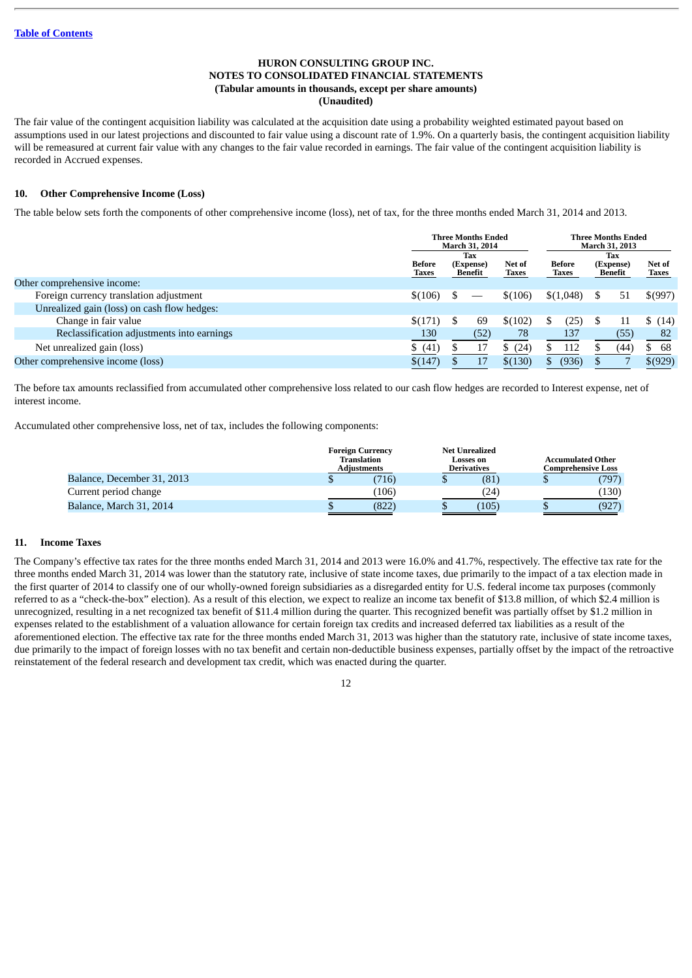The fair value of the contingent acquisition liability was calculated at the acquisition date using a probability weighted estimated payout based on assumptions used in our latest projections and discounted to fair value using a discount rate of 1.9%. On a quarterly basis, the contingent acquisition liability will be remeasured at current fair value with any changes to the fair value recorded in earnings. The fair value of the contingent acquisition liability is recorded in Accrued expenses.

#### **10. Other Comprehensive Income (Loss)**

The table below sets forth the components of other comprehensive income (loss), net of tax, for the three months ended March 31, 2014 and 2013.

|                                             |                               | <b>Three Months Ended</b><br>March 31, 2014 |                        | <b>Three Months Ended</b><br>March 31, 2013 |                             |                 |  |
|---------------------------------------------|-------------------------------|---------------------------------------------|------------------------|---------------------------------------------|-----------------------------|-----------------|--|
|                                             | <b>Before</b><br><b>Taxes</b> | Tax<br>(Expense)<br>Benefit                 | Net of<br><b>Taxes</b> | <b>Before</b><br><b>Taxes</b>               | Tax<br>(Expense)<br>Benefit | Net of<br>Taxes |  |
| Other comprehensive income:                 |                               |                                             |                        |                                             |                             |                 |  |
| Foreign currency translation adjustment     | \$(106)                       |                                             | \$(106)                | \$(1,048)                                   | 51                          | \$(997)         |  |
| Unrealized gain (loss) on cash flow hedges: |                               |                                             |                        |                                             |                             |                 |  |
| Change in fair value                        | \$(171)                       | 69                                          | \$(102)                | (25)<br>S                                   | 11                          | (14)            |  |
| Reclassification adjustments into earnings  | 130                           | (52)                                        | 78                     | 137                                         | (55)                        | 82              |  |
| Net unrealized gain (loss)                  | \$(41)                        |                                             | (24)<br>S.             | 112                                         | (44                         | 68              |  |
| Other comprehensive income (loss)           | \$(147)                       |                                             | \$(130)                | (936)<br>S                                  |                             | \$(929)         |  |

The before tax amounts reclassified from accumulated other comprehensive loss related to our cash flow hedges are recorded to Interest expense, net of interest income.

Accumulated other comprehensive loss, net of tax, includes the following components:

|                            | <b>Foreign Currency</b><br>Translation<br>Adiustments | <b>Net Unrealized</b><br><b>Losses</b> on<br><b>Derivatives</b> | <b>Accumulated Other</b><br>Comprehensive Loss |       |  |
|----------------------------|-------------------------------------------------------|-----------------------------------------------------------------|------------------------------------------------|-------|--|
| Balance, December 31, 2013 | (716)                                                 | (81)                                                            |                                                | (797) |  |
| Current period change      | (106)                                                 | (24)                                                            |                                                | (130) |  |
| Balance, March 31, 2014    | (822)                                                 | (105)                                                           |                                                | (927) |  |

#### **11. Income Taxes**

The Company's effective tax rates for the three months ended March 31, 2014 and 2013 were 16.0% and 41.7%, respectively. The effective tax rate for the three months ended March 31, 2014 was lower than the statutory rate, inclusive of state income taxes, due primarily to the impact of a tax election made in the first quarter of 2014 to classify one of our wholly-owned foreign subsidiaries as a disregarded entity for U.S. federal income tax purposes (commonly referred to as a "check-the-box" election). As a result of this election, we expect to realize an income tax benefit of \$13.8 million, of which \$2.4 million is unrecognized, resulting in a net recognized tax benefit of \$11.4 million during the quarter. This recognized benefit was partially offset by \$1.2 million in expenses related to the establishment of a valuation allowance for certain foreign tax credits and increased deferred tax liabilities as a result of the aforementioned election. The effective tax rate for the three months ended March 31, 2013 was higher than the statutory rate, inclusive of state income taxes, due primarily to the impact of foreign losses with no tax benefit and certain non-deductible business expenses, partially offset by the impact of the retroactive reinstatement of the federal research and development tax credit, which was enacted during the quarter.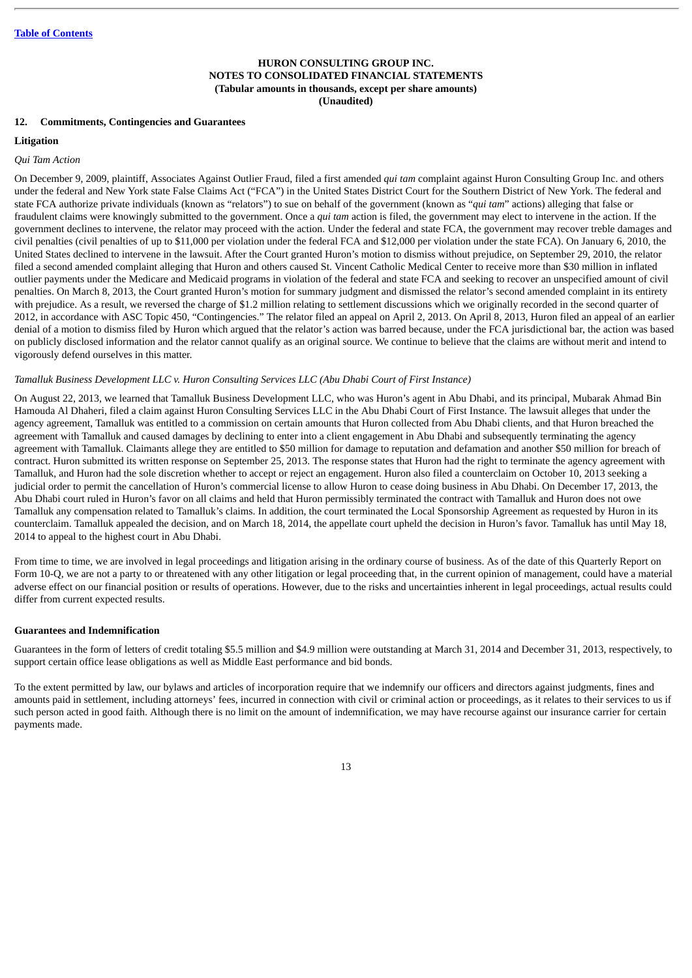#### **12. Commitments, Contingencies and Guarantees**

#### **Litigation**

## *Qui Tam Action*

On December 9, 2009, plaintiff, Associates Against Outlier Fraud, filed a first amended *qui tam* complaint against Huron Consulting Group Inc. and others under the federal and New York state False Claims Act ("FCA") in the United States District Court for the Southern District of New York. The federal and state FCA authorize private individuals (known as "relators") to sue on behalf of the government (known as "*qui tam*" actions) alleging that false or fraudulent claims were knowingly submitted to the government. Once a *qui tam* action is filed, the government may elect to intervene in the action. If the government declines to intervene, the relator may proceed with the action. Under the federal and state FCA, the government may recover treble damages and civil penalties (civil penalties of up to \$11,000 per violation under the federal FCA and \$12,000 per violation under the state FCA). On January 6, 2010, the United States declined to intervene in the lawsuit. After the Court granted Huron's motion to dismiss without prejudice, on September 29, 2010, the relator filed a second amended complaint alleging that Huron and others caused St. Vincent Catholic Medical Center to receive more than \$30 million in inflated outlier payments under the Medicare and Medicaid programs in violation of the federal and state FCA and seeking to recover an unspecified amount of civil penalties. On March 8, 2013, the Court granted Huron's motion for summary judgment and dismissed the relator's second amended complaint in its entirety with prejudice. As a result, we reversed the charge of \$1.2 million relating to settlement discussions which we originally recorded in the second quarter of 2012, in accordance with ASC Topic 450, "Contingencies." The relator filed an appeal on April 2, 2013. On April 8, 2013, Huron filed an appeal of an earlier denial of a motion to dismiss filed by Huron which argued that the relator's action was barred because, under the FCA jurisdictional bar, the action was based on publicly disclosed information and the relator cannot qualify as an original source. We continue to believe that the claims are without merit and intend to vigorously defend ourselves in this matter.

#### *Tamalluk Business Development LLC v. Huron Consulting Services LLC (Abu Dhabi Court of First Instance)*

On August 22, 2013, we learned that Tamalluk Business Development LLC, who was Huron's agent in Abu Dhabi, and its principal, Mubarak Ahmad Bin Hamouda Al Dhaheri, filed a claim against Huron Consulting Services LLC in the Abu Dhabi Court of First Instance. The lawsuit alleges that under the agency agreement, Tamalluk was entitled to a commission on certain amounts that Huron collected from Abu Dhabi clients, and that Huron breached the agreement with Tamalluk and caused damages by declining to enter into a client engagement in Abu Dhabi and subsequently terminating the agency agreement with Tamalluk. Claimants allege they are entitled to \$50 million for damage to reputation and defamation and another \$50 million for breach of contract. Huron submitted its written response on September 25, 2013. The response states that Huron had the right to terminate the agency agreement with Tamalluk, and Huron had the sole discretion whether to accept or reject an engagement. Huron also filed a counterclaim on October 10, 2013 seeking a judicial order to permit the cancellation of Huron's commercial license to allow Huron to cease doing business in Abu Dhabi. On December 17, 2013, the Abu Dhabi court ruled in Huron's favor on all claims and held that Huron permissibly terminated the contract with Tamalluk and Huron does not owe Tamalluk any compensation related to Tamalluk's claims. In addition, the court terminated the Local Sponsorship Agreement as requested by Huron in its counterclaim. Tamalluk appealed the decision, and on March 18, 2014, the appellate court upheld the decision in Huron's favor. Tamalluk has until May 18, 2014 to appeal to the highest court in Abu Dhabi.

From time to time, we are involved in legal proceedings and litigation arising in the ordinary course of business. As of the date of this Quarterly Report on Form 10-Q, we are not a party to or threatened with any other litigation or legal proceeding that, in the current opinion of management, could have a material adverse effect on our financial position or results of operations. However, due to the risks and uncertainties inherent in legal proceedings, actual results could differ from current expected results.

#### **Guarantees and Indemnification**

Guarantees in the form of letters of credit totaling \$5.5 million and \$4.9 million were outstanding at March 31, 2014 and December 31, 2013, respectively, to support certain office lease obligations as well as Middle East performance and bid bonds.

To the extent permitted by law, our bylaws and articles of incorporation require that we indemnify our officers and directors against judgments, fines and amounts paid in settlement, including attorneys' fees, incurred in connection with civil or criminal action or proceedings, as it relates to their services to us if such person acted in good faith. Although there is no limit on the amount of indemnification, we may have recourse against our insurance carrier for certain payments made.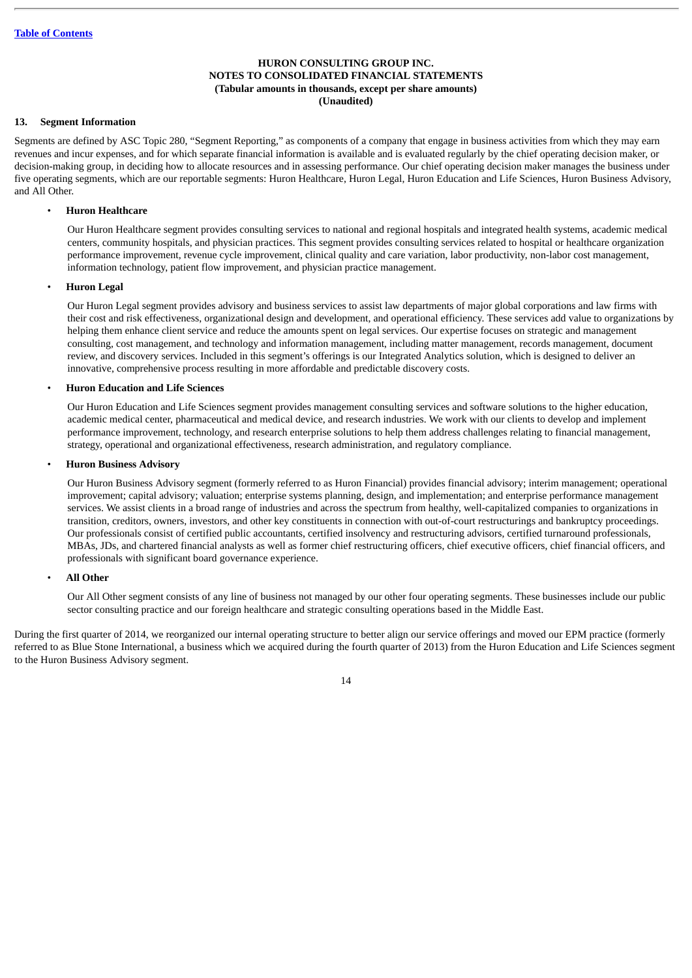#### **13. Segment Information**

Segments are defined by ASC Topic 280, "Segment Reporting," as components of a company that engage in business activities from which they may earn revenues and incur expenses, and for which separate financial information is available and is evaluated regularly by the chief operating decision maker, or decision-making group, in deciding how to allocate resources and in assessing performance. Our chief operating decision maker manages the business under five operating segments, which are our reportable segments: Huron Healthcare, Huron Legal, Huron Education and Life Sciences, Huron Business Advisory, and All Other.

#### • **Huron Healthcare**

Our Huron Healthcare segment provides consulting services to national and regional hospitals and integrated health systems, academic medical centers, community hospitals, and physician practices. This segment provides consulting services related to hospital or healthcare organization performance improvement, revenue cycle improvement, clinical quality and care variation, labor productivity, non-labor cost management, information technology, patient flow improvement, and physician practice management.

#### • **Huron Legal**

Our Huron Legal segment provides advisory and business services to assist law departments of major global corporations and law firms with their cost and risk effectiveness, organizational design and development, and operational efficiency. These services add value to organizations by helping them enhance client service and reduce the amounts spent on legal services. Our expertise focuses on strategic and management consulting, cost management, and technology and information management, including matter management, records management, document review, and discovery services. Included in this segment's offerings is our Integrated Analytics solution, which is designed to deliver an innovative, comprehensive process resulting in more affordable and predictable discovery costs.

#### • **Huron Education and Life Sciences**

Our Huron Education and Life Sciences segment provides management consulting services and software solutions to the higher education, academic medical center, pharmaceutical and medical device, and research industries. We work with our clients to develop and implement performance improvement, technology, and research enterprise solutions to help them address challenges relating to financial management, strategy, operational and organizational effectiveness, research administration, and regulatory compliance.

#### • **Huron Business Advisory**

Our Huron Business Advisory segment (formerly referred to as Huron Financial) provides financial advisory; interim management; operational improvement; capital advisory; valuation; enterprise systems planning, design, and implementation; and enterprise performance management services. We assist clients in a broad range of industries and across the spectrum from healthy, well-capitalized companies to organizations in transition, creditors, owners, investors, and other key constituents in connection with out-of-court restructurings and bankruptcy proceedings. Our professionals consist of certified public accountants, certified insolvency and restructuring advisors, certified turnaround professionals, MBAs, JDs, and chartered financial analysts as well as former chief restructuring officers, chief executive officers, chief financial officers, and professionals with significant board governance experience.

## • **All Other**

Our All Other segment consists of any line of business not managed by our other four operating segments. These businesses include our public sector consulting practice and our foreign healthcare and strategic consulting operations based in the Middle East.

During the first quarter of 2014, we reorganized our internal operating structure to better align our service offerings and moved our EPM practice (formerly referred to as Blue Stone International, a business which we acquired during the fourth quarter of 2013) from the Huron Education and Life Sciences segment to the Huron Business Advisory segment.

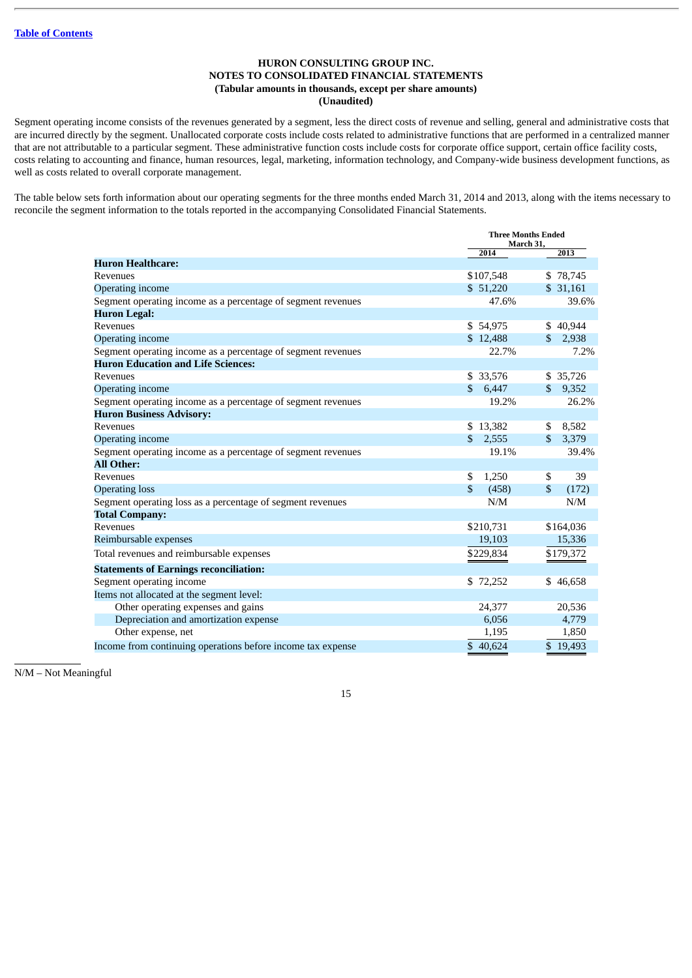Segment operating income consists of the revenues generated by a segment, less the direct costs of revenue and selling, general and administrative costs that are incurred directly by the segment. Unallocated corporate costs include costs related to administrative functions that are performed in a centralized manner that are not attributable to a particular segment. These administrative function costs include costs for corporate office support, certain office facility costs, costs relating to accounting and finance, human resources, legal, marketing, information technology, and Company-wide business development functions, as well as costs related to overall corporate management.

The table below sets forth information about our operating segments for the three months ended March 31, 2014 and 2013, along with the items necessary to reconcile the segment information to the totals reported in the accompanying Consolidated Financial Statements.

|                                                              | <b>Three Months Ended</b><br>March 31, |             |  |
|--------------------------------------------------------------|----------------------------------------|-------------|--|
|                                                              | 2014                                   | 2013        |  |
| <b>Huron Healthcare:</b>                                     |                                        |             |  |
| Revenues                                                     | \$107,548                              | \$78,745    |  |
| Operating income                                             | \$51,220                               | \$31,161    |  |
| Segment operating income as a percentage of segment revenues | 47.6%                                  | 39.6%       |  |
| <b>Huron Legal:</b>                                          |                                        |             |  |
| Revenues                                                     | \$54,975                               | \$40,944    |  |
| Operating income                                             | \$12,488                               | \$<br>2,938 |  |
| Segment operating income as a percentage of segment revenues | 22.7%                                  | 7.2%        |  |
| <b>Huron Education and Life Sciences:</b>                    |                                        |             |  |
| Revenues                                                     | \$ 33,576                              | \$ 35,726   |  |
| Operating income                                             | \$<br>6,447                            | \$<br>9,352 |  |
| Segment operating income as a percentage of segment revenues | 19.2%                                  | 26.2%       |  |
| <b>Huron Business Advisory:</b>                              |                                        |             |  |
| Revenues                                                     | \$13,382                               | \$<br>8,582 |  |
| Operating income                                             | \$<br>2,555                            | \$<br>3,379 |  |
| Segment operating income as a percentage of segment revenues | 19.1%                                  | 39.4%       |  |
| <b>All Other:</b>                                            |                                        |             |  |
| Revenues                                                     | \$<br>1,250                            | 39<br>\$    |  |
| <b>Operating loss</b>                                        | \$<br>(458)                            | \$<br>(172) |  |
| Segment operating loss as a percentage of segment revenues   | N/M                                    | N/M         |  |
| <b>Total Company:</b>                                        |                                        |             |  |
| Revenues                                                     | \$210,731                              | \$164,036   |  |
| Reimbursable expenses                                        | 19,103                                 | 15,336      |  |
| Total revenues and reimbursable expenses                     | \$229,834                              | \$179,372   |  |
| <b>Statements of Earnings reconciliation:</b>                |                                        |             |  |
| Segment operating income                                     | \$72,252                               | \$46,658    |  |
| Items not allocated at the segment level:                    |                                        |             |  |
| Other operating expenses and gains                           | 24,377                                 | 20,536      |  |
| Depreciation and amortization expense                        | 6,056                                  | 4,779       |  |
| Other expense, net                                           | 1,195                                  | 1,850       |  |
| Income from continuing operations before income tax expense  | \$40,624                               | \$19,493    |  |

N/M – Not Meaningful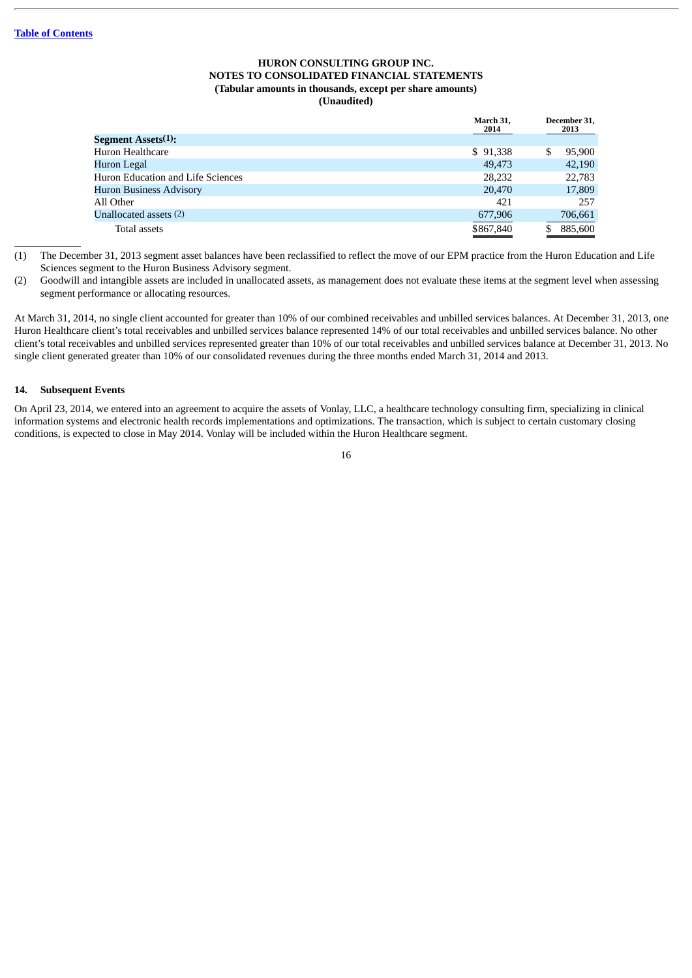|                                   | March 31.<br>2014 | December 31,<br>2013 |
|-----------------------------------|-------------------|----------------------|
| Segment Assets(1):                |                   |                      |
| Huron Healthcare                  | \$91,338          | 95.900               |
| Huron Legal                       | 49,473            | 42,190               |
| Huron Education and Life Sciences | 28.232            | 22,783               |
| <b>Huron Business Advisory</b>    | 20,470            | 17,809               |
| All Other                         | 421               | 257                  |
| Unallocated assets (2)            | 677,906           | 706,661              |
| Total assets                      | \$867,840         | 885,600              |

(1) The December 31, 2013 segment asset balances have been reclassified to reflect the move of our EPM practice from the Huron Education and Life Sciences segment to the Huron Business Advisory segment.

(2) Goodwill and intangible assets are included in unallocated assets, as management does not evaluate these items at the segment level when assessing segment performance or allocating resources.

At March 31, 2014, no single client accounted for greater than 10% of our combined receivables and unbilled services balances. At December 31, 2013, one Huron Healthcare client's total receivables and unbilled services balance represented 14% of our total receivables and unbilled services balance. No other client's total receivables and unbilled services represented greater than 10% of our total receivables and unbilled services balance at December 31, 2013. No single client generated greater than 10% of our consolidated revenues during the three months ended March 31, 2014 and 2013.

#### **14. Subsequent Events**

On April 23, 2014, we entered into an agreement to acquire the assets of Vonlay, LLC, a healthcare technology consulting firm, specializing in clinical information systems and electronic health records implementations and optimizations. The transaction, which is subject to certain customary closing conditions, is expected to close in May 2014. Vonlay will be included within the Huron Healthcare segment.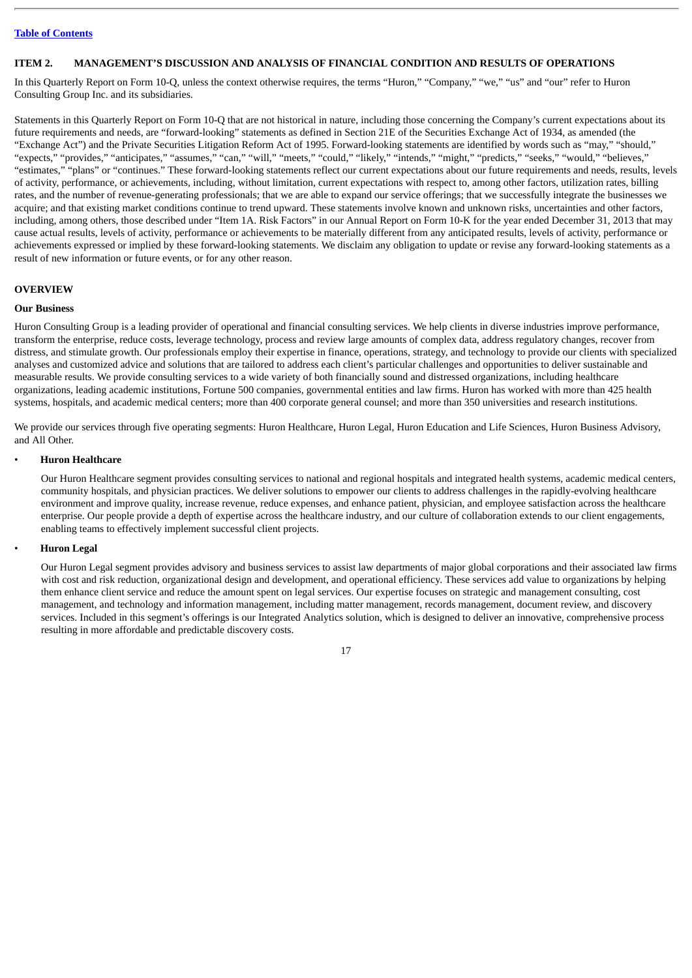#### <span id="page-18-0"></span>**ITEM 2. MANAGEMENT'S DISCUSSION AND ANALYSIS OF FINANCIAL CONDITION AND RESULTS OF OPERATIONS**

In this Quarterly Report on Form 10-Q, unless the context otherwise requires, the terms "Huron," "Company," "we," "us" and "our" refer to Huron Consulting Group Inc. and its subsidiaries.

Statements in this Quarterly Report on Form 10-Q that are not historical in nature, including those concerning the Company's current expectations about its future requirements and needs, are "forward-looking" statements as defined in Section 21E of the Securities Exchange Act of 1934, as amended (the "Exchange Act") and the Private Securities Litigation Reform Act of 1995. Forward-looking statements are identified by words such as "may," "should," "expects," "provides," "anticipates," "assumes," "can," "will," "meets," "could," "likely," "intends," "might," "predicts," "seeks," "would," "believes," "estimates," "plans" or "continues." These forward-looking statements reflect our current expectations about our future requirements and needs, results, levels of activity, performance, or achievements, including, without limitation, current expectations with respect to, among other factors, utilization rates, billing rates, and the number of revenue-generating professionals; that we are able to expand our service offerings; that we successfully integrate the businesses we acquire; and that existing market conditions continue to trend upward. These statements involve known and unknown risks, uncertainties and other factors, including, among others, those described under "Item 1A. Risk Factors" in our Annual Report on Form 10-K for the year ended December 31, 2013 that may cause actual results, levels of activity, performance or achievements to be materially different from any anticipated results, levels of activity, performance or achievements expressed or implied by these forward-looking statements. We disclaim any obligation to update or revise any forward-looking statements as a result of new information or future events, or for any other reason.

#### **OVERVIEW**

#### **Our Business**

Huron Consulting Group is a leading provider of operational and financial consulting services. We help clients in diverse industries improve performance, transform the enterprise, reduce costs, leverage technology, process and review large amounts of complex data, address regulatory changes, recover from distress, and stimulate growth. Our professionals employ their expertise in finance, operations, strategy, and technology to provide our clients with specialized analyses and customized advice and solutions that are tailored to address each client's particular challenges and opportunities to deliver sustainable and measurable results. We provide consulting services to a wide variety of both financially sound and distressed organizations, including healthcare organizations, leading academic institutions, Fortune 500 companies, governmental entities and law firms. Huron has worked with more than 425 health systems, hospitals, and academic medical centers; more than 400 corporate general counsel; and more than 350 universities and research institutions.

We provide our services through five operating segments: Huron Healthcare, Huron Legal, Huron Education and Life Sciences, Huron Business Advisory, and All Other.

#### • **Huron Healthcare**

Our Huron Healthcare segment provides consulting services to national and regional hospitals and integrated health systems, academic medical centers, community hospitals, and physician practices. We deliver solutions to empower our clients to address challenges in the rapidly-evolving healthcare environment and improve quality, increase revenue, reduce expenses, and enhance patient, physician, and employee satisfaction across the healthcare enterprise. Our people provide a depth of expertise across the healthcare industry, and our culture of collaboration extends to our client engagements, enabling teams to effectively implement successful client projects.

#### • **Huron Legal**

Our Huron Legal segment provides advisory and business services to assist law departments of major global corporations and their associated law firms with cost and risk reduction, organizational design and development, and operational efficiency. These services add value to organizations by helping them enhance client service and reduce the amount spent on legal services. Our expertise focuses on strategic and management consulting, cost management, and technology and information management, including matter management, records management, document review, and discovery services. Included in this segment's offerings is our Integrated Analytics solution, which is designed to deliver an innovative, comprehensive process resulting in more affordable and predictable discovery costs.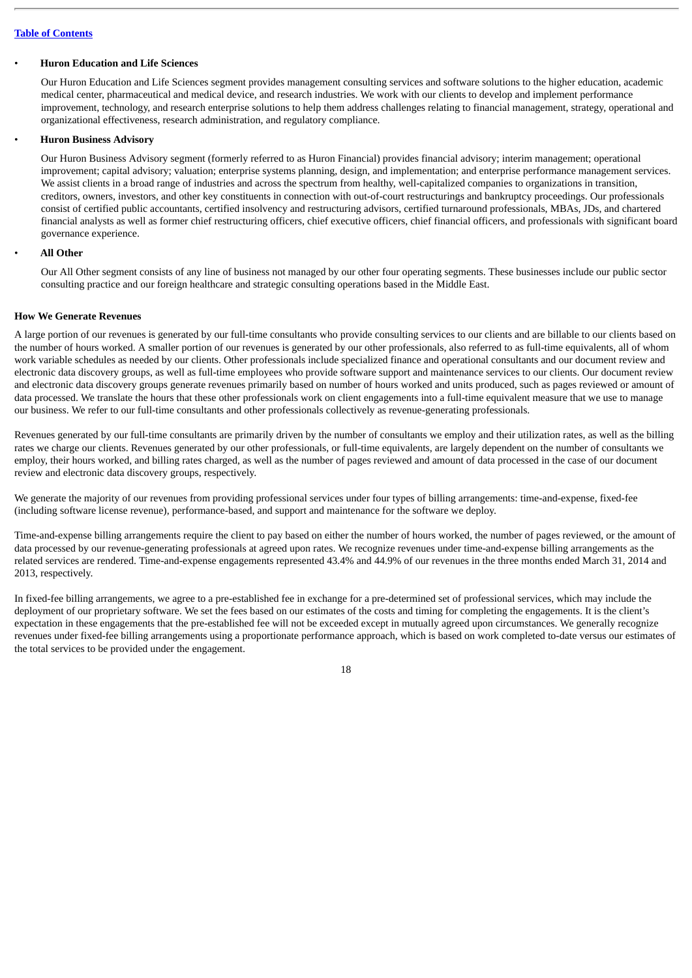## • **Huron Education and Life Sciences**

Our Huron Education and Life Sciences segment provides management consulting services and software solutions to the higher education, academic medical center, pharmaceutical and medical device, and research industries. We work with our clients to develop and implement performance improvement, technology, and research enterprise solutions to help them address challenges relating to financial management, strategy, operational and organizational effectiveness, research administration, and regulatory compliance.

#### • **Huron Business Advisory**

Our Huron Business Advisory segment (formerly referred to as Huron Financial) provides financial advisory; interim management; operational improvement; capital advisory; valuation; enterprise systems planning, design, and implementation; and enterprise performance management services. We assist clients in a broad range of industries and across the spectrum from healthy, well-capitalized companies to organizations in transition, creditors, owners, investors, and other key constituents in connection with out-of-court restructurings and bankruptcy proceedings. Our professionals consist of certified public accountants, certified insolvency and restructuring advisors, certified turnaround professionals, MBAs, JDs, and chartered financial analysts as well as former chief restructuring officers, chief executive officers, chief financial officers, and professionals with significant board governance experience.

#### • **All Other**

Our All Other segment consists of any line of business not managed by our other four operating segments. These businesses include our public sector consulting practice and our foreign healthcare and strategic consulting operations based in the Middle East.

#### **How We Generate Revenues**

A large portion of our revenues is generated by our full-time consultants who provide consulting services to our clients and are billable to our clients based on the number of hours worked. A smaller portion of our revenues is generated by our other professionals, also referred to as full-time equivalents, all of whom work variable schedules as needed by our clients. Other professionals include specialized finance and operational consultants and our document review and electronic data discovery groups, as well as full-time employees who provide software support and maintenance services to our clients. Our document review and electronic data discovery groups generate revenues primarily based on number of hours worked and units produced, such as pages reviewed or amount of data processed. We translate the hours that these other professionals work on client engagements into a full-time equivalent measure that we use to manage our business. We refer to our full-time consultants and other professionals collectively as revenue-generating professionals.

Revenues generated by our full-time consultants are primarily driven by the number of consultants we employ and their utilization rates, as well as the billing rates we charge our clients. Revenues generated by our other professionals, or full-time equivalents, are largely dependent on the number of consultants we employ, their hours worked, and billing rates charged, as well as the number of pages reviewed and amount of data processed in the case of our document review and electronic data discovery groups, respectively.

We generate the majority of our revenues from providing professional services under four types of billing arrangements: time-and-expense, fixed-fee (including software license revenue), performance-based, and support and maintenance for the software we deploy.

Time-and-expense billing arrangements require the client to pay based on either the number of hours worked, the number of pages reviewed, or the amount of data processed by our revenue-generating professionals at agreed upon rates. We recognize revenues under time-and-expense billing arrangements as the related services are rendered. Time-and-expense engagements represented 43.4% and 44.9% of our revenues in the three months ended March 31, 2014 and 2013, respectively.

In fixed-fee billing arrangements, we agree to a pre-established fee in exchange for a pre-determined set of professional services, which may include the deployment of our proprietary software. We set the fees based on our estimates of the costs and timing for completing the engagements. It is the client's expectation in these engagements that the pre-established fee will not be exceeded except in mutually agreed upon circumstances. We generally recognize revenues under fixed-fee billing arrangements using a proportionate performance approach, which is based on work completed to-date versus our estimates of the total services to be provided under the engagement.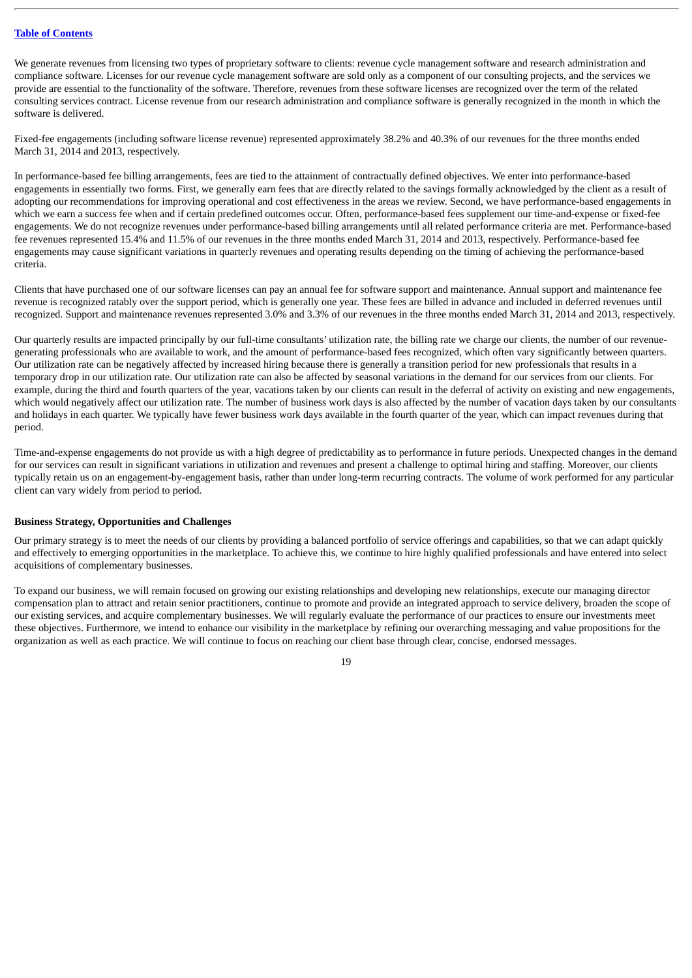We generate revenues from licensing two types of proprietary software to clients: revenue cycle management software and research administration and compliance software. Licenses for our revenue cycle management software are sold only as a component of our consulting projects, and the services we provide are essential to the functionality of the software. Therefore, revenues from these software licenses are recognized over the term of the related consulting services contract. License revenue from our research administration and compliance software is generally recognized in the month in which the software is delivered.

Fixed-fee engagements (including software license revenue) represented approximately 38.2% and 40.3% of our revenues for the three months ended March 31, 2014 and 2013, respectively.

In performance-based fee billing arrangements, fees are tied to the attainment of contractually defined objectives. We enter into performance-based engagements in essentially two forms. First, we generally earn fees that are directly related to the savings formally acknowledged by the client as a result of adopting our recommendations for improving operational and cost effectiveness in the areas we review. Second, we have performance-based engagements in which we earn a success fee when and if certain predefined outcomes occur. Often, performance-based fees supplement our time-and-expense or fixed-fee engagements. We do not recognize revenues under performance-based billing arrangements until all related performance criteria are met. Performance-based fee revenues represented 15.4% and 11.5% of our revenues in the three months ended March 31, 2014 and 2013, respectively. Performance-based fee engagements may cause significant variations in quarterly revenues and operating results depending on the timing of achieving the performance-based criteria.

Clients that have purchased one of our software licenses can pay an annual fee for software support and maintenance. Annual support and maintenance fee revenue is recognized ratably over the support period, which is generally one year. These fees are billed in advance and included in deferred revenues until recognized. Support and maintenance revenues represented 3.0% and 3.3% of our revenues in the three months ended March 31, 2014 and 2013, respectively.

Our quarterly results are impacted principally by our full-time consultants' utilization rate, the billing rate we charge our clients, the number of our revenuegenerating professionals who are available to work, and the amount of performance-based fees recognized, which often vary significantly between quarters. Our utilization rate can be negatively affected by increased hiring because there is generally a transition period for new professionals that results in a temporary drop in our utilization rate. Our utilization rate can also be affected by seasonal variations in the demand for our services from our clients. For example, during the third and fourth quarters of the year, vacations taken by our clients can result in the deferral of activity on existing and new engagements, which would negatively affect our utilization rate. The number of business work days is also affected by the number of vacation days taken by our consultants and holidays in each quarter. We typically have fewer business work days available in the fourth quarter of the year, which can impact revenues during that period.

Time-and-expense engagements do not provide us with a high degree of predictability as to performance in future periods. Unexpected changes in the demand for our services can result in significant variations in utilization and revenues and present a challenge to optimal hiring and staffing. Moreover, our clients typically retain us on an engagement-by-engagement basis, rather than under long-term recurring contracts. The volume of work performed for any particular client can vary widely from period to period.

#### **Business Strategy, Opportunities and Challenges**

Our primary strategy is to meet the needs of our clients by providing a balanced portfolio of service offerings and capabilities, so that we can adapt quickly and effectively to emerging opportunities in the marketplace. To achieve this, we continue to hire highly qualified professionals and have entered into select acquisitions of complementary businesses.

To expand our business, we will remain focused on growing our existing relationships and developing new relationships, execute our managing director compensation plan to attract and retain senior practitioners, continue to promote and provide an integrated approach to service delivery, broaden the scope of our existing services, and acquire complementary businesses. We will regularly evaluate the performance of our practices to ensure our investments meet these objectives. Furthermore, we intend to enhance our visibility in the marketplace by refining our overarching messaging and value propositions for the organization as well as each practice. We will continue to focus on reaching our client base through clear, concise, endorsed messages.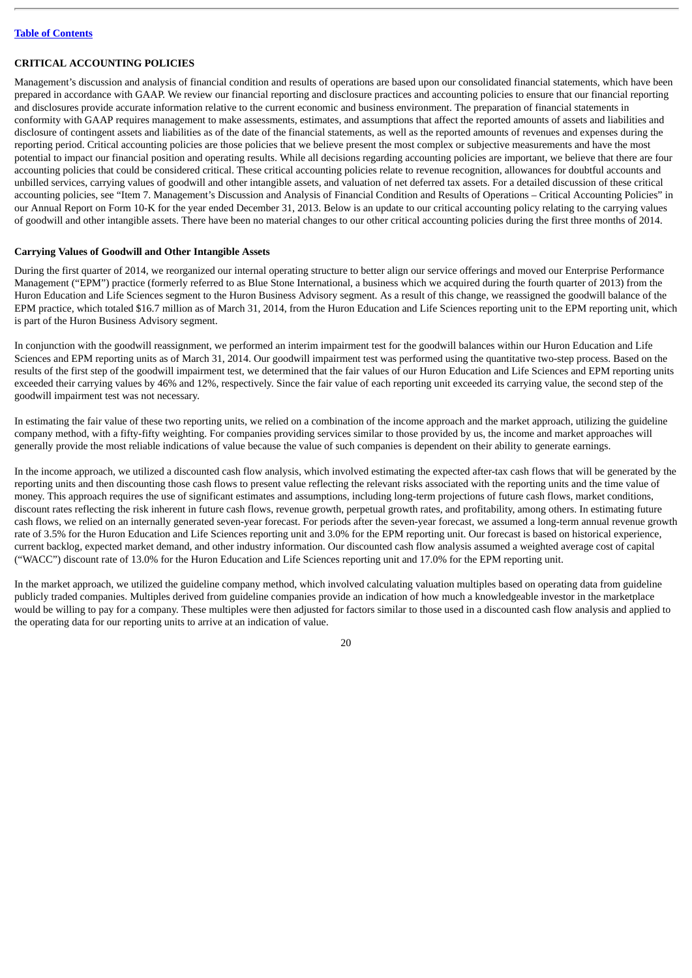## **CRITICAL ACCOUNTING POLICIES**

Management's discussion and analysis of financial condition and results of operations are based upon our consolidated financial statements, which have been prepared in accordance with GAAP. We review our financial reporting and disclosure practices and accounting policies to ensure that our financial reporting and disclosures provide accurate information relative to the current economic and business environment. The preparation of financial statements in conformity with GAAP requires management to make assessments, estimates, and assumptions that affect the reported amounts of assets and liabilities and disclosure of contingent assets and liabilities as of the date of the financial statements, as well as the reported amounts of revenues and expenses during the reporting period. Critical accounting policies are those policies that we believe present the most complex or subjective measurements and have the most potential to impact our financial position and operating results. While all decisions regarding accounting policies are important, we believe that there are four accounting policies that could be considered critical. These critical accounting policies relate to revenue recognition, allowances for doubtful accounts and unbilled services, carrying values of goodwill and other intangible assets, and valuation of net deferred tax assets. For a detailed discussion of these critical accounting policies, see "Item 7. Management's Discussion and Analysis of Financial Condition and Results of Operations – Critical Accounting Policies" in our Annual Report on Form 10-K for the year ended December 31, 2013. Below is an update to our critical accounting policy relating to the carrying values of goodwill and other intangible assets. There have been no material changes to our other critical accounting policies during the first three months of 2014.

#### **Carrying Values of Goodwill and Other Intangible Assets**

During the first quarter of 2014, we reorganized our internal operating structure to better align our service offerings and moved our Enterprise Performance Management ("EPM") practice (formerly referred to as Blue Stone International, a business which we acquired during the fourth quarter of 2013) from the Huron Education and Life Sciences segment to the Huron Business Advisory segment. As a result of this change, we reassigned the goodwill balance of the EPM practice, which totaled \$16.7 million as of March 31, 2014, from the Huron Education and Life Sciences reporting unit to the EPM reporting unit, which is part of the Huron Business Advisory segment.

In conjunction with the goodwill reassignment, we performed an interim impairment test for the goodwill balances within our Huron Education and Life Sciences and EPM reporting units as of March 31, 2014. Our goodwill impairment test was performed using the quantitative two-step process. Based on the results of the first step of the goodwill impairment test, we determined that the fair values of our Huron Education and Life Sciences and EPM reporting units exceeded their carrying values by 46% and 12%, respectively. Since the fair value of each reporting unit exceeded its carrying value, the second step of the goodwill impairment test was not necessary.

In estimating the fair value of these two reporting units, we relied on a combination of the income approach and the market approach, utilizing the guideline company method, with a fifty-fifty weighting. For companies providing services similar to those provided by us, the income and market approaches will generally provide the most reliable indications of value because the value of such companies is dependent on their ability to generate earnings.

In the income approach, we utilized a discounted cash flow analysis, which involved estimating the expected after-tax cash flows that will be generated by the reporting units and then discounting those cash flows to present value reflecting the relevant risks associated with the reporting units and the time value of money. This approach requires the use of significant estimates and assumptions, including long-term projections of future cash flows, market conditions, discount rates reflecting the risk inherent in future cash flows, revenue growth, perpetual growth rates, and profitability, among others. In estimating future cash flows, we relied on an internally generated seven-year forecast. For periods after the seven-year forecast, we assumed a long-term annual revenue growth rate of 3.5% for the Huron Education and Life Sciences reporting unit and 3.0% for the EPM reporting unit. Our forecast is based on historical experience, current backlog, expected market demand, and other industry information. Our discounted cash flow analysis assumed a weighted average cost of capital ("WACC") discount rate of 13.0% for the Huron Education and Life Sciences reporting unit and 17.0% for the EPM reporting unit.

In the market approach, we utilized the guideline company method, which involved calculating valuation multiples based on operating data from guideline publicly traded companies. Multiples derived from guideline companies provide an indication of how much a knowledgeable investor in the marketplace would be willing to pay for a company. These multiples were then adjusted for factors similar to those used in a discounted cash flow analysis and applied to the operating data for our reporting units to arrive at an indication of value.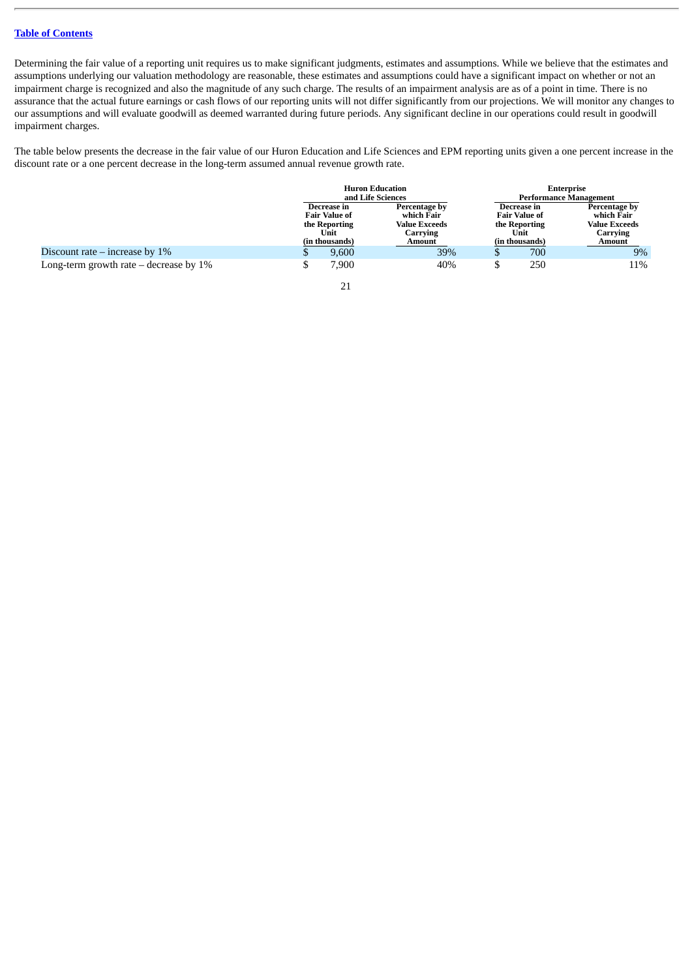Determining the fair value of a reporting unit requires us to make significant judgments, estimates and assumptions. While we believe that the estimates and assumptions underlying our valuation methodology are reasonable, these estimates and assumptions could have a significant impact on whether or not an impairment charge is recognized and also the magnitude of any such charge. The results of an impairment analysis are as of a point in time. There is no assurance that the actual future earnings or cash flows of our reporting units will not differ significantly from our projections. We will monitor any changes to our assumptions and will evaluate goodwill as deemed warranted during future periods. Any significant decline in our operations could result in goodwill impairment charges.

The table below presents the decrease in the fair value of our Huron Education and Life Sciences and EPM reporting units given a one percent increase in the discount rate or a one percent decrease in the long-term assumed annual revenue growth rate.

|                                             |                                                              | <b>Huron Education</b>                                          |                                                              | Enterprise                                                      |  |  |  |
|---------------------------------------------|--------------------------------------------------------------|-----------------------------------------------------------------|--------------------------------------------------------------|-----------------------------------------------------------------|--|--|--|
|                                             |                                                              | and Life Sciences                                               |                                                              | <b>Performance Management</b>                                   |  |  |  |
|                                             | Decrease in<br><b>Fair Value of</b><br>the Reporting<br>Unit | Percentage by<br>which Fair<br><b>Value Exceeds</b><br>Carrying | Decrease in<br><b>Fair Value of</b><br>the Reporting<br>Unit | Percentage by<br>which Fair<br><b>Value Exceeds</b><br>Carrving |  |  |  |
|                                             | (in thousands)                                               | Amount                                                          | (in thousands)                                               | Amount                                                          |  |  |  |
| Discount rate – increase by $1\%$           | 9.600                                                        | 39%                                                             | 700                                                          | $9\%$                                                           |  |  |  |
| Long-term growth rate $-$ decrease by $1\%$ | 7.900                                                        | 40%                                                             | 250                                                          | 11%                                                             |  |  |  |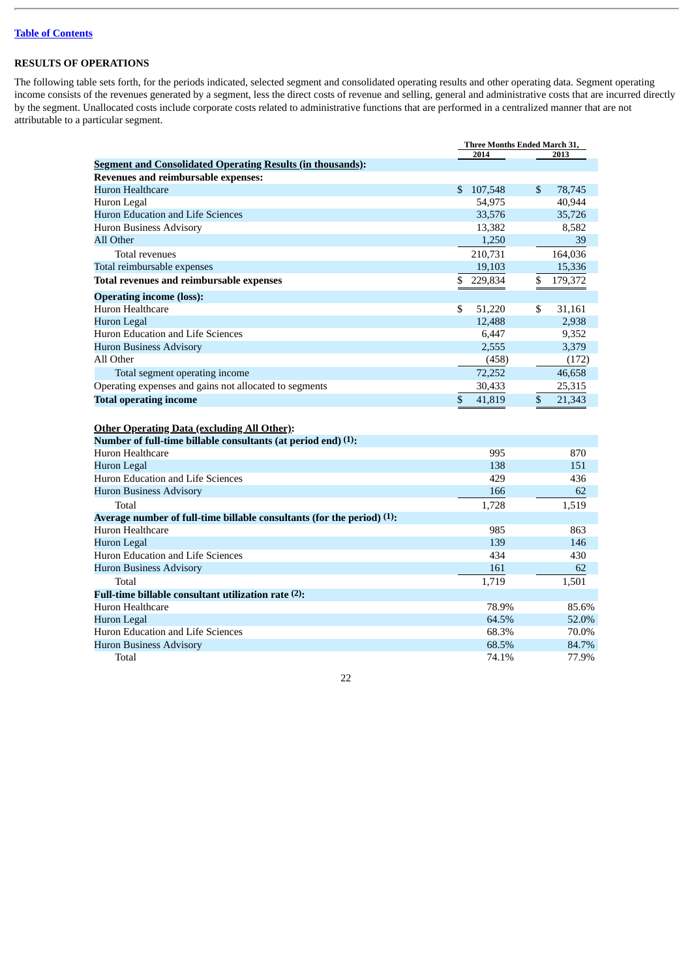## **RESULTS OF OPERATIONS**

The following table sets forth, for the periods indicated, selected segment and consolidated operating results and other operating data. Segment operating income consists of the revenues generated by a segment, less the direct costs of revenue and selling, general and administrative costs that are incurred directly by the segment. Unallocated costs include corporate costs related to administrative functions that are performed in a centralized manner that are not attributable to a particular segment.

|                                                                                                          | <b>Three Months Ended March 31,</b> |         |              |         |
|----------------------------------------------------------------------------------------------------------|-------------------------------------|---------|--------------|---------|
|                                                                                                          |                                     | 2014    |              | 2013    |
| <b>Segment and Consolidated Operating Results (in thousands):</b><br>Revenues and reimbursable expenses: |                                     |         |              |         |
| Huron Healthcare                                                                                         | $\mathcal{S}$                       | 107,548 | $\mathbb{S}$ | 78,745  |
| Huron Legal                                                                                              |                                     | 54,975  |              | 40,944  |
| Huron Education and Life Sciences                                                                        |                                     | 33,576  |              | 35,726  |
| <b>Huron Business Advisory</b>                                                                           |                                     | 13,382  |              | 8,582   |
| All Other                                                                                                |                                     | 1,250   |              | 39      |
| Total revenues                                                                                           |                                     | 210,731 |              | 164,036 |
| Total reimbursable expenses                                                                              |                                     | 19,103  |              | 15,336  |
| <b>Total revenues and reimbursable expenses</b>                                                          | \$                                  | 229,834 | \$           | 179,372 |
| <b>Operating income (loss):</b>                                                                          |                                     |         |              |         |
| Huron Healthcare                                                                                         | \$                                  | 51,220  | \$           | 31,161  |
| <b>Huron Legal</b>                                                                                       |                                     | 12,488  |              | 2,938   |
| Huron Education and Life Sciences                                                                        |                                     | 6,447   |              | 9,352   |
| <b>Huron Business Advisory</b>                                                                           |                                     | 2,555   |              | 3,379   |
| All Other                                                                                                |                                     | (458)   |              | (172)   |
| Total segment operating income                                                                           |                                     | 72,252  |              | 46,658  |
| Operating expenses and gains not allocated to segments                                                   |                                     | 30,433  |              | 25,315  |
| <b>Total operating income</b>                                                                            | $\mathfrak{S}$                      | 41,819  | \$           | 21,343  |
|                                                                                                          |                                     |         |              |         |
| <b>Other Operating Data (excluding All Other):</b>                                                       |                                     |         |              |         |
| Number of full-time billable consultants (at period end) (1):                                            |                                     |         |              |         |
| <b>Huron Healthcare</b>                                                                                  |                                     | 995     |              | 870     |
| <b>Huron Legal</b>                                                                                       |                                     | 138     |              | 151     |
| <b>Huron Education and Life Sciences</b>                                                                 |                                     | 429     |              | 436     |
| <b>Huron Business Advisory</b>                                                                           |                                     | 166     |              | 62      |
| Total                                                                                                    |                                     | 1,728   |              | 1,519   |
| Average number of full-time billable consultants (for the period) (1):                                   |                                     |         |              |         |
| Huron Healthcare                                                                                         |                                     | 985     |              | 863     |
| <b>Huron Legal</b>                                                                                       |                                     | 139     |              | 146     |
| Huron Education and Life Sciences                                                                        |                                     | 434     |              | 430     |
| <b>Huron Business Advisory</b>                                                                           |                                     | 161     |              | 62      |
| Total                                                                                                    |                                     | 1,719   |              | 1,501   |
| Full-time billable consultant utilization rate (2):                                                      |                                     |         |              |         |
| Huron Healthcare                                                                                         |                                     | 78.9%   |              | 85.6%   |
| <b>Huron Legal</b>                                                                                       |                                     | 64.5%   |              | 52.0%   |
| <b>Huron Education and Life Sciences</b>                                                                 |                                     | 68.3%   |              | 70.0%   |
| <b>Huron Business Advisory</b>                                                                           |                                     | 68.5%   |              | 84.7%   |
| Total                                                                                                    |                                     | 74.1%   |              | 77.9%   |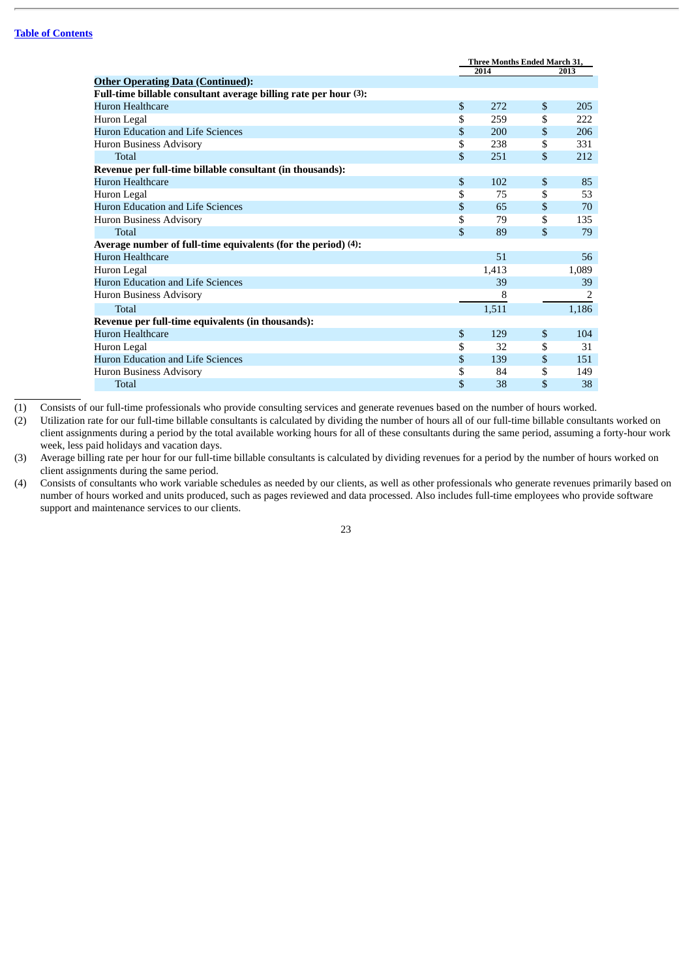|                                                                  | Three Months Ended March 31, |       |      |       |
|------------------------------------------------------------------|------------------------------|-------|------|-------|
|                                                                  |                              | 2014  | 2013 |       |
| <b>Other Operating Data (Continued):</b>                         |                              |       |      |       |
| Full-time billable consultant average billing rate per hour (3): |                              |       |      |       |
| Huron Healthcare                                                 | \$                           | 272   | \$   | 205   |
| Huron Legal                                                      | \$                           | 259   | \$   | 222   |
| Huron Education and Life Sciences                                | \$                           | 200   | \$   | 206   |
| <b>Huron Business Advisory</b>                                   | \$                           | 238   | \$   | 331   |
| Total                                                            | \$                           | 251   | \$   | 212   |
| Revenue per full-time billable consultant (in thousands):        |                              |       |      |       |
| Huron Healthcare                                                 | \$                           | 102   | \$   | 85    |
| Huron Legal                                                      | \$                           | 75    | \$   | 53    |
| Huron Education and Life Sciences                                | \$                           | 65    | \$   | 70    |
| <b>Huron Business Advisory</b>                                   | \$                           | 79    | \$   | 135   |
| Total                                                            | \$                           | 89    | \$   | 79    |
| Average number of full-time equivalents (for the period) (4):    |                              |       |      |       |
| Huron Healthcare                                                 |                              | 51    |      | 56    |
| Huron Legal                                                      |                              | 1,413 |      | 1,089 |
| Huron Education and Life Sciences                                |                              | 39    |      | 39    |
| Huron Business Advisory                                          |                              | 8     |      | 2     |
| Total                                                            |                              | 1,511 |      | 1,186 |
| Revenue per full-time equivalents (in thousands):                |                              |       |      |       |
| Huron Healthcare                                                 | \$                           | 129   | \$   | 104   |
| Huron Legal                                                      | \$                           | 32    | \$   | 31    |
| Huron Education and Life Sciences                                | \$                           | 139   | \$   | 151   |
| <b>Huron Business Advisory</b>                                   | \$                           | 84    | \$   | 149   |
| Total                                                            | \$                           | 38    | \$   | 38    |

(1) Consists of our full-time professionals who provide consulting services and generate revenues based on the number of hours worked.

(2) Utilization rate for our full-time billable consultants is calculated by dividing the number of hours all of our full-time billable consultants worked on client assignments during a period by the total available working hours for all of these consultants during the same period, assuming a forty-hour work week, less paid holidays and vacation days.

(3) Average billing rate per hour for our full-time billable consultants is calculated by dividing revenues for a period by the number of hours worked on client assignments during the same period.

(4) Consists of consultants who work variable schedules as needed by our clients, as well as other professionals who generate revenues primarily based on number of hours worked and units produced, such as pages reviewed and data processed. Also includes full-time employees who provide software support and maintenance services to our clients.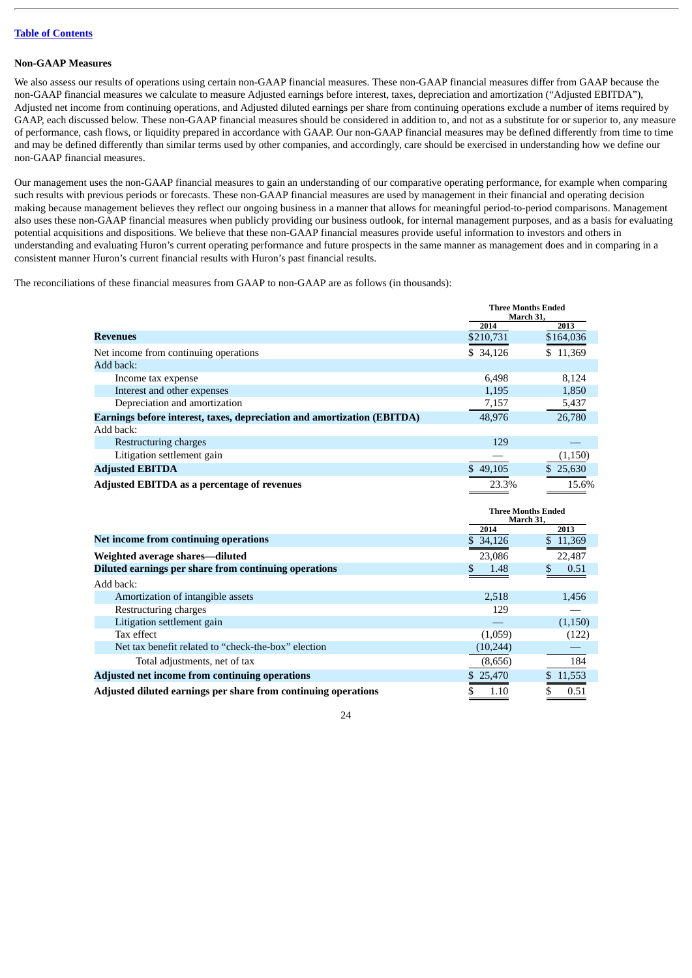#### **Non-GAAP Measures**

We also assess our results of operations using certain non-GAAP financial measures. These non-GAAP financial measures differ from GAAP because the non-GAAP financial measures we calculate to measure Adjusted earnings before interest, taxes, depreciation and amortization ("Adjusted EBITDA"), Adjusted net income from continuing operations, and Adjusted diluted earnings per share from continuing operations exclude a number of items required by GAAP, each discussed below. These non-GAAP financial measures should be considered in addition to, and not as a substitute for or superior to, any measure of performance, cash flows, or liquidity prepared in accordance with GAAP. Our non-GAAP financial measures may be defined differently from time to time and may be defined differently than similar terms used by other companies, and accordingly, care should be exercised in understanding how we define our non-GAAP financial measures.

Our management uses the non-GAAP financial measures to gain an understanding of our comparative operating performance, for example when comparing such results with previous periods or forecasts. These non-GAAP financial measures are used by management in their financial and operating decision making because management believes they reflect our ongoing business in a manner that allows for meaningful period-to-period comparisons. Management also uses these non-GAAP financial measures when publicly providing our business outlook, for internal management purposes, and as a basis for evaluating potential acquisitions and dispositions. We believe that these non-GAAP financial measures provide useful information to investors and others in understanding and evaluating Huron's current operating performance and future prospects in the same manner as management does and in comparing in a consistent manner Huron's current financial results with Huron's past financial results.

The reconciliations of these financial measures from GAAP to non-GAAP are as follows (in thousands):

|                                                                         | <b>Three Months Ended</b><br>March 31. |           |
|-------------------------------------------------------------------------|----------------------------------------|-----------|
|                                                                         | 2014                                   | 2013      |
| Revenues                                                                | \$210,731                              | \$164,036 |
| Net income from continuing operations                                   | \$34,126                               | \$11,369  |
| Add back:                                                               |                                        |           |
| Income tax expense                                                      | 6.498                                  | 8.124     |
| Interest and other expenses                                             | 1,195                                  | 1,850     |
| Depreciation and amortization                                           | 7,157                                  | 5,437     |
| Earnings before interest, taxes, depreciation and amortization (EBITDA) | 48,976                                 | 26,780    |
| Add back:                                                               |                                        |           |
| Restructuring charges                                                   | 129                                    |           |
| Litigation settlement gain                                              |                                        | (1,150)   |
| <b>Adjusted EBITDA</b>                                                  | \$49.105                               | \$25,630  |
| Adjusted EBITDA as a percentage of revenues                             | 23.3%                                  | 15.6%     |

|                                                                | <b>Three Months Ended</b><br>March 31. |          |  |
|----------------------------------------------------------------|----------------------------------------|----------|--|
|                                                                | 2014                                   | 2013     |  |
| Net income from continuing operations                          | \$34,126                               | \$11,369 |  |
| Weighted average shares-diluted                                | 23,086                                 | 22,487   |  |
| Diluted earnings per share from continuing operations          | 1.48                                   | 0.51     |  |
| Add back:                                                      |                                        |          |  |
| Amortization of intangible assets                              | 2,518                                  | 1,456    |  |
| Restructuring charges                                          | 129                                    |          |  |
| Litigation settlement gain                                     |                                        | (1,150)  |  |
| Tax effect                                                     | (1,059)                                | (122)    |  |
| Net tax benefit related to "check-the-box" election            | (10, 244)                              |          |  |
| Total adjustments, net of tax                                  | (8,656)                                | 184      |  |
| Adjusted net income from continuing operations                 | \$25,470                               | 11,553   |  |
| Adjusted diluted earnings per share from continuing operations | 1.10                                   | 0.51     |  |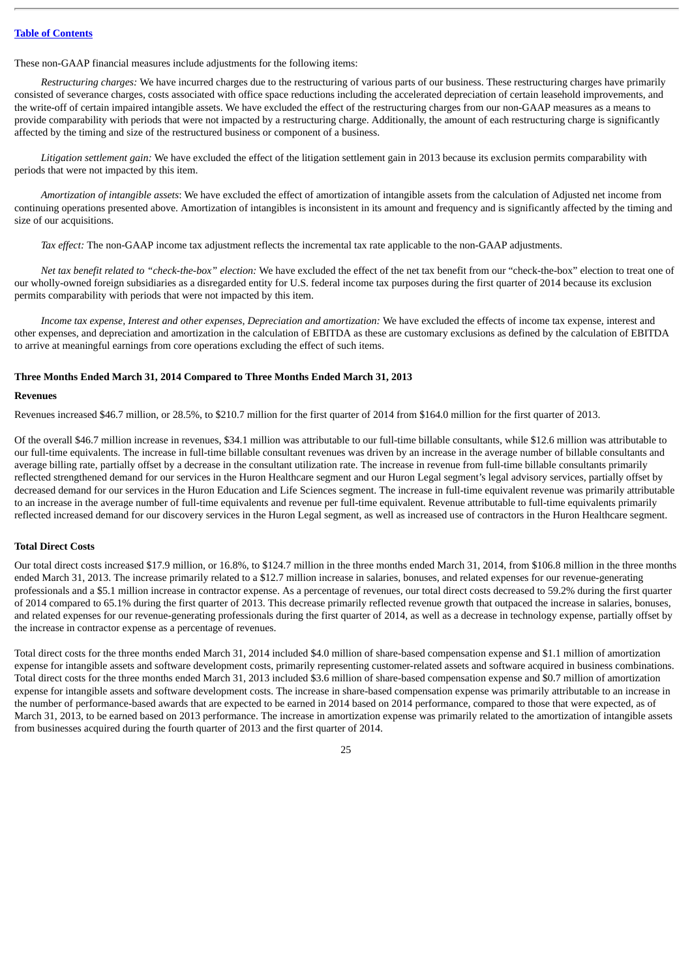These non-GAAP financial measures include adjustments for the following items:

*Restructuring charges:* We have incurred charges due to the restructuring of various parts of our business. These restructuring charges have primarily consisted of severance charges, costs associated with office space reductions including the accelerated depreciation of certain leasehold improvements, and the write-off of certain impaired intangible assets. We have excluded the effect of the restructuring charges from our non-GAAP measures as a means to provide comparability with periods that were not impacted by a restructuring charge. Additionally, the amount of each restructuring charge is significantly affected by the timing and size of the restructured business or component of a business.

*Litigation settlement gain:* We have excluded the effect of the litigation settlement gain in 2013 because its exclusion permits comparability with periods that were not impacted by this item.

*Amortization of intangible assets*: We have excluded the effect of amortization of intangible assets from the calculation of Adjusted net income from continuing operations presented above. Amortization of intangibles is inconsistent in its amount and frequency and is significantly affected by the timing and size of our acquisitions.

*Tax effect:* The non-GAAP income tax adjustment reflects the incremental tax rate applicable to the non-GAAP adjustments.

*Net tax benefit related to "check-the-box" election:* We have excluded the effect of the net tax benefit from our "check-the-box" election to treat one of our wholly-owned foreign subsidiaries as a disregarded entity for U.S. federal income tax purposes during the first quarter of 2014 because its exclusion permits comparability with periods that were not impacted by this item.

*Income tax expense, Interest and other expenses, Depreciation and amortization:* We have excluded the effects of income tax expense, interest and other expenses, and depreciation and amortization in the calculation of EBITDA as these are customary exclusions as defined by the calculation of EBITDA to arrive at meaningful earnings from core operations excluding the effect of such items.

#### **Three Months Ended March 31, 2014 Compared to Three Months Ended March 31, 2013**

#### **Revenues**

Revenues increased \$46.7 million, or 28.5%, to \$210.7 million for the first quarter of 2014 from \$164.0 million for the first quarter of 2013.

Of the overall \$46.7 million increase in revenues, \$34.1 million was attributable to our full-time billable consultants, while \$12.6 million was attributable to our full-time equivalents. The increase in full-time billable consultant revenues was driven by an increase in the average number of billable consultants and average billing rate, partially offset by a decrease in the consultant utilization rate. The increase in revenue from full-time billable consultants primarily reflected strengthened demand for our services in the Huron Healthcare segment and our Huron Legal segment's legal advisory services, partially offset by decreased demand for our services in the Huron Education and Life Sciences segment. The increase in full-time equivalent revenue was primarily attributable to an increase in the average number of full-time equivalents and revenue per full-time equivalent. Revenue attributable to full-time equivalents primarily reflected increased demand for our discovery services in the Huron Legal segment, as well as increased use of contractors in the Huron Healthcare segment.

#### **Total Direct Costs**

Our total direct costs increased \$17.9 million, or 16.8%, to \$124.7 million in the three months ended March 31, 2014, from \$106.8 million in the three months ended March 31, 2013. The increase primarily related to a \$12.7 million increase in salaries, bonuses, and related expenses for our revenue-generating professionals and a \$5.1 million increase in contractor expense. As a percentage of revenues, our total direct costs decreased to 59.2% during the first quarter of 2014 compared to 65.1% during the first quarter of 2013. This decrease primarily reflected revenue growth that outpaced the increase in salaries, bonuses, and related expenses for our revenue-generating professionals during the first quarter of 2014, as well as a decrease in technology expense, partially offset by the increase in contractor expense as a percentage of revenues.

Total direct costs for the three months ended March 31, 2014 included \$4.0 million of share-based compensation expense and \$1.1 million of amortization expense for intangible assets and software development costs, primarily representing customer-related assets and software acquired in business combinations. Total direct costs for the three months ended March 31, 2013 included \$3.6 million of share-based compensation expense and \$0.7 million of amortization expense for intangible assets and software development costs. The increase in share-based compensation expense was primarily attributable to an increase in the number of performance-based awards that are expected to be earned in 2014 based on 2014 performance, compared to those that were expected, as of March 31, 2013, to be earned based on 2013 performance. The increase in amortization expense was primarily related to the amortization of intangible assets from businesses acquired during the fourth quarter of 2013 and the first quarter of 2014.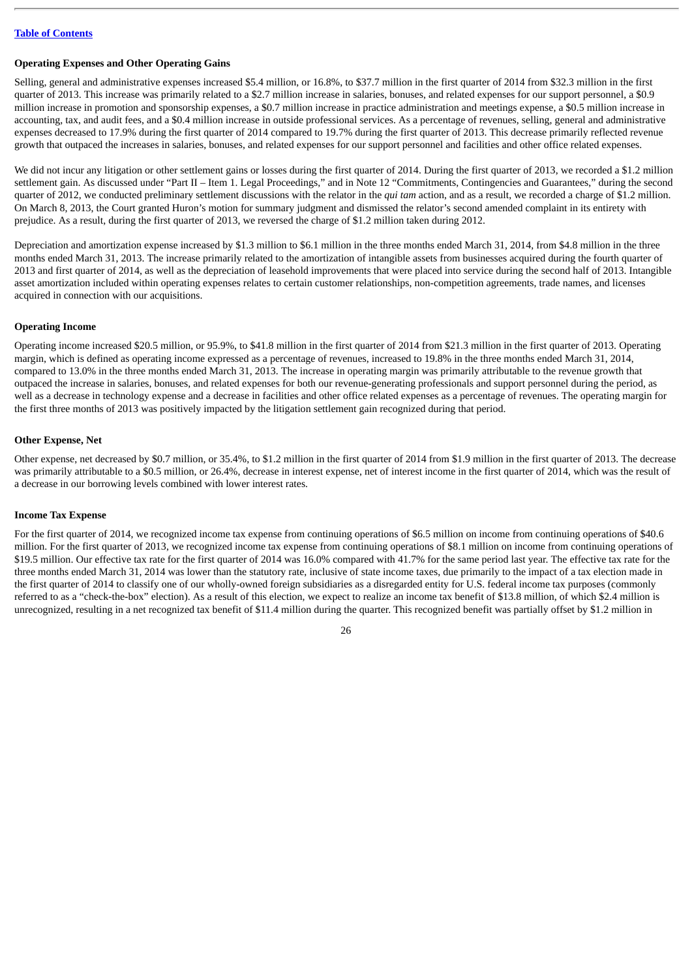## **Operating Expenses and Other Operating Gains**

Selling, general and administrative expenses increased \$5.4 million, or 16.8%, to \$37.7 million in the first quarter of 2014 from \$32.3 million in the first quarter of 2013. This increase was primarily related to a \$2.7 million increase in salaries, bonuses, and related expenses for our support personnel, a \$0.9 million increase in promotion and sponsorship expenses, a \$0.7 million increase in practice administration and meetings expense, a \$0.5 million increase in accounting, tax, and audit fees, and a \$0.4 million increase in outside professional services. As a percentage of revenues, selling, general and administrative expenses decreased to 17.9% during the first quarter of 2014 compared to 19.7% during the first quarter of 2013. This decrease primarily reflected revenue growth that outpaced the increases in salaries, bonuses, and related expenses for our support personnel and facilities and other office related expenses.

We did not incur any litigation or other settlement gains or losses during the first quarter of 2014. During the first quarter of 2013, we recorded a \$1.2 million settlement gain. As discussed under "Part II – Item 1. Legal Proceedings," and in Note 12 "Commitments, Contingencies and Guarantees," during the second quarter of 2012, we conducted preliminary settlement discussions with the relator in the *qui tam* action, and as a result, we recorded a charge of \$1.2 million. On March 8, 2013, the Court granted Huron's motion for summary judgment and dismissed the relator's second amended complaint in its entirety with prejudice. As a result, during the first quarter of 2013, we reversed the charge of \$1.2 million taken during 2012.

Depreciation and amortization expense increased by \$1.3 million to \$6.1 million in the three months ended March 31, 2014, from \$4.8 million in the three months ended March 31, 2013. The increase primarily related to the amortization of intangible assets from businesses acquired during the fourth quarter of 2013 and first quarter of 2014, as well as the depreciation of leasehold improvements that were placed into service during the second half of 2013. Intangible asset amortization included within operating expenses relates to certain customer relationships, non-competition agreements, trade names, and licenses acquired in connection with our acquisitions.

#### **Operating Income**

Operating income increased \$20.5 million, or 95.9%, to \$41.8 million in the first quarter of 2014 from \$21.3 million in the first quarter of 2013. Operating margin, which is defined as operating income expressed as a percentage of revenues, increased to 19.8% in the three months ended March 31, 2014, compared to 13.0% in the three months ended March 31, 2013. The increase in operating margin was primarily attributable to the revenue growth that outpaced the increase in salaries, bonuses, and related expenses for both our revenue-generating professionals and support personnel during the period, as well as a decrease in technology expense and a decrease in facilities and other office related expenses as a percentage of revenues. The operating margin for the first three months of 2013 was positively impacted by the litigation settlement gain recognized during that period.

#### **Other Expense, Net**

Other expense, net decreased by \$0.7 million, or 35.4%, to \$1.2 million in the first quarter of 2014 from \$1.9 million in the first quarter of 2013. The decrease was primarily attributable to a \$0.5 million, or 26.4%, decrease in interest expense, net of interest income in the first quarter of 2014, which was the result of a decrease in our borrowing levels combined with lower interest rates.

#### **Income Tax Expense**

For the first quarter of 2014, we recognized income tax expense from continuing operations of \$6.5 million on income from continuing operations of \$40.6 million. For the first quarter of 2013, we recognized income tax expense from continuing operations of \$8.1 million on income from continuing operations of \$19.5 million. Our effective tax rate for the first quarter of 2014 was 16.0% compared with 41.7% for the same period last year. The effective tax rate for the three months ended March 31, 2014 was lower than the statutory rate, inclusive of state income taxes, due primarily to the impact of a tax election made in the first quarter of 2014 to classify one of our wholly-owned foreign subsidiaries as a disregarded entity for U.S. federal income tax purposes (commonly referred to as a "check-the-box" election). As a result of this election, we expect to realize an income tax benefit of \$13.8 million, of which \$2.4 million is unrecognized, resulting in a net recognized tax benefit of \$11.4 million during the quarter. This recognized benefit was partially offset by \$1.2 million in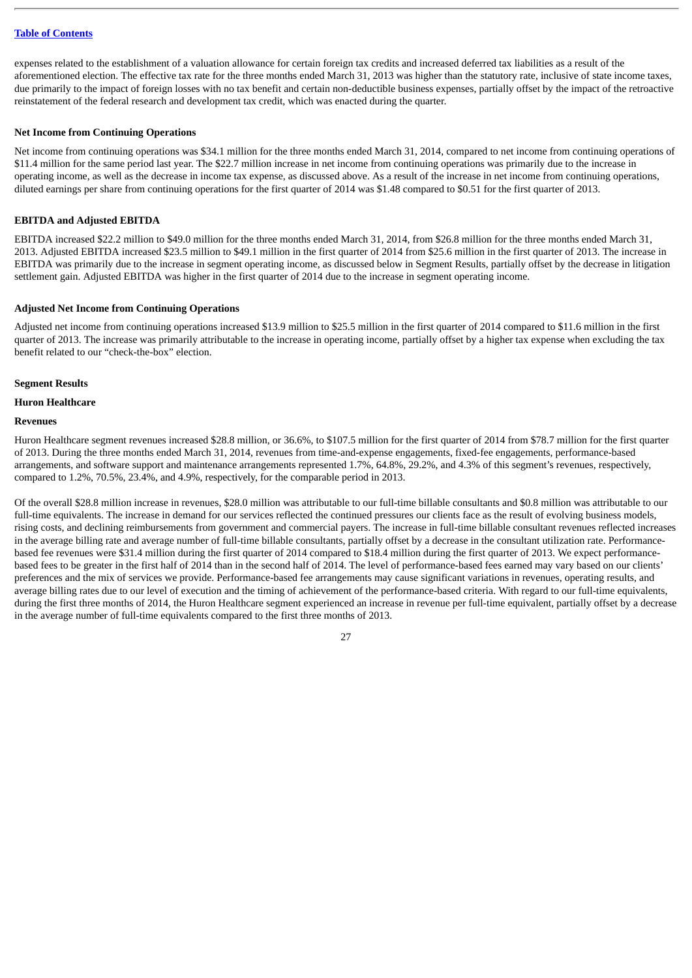expenses related to the establishment of a valuation allowance for certain foreign tax credits and increased deferred tax liabilities as a result of the aforementioned election. The effective tax rate for the three months ended March 31, 2013 was higher than the statutory rate, inclusive of state income taxes, due primarily to the impact of foreign losses with no tax benefit and certain non-deductible business expenses, partially offset by the impact of the retroactive reinstatement of the federal research and development tax credit, which was enacted during the quarter.

#### **Net Income from Continuing Operations**

Net income from continuing operations was \$34.1 million for the three months ended March 31, 2014, compared to net income from continuing operations of \$11.4 million for the same period last year. The \$22.7 million increase in net income from continuing operations was primarily due to the increase in operating income, as well as the decrease in income tax expense, as discussed above. As a result of the increase in net income from continuing operations, diluted earnings per share from continuing operations for the first quarter of 2014 was \$1.48 compared to \$0.51 for the first quarter of 2013.

#### **EBITDA and Adjusted EBITDA**

EBITDA increased \$22.2 million to \$49.0 million for the three months ended March 31, 2014, from \$26.8 million for the three months ended March 31, 2013. Adjusted EBITDA increased \$23.5 million to \$49.1 million in the first quarter of 2014 from \$25.6 million in the first quarter of 2013. The increase in EBITDA was primarily due to the increase in segment operating income, as discussed below in Segment Results, partially offset by the decrease in litigation settlement gain. Adjusted EBITDA was higher in the first quarter of 2014 due to the increase in segment operating income.

#### **Adjusted Net Income from Continuing Operations**

Adjusted net income from continuing operations increased \$13.9 million to \$25.5 million in the first quarter of 2014 compared to \$11.6 million in the first quarter of 2013. The increase was primarily attributable to the increase in operating income, partially offset by a higher tax expense when excluding the tax benefit related to our "check-the-box" election.

#### **Segment Results**

#### **Huron Healthcare**

#### **Revenues**

Huron Healthcare segment revenues increased \$28.8 million, or 36.6%, to \$107.5 million for the first quarter of 2014 from \$78.7 million for the first quarter of 2013. During the three months ended March 31, 2014, revenues from time-and-expense engagements, fixed-fee engagements, performance-based arrangements, and software support and maintenance arrangements represented 1.7%, 64.8%, 29.2%, and 4.3% of this segment's revenues, respectively, compared to 1.2%, 70.5%, 23.4%, and 4.9%, respectively, for the comparable period in 2013.

Of the overall \$28.8 million increase in revenues, \$28.0 million was attributable to our full-time billable consultants and \$0.8 million was attributable to our full-time equivalents. The increase in demand for our services reflected the continued pressures our clients face as the result of evolving business models, rising costs, and declining reimbursements from government and commercial payers. The increase in full-time billable consultant revenues reflected increases in the average billing rate and average number of full-time billable consultants, partially offset by a decrease in the consultant utilization rate. Performancebased fee revenues were \$31.4 million during the first quarter of 2014 compared to \$18.4 million during the first quarter of 2013. We expect performancebased fees to be greater in the first half of 2014 than in the second half of 2014. The level of performance-based fees earned may vary based on our clients' preferences and the mix of services we provide. Performance-based fee arrangements may cause significant variations in revenues, operating results, and average billing rates due to our level of execution and the timing of achievement of the performance-based criteria. With regard to our full-time equivalents, during the first three months of 2014, the Huron Healthcare segment experienced an increase in revenue per full-time equivalent, partially offset by a decrease in the average number of full-time equivalents compared to the first three months of 2013.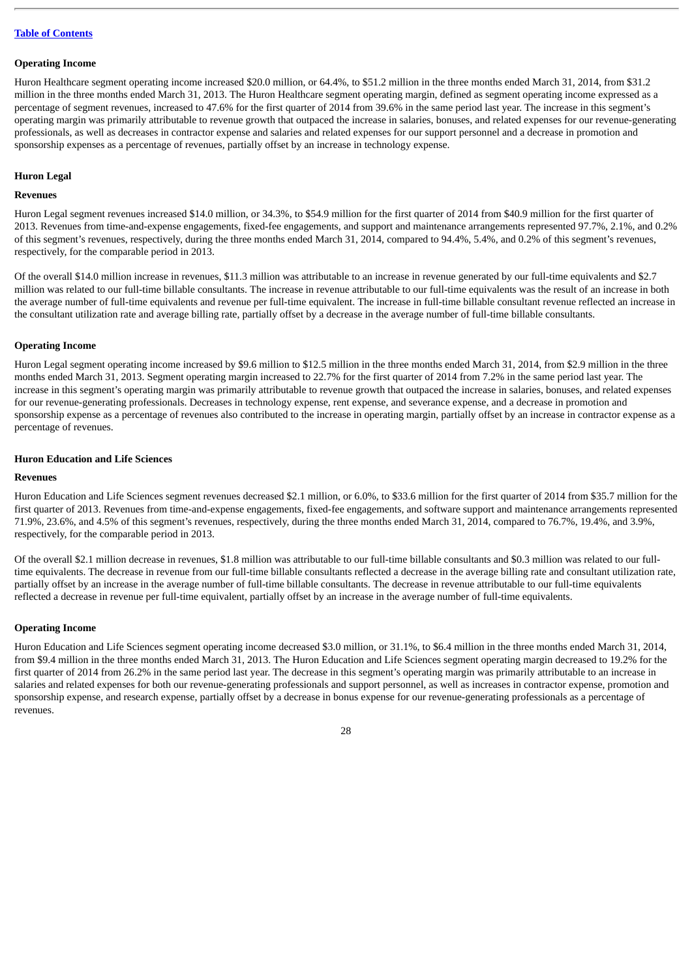#### **Operating Income**

Huron Healthcare segment operating income increased \$20.0 million, or 64.4%, to \$51.2 million in the three months ended March 31, 2014, from \$31.2 million in the three months ended March 31, 2013. The Huron Healthcare segment operating margin, defined as segment operating income expressed as a percentage of segment revenues, increased to 47.6% for the first quarter of 2014 from 39.6% in the same period last year. The increase in this segment's operating margin was primarily attributable to revenue growth that outpaced the increase in salaries, bonuses, and related expenses for our revenue-generating professionals, as well as decreases in contractor expense and salaries and related expenses for our support personnel and a decrease in promotion and sponsorship expenses as a percentage of revenues, partially offset by an increase in technology expense.

#### **Huron Legal**

#### **Revenues**

Huron Legal segment revenues increased \$14.0 million, or 34.3%, to \$54.9 million for the first quarter of 2014 from \$40.9 million for the first quarter of 2013. Revenues from time-and-expense engagements, fixed-fee engagements, and support and maintenance arrangements represented 97.7%, 2.1%, and 0.2% of this segment's revenues, respectively, during the three months ended March 31, 2014, compared to 94.4%, 5.4%, and 0.2% of this segment's revenues, respectively, for the comparable period in 2013.

Of the overall \$14.0 million increase in revenues, \$11.3 million was attributable to an increase in revenue generated by our full-time equivalents and \$2.7 million was related to our full-time billable consultants. The increase in revenue attributable to our full-time equivalents was the result of an increase in both the average number of full-time equivalents and revenue per full-time equivalent. The increase in full-time billable consultant revenue reflected an increase in the consultant utilization rate and average billing rate, partially offset by a decrease in the average number of full-time billable consultants.

#### **Operating Income**

Huron Legal segment operating income increased by \$9.6 million to \$12.5 million in the three months ended March 31, 2014, from \$2.9 million in the three months ended March 31, 2013. Segment operating margin increased to 22.7% for the first quarter of 2014 from 7.2% in the same period last year. The increase in this segment's operating margin was primarily attributable to revenue growth that outpaced the increase in salaries, bonuses, and related expenses for our revenue-generating professionals. Decreases in technology expense, rent expense, and severance expense, and a decrease in promotion and sponsorship expense as a percentage of revenues also contributed to the increase in operating margin, partially offset by an increase in contractor expense as a percentage of revenues.

#### **Huron Education and Life Sciences**

#### **Revenues**

Huron Education and Life Sciences segment revenues decreased \$2.1 million, or 6.0%, to \$33.6 million for the first quarter of 2014 from \$35.7 million for the first quarter of 2013. Revenues from time-and-expense engagements, fixed-fee engagements, and software support and maintenance arrangements represented 71.9%, 23.6%, and 4.5% of this segment's revenues, respectively, during the three months ended March 31, 2014, compared to 76.7%, 19.4%, and 3.9%, respectively, for the comparable period in 2013.

Of the overall \$2.1 million decrease in revenues, \$1.8 million was attributable to our full-time billable consultants and \$0.3 million was related to our fulltime equivalents. The decrease in revenue from our full-time billable consultants reflected a decrease in the average billing rate and consultant utilization rate, partially offset by an increase in the average number of full-time billable consultants. The decrease in revenue attributable to our full-time equivalents reflected a decrease in revenue per full-time equivalent, partially offset by an increase in the average number of full-time equivalents.

#### **Operating Income**

Huron Education and Life Sciences segment operating income decreased \$3.0 million, or 31.1%, to \$6.4 million in the three months ended March 31, 2014, from \$9.4 million in the three months ended March 31, 2013. The Huron Education and Life Sciences segment operating margin decreased to 19.2% for the first quarter of 2014 from 26.2% in the same period last year. The decrease in this segment's operating margin was primarily attributable to an increase in salaries and related expenses for both our revenue-generating professionals and support personnel, as well as increases in contractor expense, promotion and sponsorship expense, and research expense, partially offset by a decrease in bonus expense for our revenue-generating professionals as a percentage of revenues.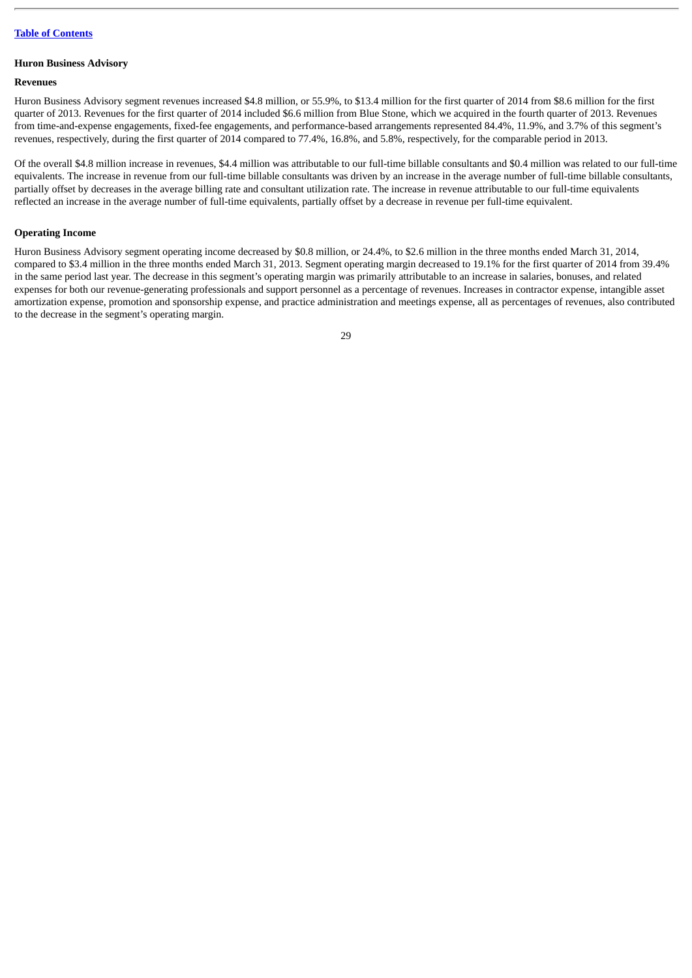#### **Huron Business Advisory**

#### **Revenues**

Huron Business Advisory segment revenues increased \$4.8 million, or 55.9%, to \$13.4 million for the first quarter of 2014 from \$8.6 million for the first quarter of 2013. Revenues for the first quarter of 2014 included \$6.6 million from Blue Stone, which we acquired in the fourth quarter of 2013. Revenues from time-and-expense engagements, fixed-fee engagements, and performance-based arrangements represented 84.4%, 11.9%, and 3.7% of this segment's revenues, respectively, during the first quarter of 2014 compared to 77.4%, 16.8%, and 5.8%, respectively, for the comparable period in 2013.

Of the overall \$4.8 million increase in revenues, \$4.4 million was attributable to our full-time billable consultants and \$0.4 million was related to our full-time equivalents. The increase in revenue from our full-time billable consultants was driven by an increase in the average number of full-time billable consultants, partially offset by decreases in the average billing rate and consultant utilization rate. The increase in revenue attributable to our full-time equivalents reflected an increase in the average number of full-time equivalents, partially offset by a decrease in revenue per full-time equivalent.

#### **Operating Income**

Huron Business Advisory segment operating income decreased by \$0.8 million, or 24.4%, to \$2.6 million in the three months ended March 31, 2014, compared to \$3.4 million in the three months ended March 31, 2013. Segment operating margin decreased to 19.1% for the first quarter of 2014 from 39.4% in the same period last year. The decrease in this segment's operating margin was primarily attributable to an increase in salaries, bonuses, and related expenses for both our revenue-generating professionals and support personnel as a percentage of revenues. Increases in contractor expense, intangible asset amortization expense, promotion and sponsorship expense, and practice administration and meetings expense, all as percentages of revenues, also contributed to the decrease in the segment's operating margin.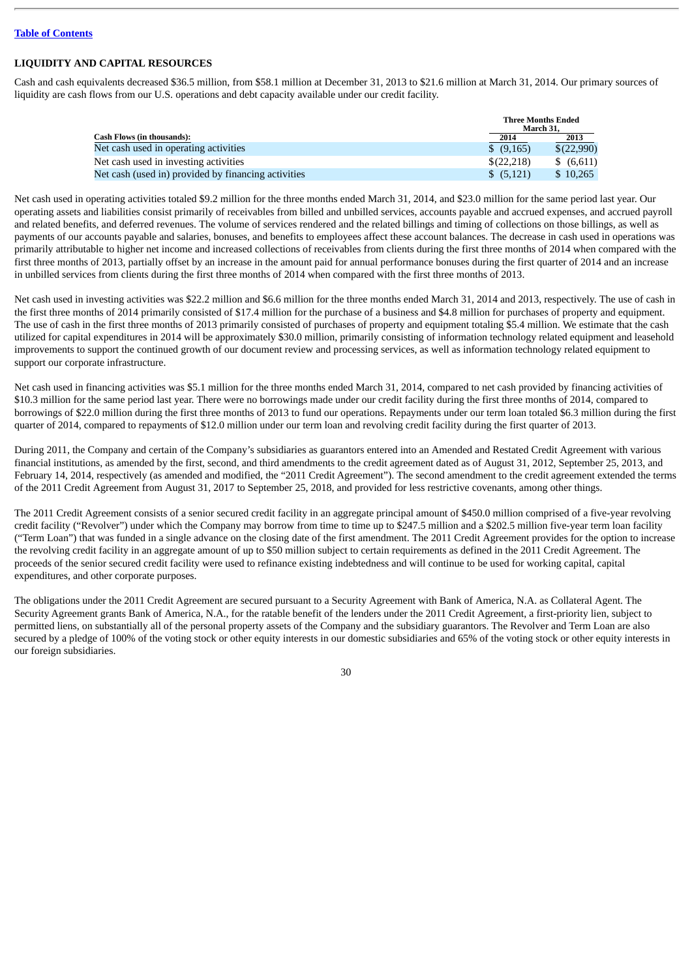## **LIQUIDITY AND CAPITAL RESOURCES**

Cash and cash equivalents decreased \$36.5 million, from \$58.1 million at December 31, 2013 to \$21.6 million at March 31, 2014. Our primary sources of liquidity are cash flows from our U.S. operations and debt capacity available under our credit facility.

|                                                     |            | <b>Three Months Ended</b><br>March 31, |  |  |
|-----------------------------------------------------|------------|----------------------------------------|--|--|
| Cash Flows (in thousands):                          | 2014       | 2013                                   |  |  |
| Net cash used in operating activities               | \$ (9,165) | \$(22,990)                             |  |  |
| Net cash used in investing activities               | \$(22,218) | \$ (6,611)                             |  |  |
| Net cash (used in) provided by financing activities | \$ (5,121) | \$10.265                               |  |  |

Net cash used in operating activities totaled \$9.2 million for the three months ended March 31, 2014, and \$23.0 million for the same period last year. Our operating assets and liabilities consist primarily of receivables from billed and unbilled services, accounts payable and accrued expenses, and accrued payroll and related benefits, and deferred revenues. The volume of services rendered and the related billings and timing of collections on those billings, as well as payments of our accounts payable and salaries, bonuses, and benefits to employees affect these account balances. The decrease in cash used in operations was primarily attributable to higher net income and increased collections of receivables from clients during the first three months of 2014 when compared with the first three months of 2013, partially offset by an increase in the amount paid for annual performance bonuses during the first quarter of 2014 and an increase in unbilled services from clients during the first three months of 2014 when compared with the first three months of 2013.

Net cash used in investing activities was \$22.2 million and \$6.6 million for the three months ended March 31, 2014 and 2013, respectively. The use of cash in the first three months of 2014 primarily consisted of \$17.4 million for the purchase of a business and \$4.8 million for purchases of property and equipment. The use of cash in the first three months of 2013 primarily consisted of purchases of property and equipment totaling \$5.4 million. We estimate that the cash utilized for capital expenditures in 2014 will be approximately \$30.0 million, primarily consisting of information technology related equipment and leasehold improvements to support the continued growth of our document review and processing services, as well as information technology related equipment to support our corporate infrastructure.

Net cash used in financing activities was \$5.1 million for the three months ended March 31, 2014, compared to net cash provided by financing activities of \$10.3 million for the same period last year. There were no borrowings made under our credit facility during the first three months of 2014, compared to borrowings of \$22.0 million during the first three months of 2013 to fund our operations. Repayments under our term loan totaled \$6.3 million during the first quarter of 2014, compared to repayments of \$12.0 million under our term loan and revolving credit facility during the first quarter of 2013.

During 2011, the Company and certain of the Company's subsidiaries as guarantors entered into an Amended and Restated Credit Agreement with various financial institutions, as amended by the first, second, and third amendments to the credit agreement dated as of August 31, 2012, September 25, 2013, and February 14, 2014, respectively (as amended and modified, the "2011 Credit Agreement"). The second amendment to the credit agreement extended the terms of the 2011 Credit Agreement from August 31, 2017 to September 25, 2018, and provided for less restrictive covenants, among other things.

The 2011 Credit Agreement consists of a senior secured credit facility in an aggregate principal amount of \$450.0 million comprised of a five-year revolving credit facility ("Revolver") under which the Company may borrow from time to time up to \$247.5 million and a \$202.5 million five-year term loan facility ("Term Loan") that was funded in a single advance on the closing date of the first amendment. The 2011 Credit Agreement provides for the option to increase the revolving credit facility in an aggregate amount of up to \$50 million subject to certain requirements as defined in the 2011 Credit Agreement. The proceeds of the senior secured credit facility were used to refinance existing indebtedness and will continue to be used for working capital, capital expenditures, and other corporate purposes.

The obligations under the 2011 Credit Agreement are secured pursuant to a Security Agreement with Bank of America, N.A. as Collateral Agent. The Security Agreement grants Bank of America, N.A., for the ratable benefit of the lenders under the 2011 Credit Agreement, a first-priority lien, subject to permitted liens, on substantially all of the personal property assets of the Company and the subsidiary guarantors. The Revolver and Term Loan are also secured by a pledge of 100% of the voting stock or other equity interests in our domestic subsidiaries and 65% of the voting stock or other equity interests in our foreign subsidiaries.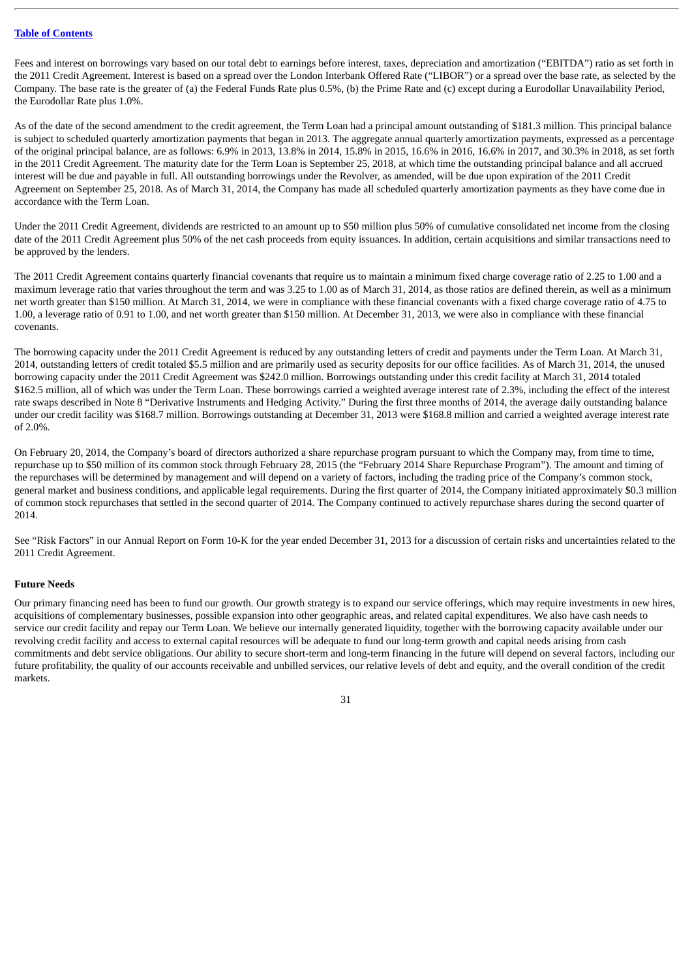Fees and interest on borrowings vary based on our total debt to earnings before interest, taxes, depreciation and amortization ("EBITDA") ratio as set forth in the 2011 Credit Agreement. Interest is based on a spread over the London Interbank Offered Rate ("LIBOR") or a spread over the base rate, as selected by the Company. The base rate is the greater of (a) the Federal Funds Rate plus 0.5%, (b) the Prime Rate and (c) except during a Eurodollar Unavailability Period, the Eurodollar Rate plus 1.0%.

As of the date of the second amendment to the credit agreement, the Term Loan had a principal amount outstanding of \$181.3 million. This principal balance is subject to scheduled quarterly amortization payments that began in 2013. The aggregate annual quarterly amortization payments, expressed as a percentage of the original principal balance, are as follows: 6.9% in 2013, 13.8% in 2014, 15.8% in 2015, 16.6% in 2016, 16.6% in 2017, and 30.3% in 2018, as set forth in the 2011 Credit Agreement. The maturity date for the Term Loan is September 25, 2018, at which time the outstanding principal balance and all accrued interest will be due and payable in full. All outstanding borrowings under the Revolver, as amended, will be due upon expiration of the 2011 Credit Agreement on September 25, 2018. As of March 31, 2014, the Company has made all scheduled quarterly amortization payments as they have come due in accordance with the Term Loan.

Under the 2011 Credit Agreement, dividends are restricted to an amount up to \$50 million plus 50% of cumulative consolidated net income from the closing date of the 2011 Credit Agreement plus 50% of the net cash proceeds from equity issuances. In addition, certain acquisitions and similar transactions need to be approved by the lenders.

The 2011 Credit Agreement contains quarterly financial covenants that require us to maintain a minimum fixed charge coverage ratio of 2.25 to 1.00 and a maximum leverage ratio that varies throughout the term and was 3.25 to 1.00 as of March 31, 2014, as those ratios are defined therein, as well as a minimum net worth greater than \$150 million. At March 31, 2014, we were in compliance with these financial covenants with a fixed charge coverage ratio of 4.75 to 1.00, a leverage ratio of 0.91 to 1.00, and net worth greater than \$150 million. At December 31, 2013, we were also in compliance with these financial covenants.

The borrowing capacity under the 2011 Credit Agreement is reduced by any outstanding letters of credit and payments under the Term Loan. At March 31, 2014, outstanding letters of credit totaled \$5.5 million and are primarily used as security deposits for our office facilities. As of March 31, 2014, the unused borrowing capacity under the 2011 Credit Agreement was \$242.0 million. Borrowings outstanding under this credit facility at March 31, 2014 totaled \$162.5 million, all of which was under the Term Loan. These borrowings carried a weighted average interest rate of 2.3%, including the effect of the interest rate swaps described in Note 8 "Derivative Instruments and Hedging Activity." During the first three months of 2014, the average daily outstanding balance under our credit facility was \$168.7 million. Borrowings outstanding at December 31, 2013 were \$168.8 million and carried a weighted average interest rate of 2.0%.

On February 20, 2014, the Company's board of directors authorized a share repurchase program pursuant to which the Company may, from time to time, repurchase up to \$50 million of its common stock through February 28, 2015 (the "February 2014 Share Repurchase Program"). The amount and timing of the repurchases will be determined by management and will depend on a variety of factors, including the trading price of the Company's common stock, general market and business conditions, and applicable legal requirements. During the first quarter of 2014, the Company initiated approximately \$0.3 million of common stock repurchases that settled in the second quarter of 2014. The Company continued to actively repurchase shares during the second quarter of 2014.

See "Risk Factors" in our Annual Report on Form 10-K for the year ended December 31, 2013 for a discussion of certain risks and uncertainties related to the 2011 Credit Agreement.

#### **Future Needs**

Our primary financing need has been to fund our growth. Our growth strategy is to expand our service offerings, which may require investments in new hires, acquisitions of complementary businesses, possible expansion into other geographic areas, and related capital expenditures. We also have cash needs to service our credit facility and repay our Term Loan. We believe our internally generated liquidity, together with the borrowing capacity available under our revolving credit facility and access to external capital resources will be adequate to fund our long-term growth and capital needs arising from cash commitments and debt service obligations. Our ability to secure short-term and long-term financing in the future will depend on several factors, including our future profitability, the quality of our accounts receivable and unbilled services, our relative levels of debt and equity, and the overall condition of the credit markets.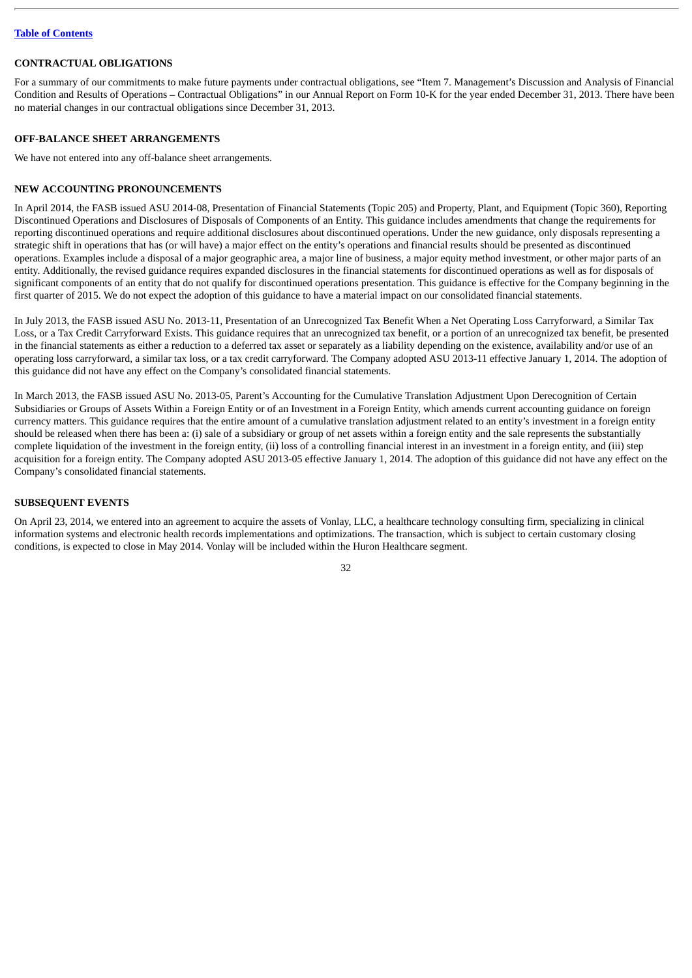## **CONTRACTUAL OBLIGATIONS**

For a summary of our commitments to make future payments under contractual obligations, see "Item 7. Management's Discussion and Analysis of Financial Condition and Results of Operations – Contractual Obligations" in our Annual Report on Form 10-K for the year ended December 31, 2013. There have been no material changes in our contractual obligations since December 31, 2013.

## **OFF-BALANCE SHEET ARRANGEMENTS**

We have not entered into any off-balance sheet arrangements.

## **NEW ACCOUNTING PRONOUNCEMENTS**

In April 2014, the FASB issued ASU 2014-08, Presentation of Financial Statements (Topic 205) and Property, Plant, and Equipment (Topic 360), Reporting Discontinued Operations and Disclosures of Disposals of Components of an Entity. This guidance includes amendments that change the requirements for reporting discontinued operations and require additional disclosures about discontinued operations. Under the new guidance, only disposals representing a strategic shift in operations that has (or will have) a major effect on the entity's operations and financial results should be presented as discontinued operations. Examples include a disposal of a major geographic area, a major line of business, a major equity method investment, or other major parts of an entity. Additionally, the revised guidance requires expanded disclosures in the financial statements for discontinued operations as well as for disposals of significant components of an entity that do not qualify for discontinued operations presentation. This guidance is effective for the Company beginning in the first quarter of 2015. We do not expect the adoption of this guidance to have a material impact on our consolidated financial statements.

In July 2013, the FASB issued ASU No. 2013-11, Presentation of an Unrecognized Tax Benefit When a Net Operating Loss Carryforward, a Similar Tax Loss, or a Tax Credit Carryforward Exists. This guidance requires that an unrecognized tax benefit, or a portion of an unrecognized tax benefit, be presented in the financial statements as either a reduction to a deferred tax asset or separately as a liability depending on the existence, availability and/or use of an operating loss carryforward, a similar tax loss, or a tax credit carryforward. The Company adopted ASU 2013-11 effective January 1, 2014. The adoption of this guidance did not have any effect on the Company's consolidated financial statements.

In March 2013, the FASB issued ASU No. 2013-05, Parent's Accounting for the Cumulative Translation Adjustment Upon Derecognition of Certain Subsidiaries or Groups of Assets Within a Foreign Entity or of an Investment in a Foreign Entity, which amends current accounting guidance on foreign currency matters. This guidance requires that the entire amount of a cumulative translation adjustment related to an entity's investment in a foreign entity should be released when there has been a: (i) sale of a subsidiary or group of net assets within a foreign entity and the sale represents the substantially complete liquidation of the investment in the foreign entity, (ii) loss of a controlling financial interest in an investment in a foreign entity, and (iii) step acquisition for a foreign entity. The Company adopted ASU 2013-05 effective January 1, 2014. The adoption of this guidance did not have any effect on the Company's consolidated financial statements.

#### **SUBSEQUENT EVENTS**

On April 23, 2014, we entered into an agreement to acquire the assets of Vonlay, LLC, a healthcare technology consulting firm, specializing in clinical information systems and electronic health records implementations and optimizations. The transaction, which is subject to certain customary closing conditions, is expected to close in May 2014. Vonlay will be included within the Huron Healthcare segment.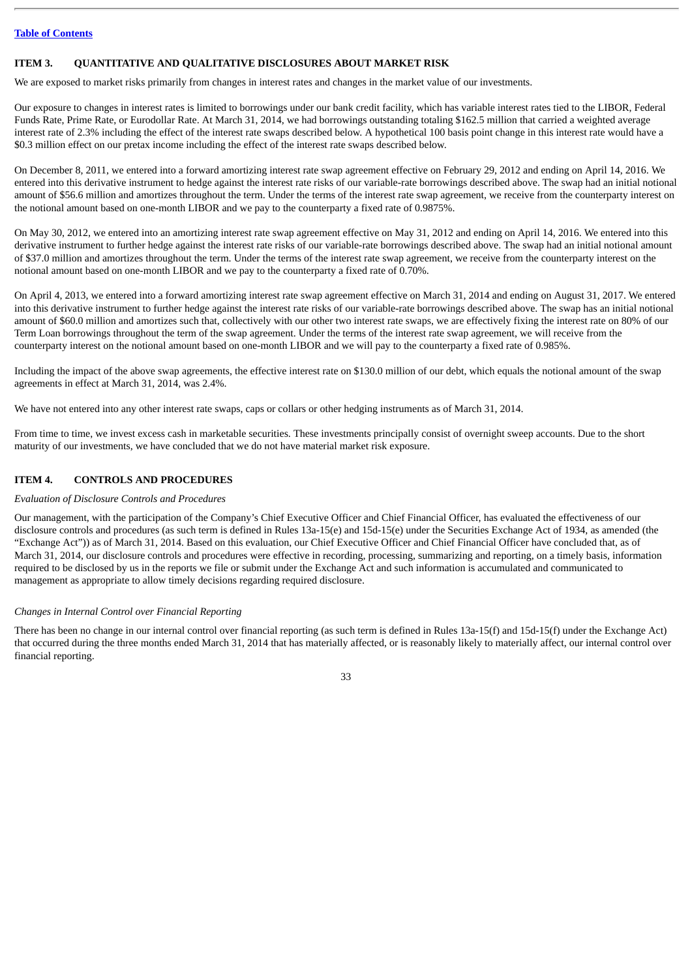## <span id="page-34-0"></span>**ITEM 3. QUANTITATIVE AND QUALITATIVE DISCLOSURES ABOUT MARKET RISK**

We are exposed to market risks primarily from changes in interest rates and changes in the market value of our investments.

Our exposure to changes in interest rates is limited to borrowings under our bank credit facility, which has variable interest rates tied to the LIBOR, Federal Funds Rate, Prime Rate, or Eurodollar Rate. At March 31, 2014, we had borrowings outstanding totaling \$162.5 million that carried a weighted average interest rate of 2.3% including the effect of the interest rate swaps described below. A hypothetical 100 basis point change in this interest rate would have a \$0.3 million effect on our pretax income including the effect of the interest rate swaps described below.

On December 8, 2011, we entered into a forward amortizing interest rate swap agreement effective on February 29, 2012 and ending on April 14, 2016. We entered into this derivative instrument to hedge against the interest rate risks of our variable-rate borrowings described above. The swap had an initial notional amount of \$56.6 million and amortizes throughout the term. Under the terms of the interest rate swap agreement, we receive from the counterparty interest on the notional amount based on one-month LIBOR and we pay to the counterparty a fixed rate of 0.9875%.

On May 30, 2012, we entered into an amortizing interest rate swap agreement effective on May 31, 2012 and ending on April 14, 2016. We entered into this derivative instrument to further hedge against the interest rate risks of our variable-rate borrowings described above. The swap had an initial notional amount of \$37.0 million and amortizes throughout the term. Under the terms of the interest rate swap agreement, we receive from the counterparty interest on the notional amount based on one-month LIBOR and we pay to the counterparty a fixed rate of 0.70%.

On April 4, 2013, we entered into a forward amortizing interest rate swap agreement effective on March 31, 2014 and ending on August 31, 2017. We entered into this derivative instrument to further hedge against the interest rate risks of our variable-rate borrowings described above. The swap has an initial notional amount of \$60.0 million and amortizes such that, collectively with our other two interest rate swaps, we are effectively fixing the interest rate on 80% of our Term Loan borrowings throughout the term of the swap agreement. Under the terms of the interest rate swap agreement, we will receive from the counterparty interest on the notional amount based on one-month LIBOR and we will pay to the counterparty a fixed rate of 0.985%.

Including the impact of the above swap agreements, the effective interest rate on \$130.0 million of our debt, which equals the notional amount of the swap agreements in effect at March 31, 2014, was 2.4%.

We have not entered into any other interest rate swaps, caps or collars or other hedging instruments as of March 31, 2014.

From time to time, we invest excess cash in marketable securities. These investments principally consist of overnight sweep accounts. Due to the short maturity of our investments, we have concluded that we do not have material market risk exposure.

#### <span id="page-34-1"></span>**ITEM 4. CONTROLS AND PROCEDURES**

#### *Evaluation of Disclosure Controls and Procedures*

Our management, with the participation of the Company's Chief Executive Officer and Chief Financial Officer, has evaluated the effectiveness of our disclosure controls and procedures (as such term is defined in Rules 13a-15(e) and 15d-15(e) under the Securities Exchange Act of 1934, as amended (the "Exchange Act")) as of March 31, 2014. Based on this evaluation, our Chief Executive Officer and Chief Financial Officer have concluded that, as of March 31, 2014, our disclosure controls and procedures were effective in recording, processing, summarizing and reporting, on a timely basis, information required to be disclosed by us in the reports we file or submit under the Exchange Act and such information is accumulated and communicated to management as appropriate to allow timely decisions regarding required disclosure.

#### *Changes in Internal Control over Financial Reporting*

There has been no change in our internal control over financial reporting (as such term is defined in Rules 13a-15(f) and 15d-15(f) under the Exchange Act) that occurred during the three months ended March 31, 2014 that has materially affected, or is reasonably likely to materially affect, our internal control over financial reporting.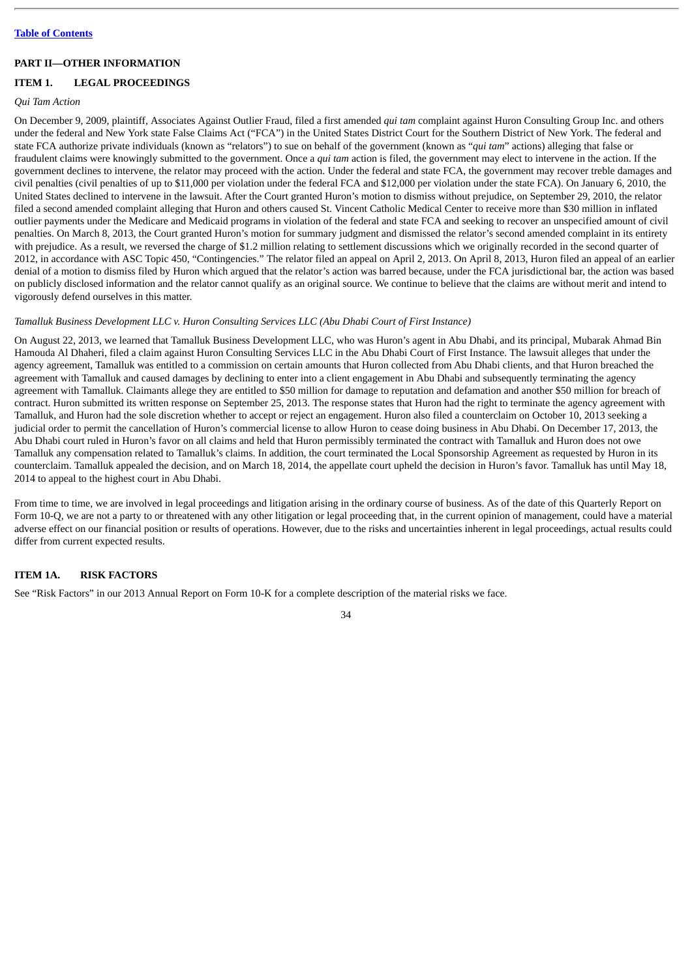## <span id="page-35-0"></span>**PART II—OTHER INFORMATION**

## <span id="page-35-1"></span>**ITEM 1. LEGAL PROCEEDINGS**

## *Qui Tam Action*

On December 9, 2009, plaintiff, Associates Against Outlier Fraud, filed a first amended *qui tam* complaint against Huron Consulting Group Inc. and others under the federal and New York state False Claims Act ("FCA") in the United States District Court for the Southern District of New York. The federal and state FCA authorize private individuals (known as "relators") to sue on behalf of the government (known as "*qui tam*" actions) alleging that false or fraudulent claims were knowingly submitted to the government. Once a *qui tam* action is filed, the government may elect to intervene in the action. If the government declines to intervene, the relator may proceed with the action. Under the federal and state FCA, the government may recover treble damages and civil penalties (civil penalties of up to \$11,000 per violation under the federal FCA and \$12,000 per violation under the state FCA). On January 6, 2010, the United States declined to intervene in the lawsuit. After the Court granted Huron's motion to dismiss without prejudice, on September 29, 2010, the relator filed a second amended complaint alleging that Huron and others caused St. Vincent Catholic Medical Center to receive more than \$30 million in inflated outlier payments under the Medicare and Medicaid programs in violation of the federal and state FCA and seeking to recover an unspecified amount of civil penalties. On March 8, 2013, the Court granted Huron's motion for summary judgment and dismissed the relator's second amended complaint in its entirety with prejudice. As a result, we reversed the charge of \$1.2 million relating to settlement discussions which we originally recorded in the second quarter of 2012, in accordance with ASC Topic 450, "Contingencies." The relator filed an appeal on April 2, 2013. On April 8, 2013, Huron filed an appeal of an earlier denial of a motion to dismiss filed by Huron which argued that the relator's action was barred because, under the FCA jurisdictional bar, the action was based on publicly disclosed information and the relator cannot qualify as an original source. We continue to believe that the claims are without merit and intend to vigorously defend ourselves in this matter.

#### *Tamalluk Business Development LLC v. Huron Consulting Services LLC (Abu Dhabi Court of First Instance)*

On August 22, 2013, we learned that Tamalluk Business Development LLC, who was Huron's agent in Abu Dhabi, and its principal, Mubarak Ahmad Bin Hamouda Al Dhaheri, filed a claim against Huron Consulting Services LLC in the Abu Dhabi Court of First Instance. The lawsuit alleges that under the agency agreement, Tamalluk was entitled to a commission on certain amounts that Huron collected from Abu Dhabi clients, and that Huron breached the agreement with Tamalluk and caused damages by declining to enter into a client engagement in Abu Dhabi and subsequently terminating the agency agreement with Tamalluk. Claimants allege they are entitled to \$50 million for damage to reputation and defamation and another \$50 million for breach of contract. Huron submitted its written response on September 25, 2013. The response states that Huron had the right to terminate the agency agreement with Tamalluk, and Huron had the sole discretion whether to accept or reject an engagement. Huron also filed a counterclaim on October 10, 2013 seeking a judicial order to permit the cancellation of Huron's commercial license to allow Huron to cease doing business in Abu Dhabi. On December 17, 2013, the Abu Dhabi court ruled in Huron's favor on all claims and held that Huron permissibly terminated the contract with Tamalluk and Huron does not owe Tamalluk any compensation related to Tamalluk's claims. In addition, the court terminated the Local Sponsorship Agreement as requested by Huron in its counterclaim. Tamalluk appealed the decision, and on March 18, 2014, the appellate court upheld the decision in Huron's favor. Tamalluk has until May 18, 2014 to appeal to the highest court in Abu Dhabi.

From time to time, we are involved in legal proceedings and litigation arising in the ordinary course of business. As of the date of this Quarterly Report on Form 10-Q, we are not a party to or threatened with any other litigation or legal proceeding that, in the current opinion of management, could have a material adverse effect on our financial position or results of operations. However, due to the risks and uncertainties inherent in legal proceedings, actual results could differ from current expected results.

#### <span id="page-35-2"></span>**ITEM 1A. RISK FACTORS**

See "Risk Factors" in our 2013 Annual Report on Form 10-K for a complete description of the material risks we face.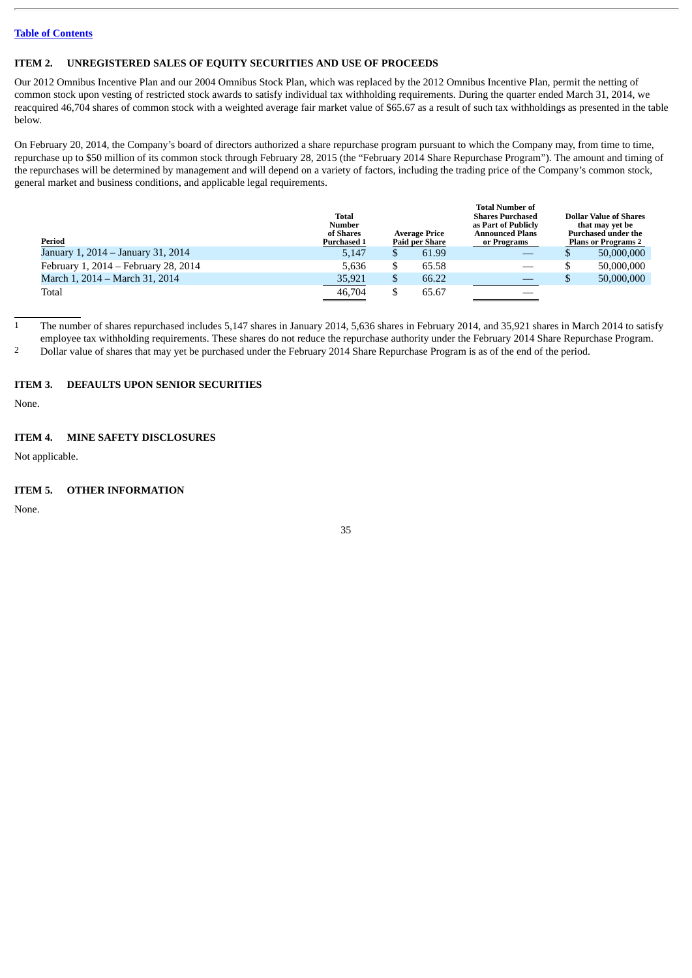#### <span id="page-36-0"></span>**ITEM 2. UNREGISTERED SALES OF EQUITY SECURITIES AND USE OF PROCEEDS**

Our 2012 Omnibus Incentive Plan and our 2004 Omnibus Stock Plan, which was replaced by the 2012 Omnibus Incentive Plan, permit the netting of common stock upon vesting of restricted stock awards to satisfy individual tax withholding requirements. During the quarter ended March 31, 2014, we reacquired 46,704 shares of common stock with a weighted average fair market value of \$65.67 as a result of such tax withholdings as presented in the table below.

On February 20, 2014, the Company's board of directors authorized a share repurchase program pursuant to which the Company may, from time to time, repurchase up to \$50 million of its common stock through February 28, 2015 (the "February 2014 Share Repurchase Program"). The amount and timing of the repurchases will be determined by management and will depend on a variety of factors, including the trading price of the Company's common stock, general market and business conditions, and applicable legal requirements.

| Period                               | Total<br><b>Number</b><br>of Shares<br>Purchased 1 | <b>Average Price</b><br>Paid per Share |       | <b>Total Number of</b><br><b>Shares Purchased</b><br>as Part of Publicly<br><b>Announced Plans</b><br>or Programs | <b>Dollar Value of Shares</b><br>that may yet be<br>Purchased under the<br><b>Plans or Programs 2</b> |
|--------------------------------------|----------------------------------------------------|----------------------------------------|-------|-------------------------------------------------------------------------------------------------------------------|-------------------------------------------------------------------------------------------------------|
| January 1, 2014 - January 31, 2014   | 5.147                                              | D                                      | 61.99 |                                                                                                                   | 50,000,000                                                                                            |
| February 1, 2014 – February 28, 2014 | 5.636                                              |                                        | 65.58 |                                                                                                                   | 50,000,000                                                                                            |
| March 1, 2014 – March 31, 2014       | 35,921                                             | D                                      | 66.22 |                                                                                                                   | 50,000,000                                                                                            |
| Total                                | 46,704                                             |                                        | 65.67 |                                                                                                                   |                                                                                                       |

1 The number of shares repurchased includes 5,147 shares in January 2014, 5,636 shares in February 2014, and 35,921 shares in March 2014 to satisfy employee tax withholding requirements. These shares do not reduce the repurchase authority under the February 2014 Share Repurchase Program.

2 Dollar value of shares that may yet be purchased under the February 2014 Share Repurchase Program is as of the end of the period.

#### <span id="page-36-1"></span>**ITEM 3. DEFAULTS UPON SENIOR SECURITIES**

None.

## <span id="page-36-2"></span>**ITEM 4. MINE SAFETY DISCLOSURES**

Not applicable.

## <span id="page-36-3"></span>**ITEM 5. OTHER INFORMATION**

None.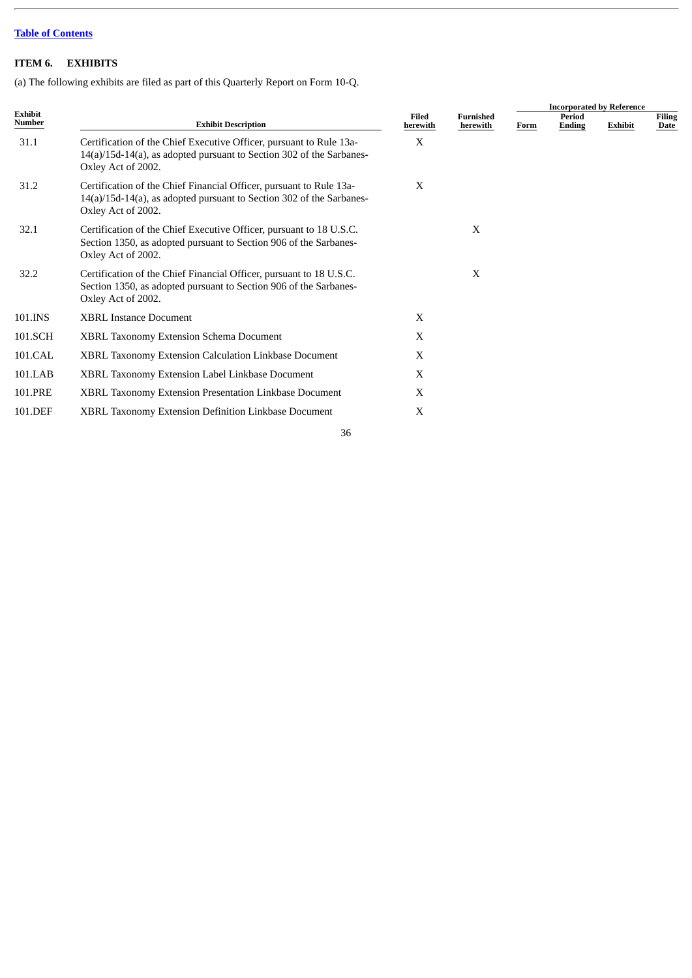## <span id="page-37-0"></span>**ITEM 6. EXHIBITS**

(a) The following exhibits are filed as part of this Quarterly Report on Form 10-Q.

|                          |                                                                                                                                                                   |                          |                              |      | <b>Incorporated by Reference</b> |                |                       |  |  |
|--------------------------|-------------------------------------------------------------------------------------------------------------------------------------------------------------------|--------------------------|------------------------------|------|----------------------------------|----------------|-----------------------|--|--|
| <b>Exhibit</b><br>Number | <b>Exhibit Description</b>                                                                                                                                        | <b>Filed</b><br>herewith | <b>Furnished</b><br>herewith | Form | Period<br><b>Ending</b>          | <b>Exhibit</b> | <b>Filing</b><br>Date |  |  |
| 31.1                     | Certification of the Chief Executive Officer, pursuant to Rule 13a-<br>14(a)/15d-14(a), as adopted pursuant to Section 302 of the Sarbanes-<br>Oxley Act of 2002. | X                        |                              |      |                                  |                |                       |  |  |
| 31.2                     | Certification of the Chief Financial Officer, pursuant to Rule 13a-<br>14(a)/15d-14(a), as adopted pursuant to Section 302 of the Sarbanes-<br>Oxley Act of 2002. | X                        |                              |      |                                  |                |                       |  |  |
| 32.1                     | Certification of the Chief Executive Officer, pursuant to 18 U.S.C.<br>Section 1350, as adopted pursuant to Section 906 of the Sarbanes-<br>Oxley Act of 2002.    |                          | X                            |      |                                  |                |                       |  |  |
| 32.2                     | Certification of the Chief Financial Officer, pursuant to 18 U.S.C.<br>Section 1350, as adopted pursuant to Section 906 of the Sarbanes-<br>Oxley Act of 2002.    |                          | X                            |      |                                  |                |                       |  |  |
| 101.INS                  | <b>XBRL Instance Document</b>                                                                                                                                     | X                        |                              |      |                                  |                |                       |  |  |
| 101.SCH                  | <b>XBRL Taxonomy Extension Schema Document</b>                                                                                                                    | X                        |                              |      |                                  |                |                       |  |  |
| 101.CAL                  | <b>XBRL Taxonomy Extension Calculation Linkbase Document</b>                                                                                                      | X                        |                              |      |                                  |                |                       |  |  |
| 101.LAB                  | XBRL Taxonomy Extension Label Linkbase Document                                                                                                                   | X                        |                              |      |                                  |                |                       |  |  |
| 101.PRE                  | XBRL Taxonomy Extension Presentation Linkbase Document                                                                                                            | X                        |                              |      |                                  |                |                       |  |  |
| 101.DEF                  | XBRL Taxonomy Extension Definition Linkbase Document                                                                                                              | X                        |                              |      |                                  |                |                       |  |  |
|                          | 36                                                                                                                                                                |                          |                              |      |                                  |                |                       |  |  |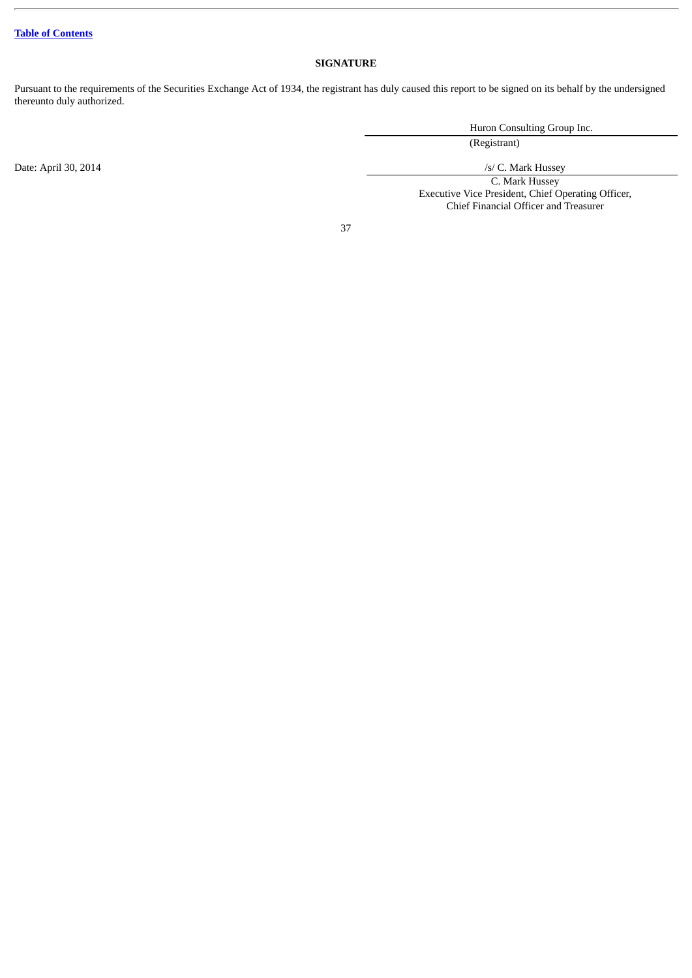## **SIGNATURE**

<span id="page-38-0"></span>Pursuant to the requirements of the Securities Exchange Act of 1934, the registrant has duly caused this report to be signed on its behalf by the undersigned thereunto duly authorized.

Huron Consulting Group Inc.

(Registrant)

Date: April 30, 2014 /s/ C. Mark Hussey

C. Mark Hussey Executive Vice President, Chief Operating Officer, Chief Financial Officer and Treasurer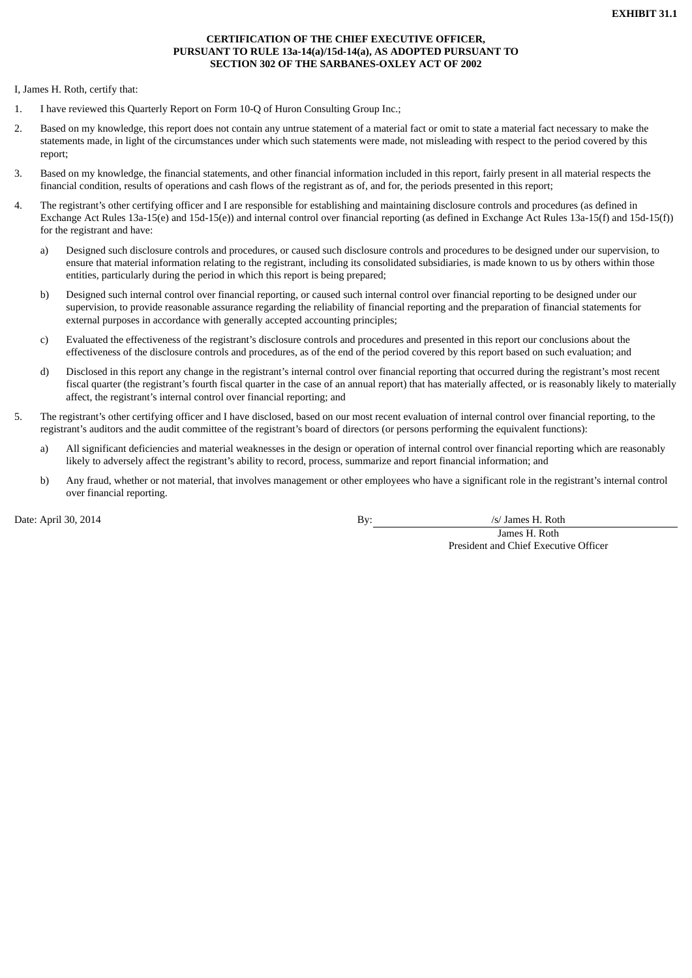#### **CERTIFICATION OF THE CHIEF EXECUTIVE OFFICER, PURSUANT TO RULE 13a-14(a)/15d-14(a), AS ADOPTED PURSUANT TO SECTION 302 OF THE SARBANES-OXLEY ACT OF 2002**

I, James H. Roth, certify that:

- 1. I have reviewed this Quarterly Report on Form 10-Q of Huron Consulting Group Inc.;
- 2. Based on my knowledge, this report does not contain any untrue statement of a material fact or omit to state a material fact necessary to make the statements made, in light of the circumstances under which such statements were made, not misleading with respect to the period covered by this report;
- 3. Based on my knowledge, the financial statements, and other financial information included in this report, fairly present in all material respects the financial condition, results of operations and cash flows of the registrant as of, and for, the periods presented in this report;
- 4. The registrant's other certifying officer and I are responsible for establishing and maintaining disclosure controls and procedures (as defined in Exchange Act Rules 13a-15(e) and 15d-15(e)) and internal control over financial reporting (as defined in Exchange Act Rules 13a-15(f) and 15d-15(f)) for the registrant and have:
	- a) Designed such disclosure controls and procedures, or caused such disclosure controls and procedures to be designed under our supervision, to ensure that material information relating to the registrant, including its consolidated subsidiaries, is made known to us by others within those entities, particularly during the period in which this report is being prepared;
	- b) Designed such internal control over financial reporting, or caused such internal control over financial reporting to be designed under our supervision, to provide reasonable assurance regarding the reliability of financial reporting and the preparation of financial statements for external purposes in accordance with generally accepted accounting principles;
	- c) Evaluated the effectiveness of the registrant's disclosure controls and procedures and presented in this report our conclusions about the effectiveness of the disclosure controls and procedures, as of the end of the period covered by this report based on such evaluation; and
	- d) Disclosed in this report any change in the registrant's internal control over financial reporting that occurred during the registrant's most recent fiscal quarter (the registrant's fourth fiscal quarter in the case of an annual report) that has materially affected, or is reasonably likely to materially affect, the registrant's internal control over financial reporting; and
- 5. The registrant's other certifying officer and I have disclosed, based on our most recent evaluation of internal control over financial reporting, to the registrant's auditors and the audit committee of the registrant's board of directors (or persons performing the equivalent functions):
	- a) All significant deficiencies and material weaknesses in the design or operation of internal control over financial reporting which are reasonably likely to adversely affect the registrant's ability to record, process, summarize and report financial information; and
	- b) Any fraud, whether or not material, that involves management or other employees who have a significant role in the registrant's internal control over financial reporting.

Date: April 30, 2014 **By:** /s/ James H. Roth

James H. Roth President and Chief Executive Officer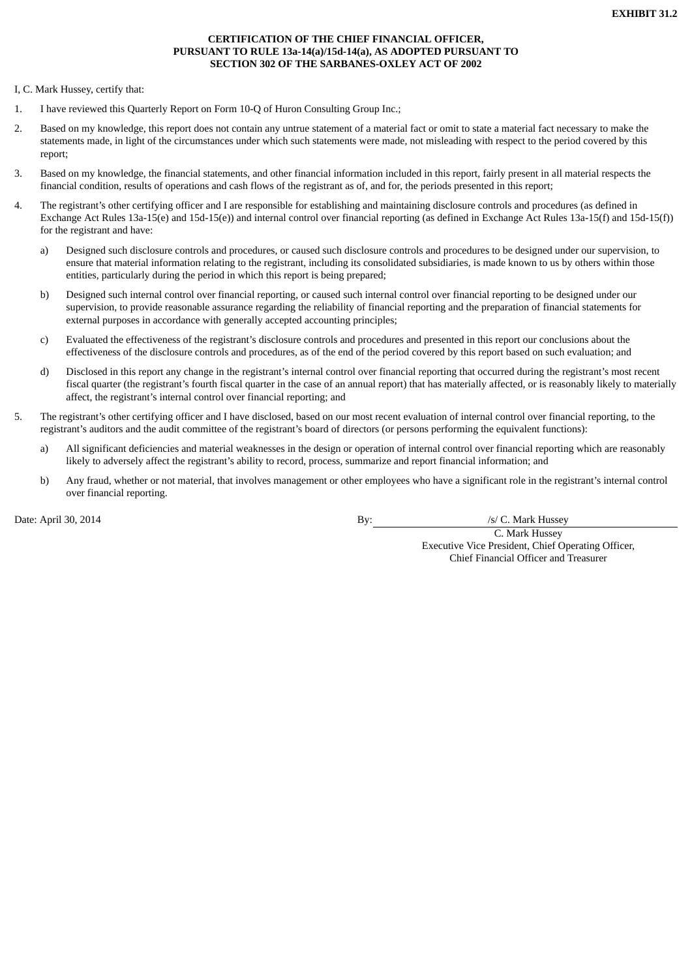#### **CERTIFICATION OF THE CHIEF FINANCIAL OFFICER, PURSUANT TO RULE 13a-14(a)/15d-14(a), AS ADOPTED PURSUANT TO SECTION 302 OF THE SARBANES-OXLEY ACT OF 2002**

I, C. Mark Hussey, certify that:

- 1. I have reviewed this Quarterly Report on Form 10-Q of Huron Consulting Group Inc.;
- 2. Based on my knowledge, this report does not contain any untrue statement of a material fact or omit to state a material fact necessary to make the statements made, in light of the circumstances under which such statements were made, not misleading with respect to the period covered by this report;
- 3. Based on my knowledge, the financial statements, and other financial information included in this report, fairly present in all material respects the financial condition, results of operations and cash flows of the registrant as of, and for, the periods presented in this report;
- 4. The registrant's other certifying officer and I are responsible for establishing and maintaining disclosure controls and procedures (as defined in Exchange Act Rules 13a-15(e) and 15d-15(e)) and internal control over financial reporting (as defined in Exchange Act Rules 13a-15(f) and 15d-15(f)) for the registrant and have:
	- a) Designed such disclosure controls and procedures, or caused such disclosure controls and procedures to be designed under our supervision, to ensure that material information relating to the registrant, including its consolidated subsidiaries, is made known to us by others within those entities, particularly during the period in which this report is being prepared;
	- b) Designed such internal control over financial reporting, or caused such internal control over financial reporting to be designed under our supervision, to provide reasonable assurance regarding the reliability of financial reporting and the preparation of financial statements for external purposes in accordance with generally accepted accounting principles;
	- c) Evaluated the effectiveness of the registrant's disclosure controls and procedures and presented in this report our conclusions about the effectiveness of the disclosure controls and procedures, as of the end of the period covered by this report based on such evaluation; and
	- d) Disclosed in this report any change in the registrant's internal control over financial reporting that occurred during the registrant's most recent fiscal quarter (the registrant's fourth fiscal quarter in the case of an annual report) that has materially affected, or is reasonably likely to materially affect, the registrant's internal control over financial reporting; and
- 5. The registrant's other certifying officer and I have disclosed, based on our most recent evaluation of internal control over financial reporting, to the registrant's auditors and the audit committee of the registrant's board of directors (or persons performing the equivalent functions):
	- a) All significant deficiencies and material weaknesses in the design or operation of internal control over financial reporting which are reasonably likely to adversely affect the registrant's ability to record, process, summarize and report financial information; and
	- b) Any fraud, whether or not material, that involves management or other employees who have a significant role in the registrant's internal control over financial reporting.

Date: April 30, 2014 <br>By: /s/ C. Mark Hussey

C. Mark Hussey Executive Vice President, Chief Operating Officer, Chief Financial Officer and Treasurer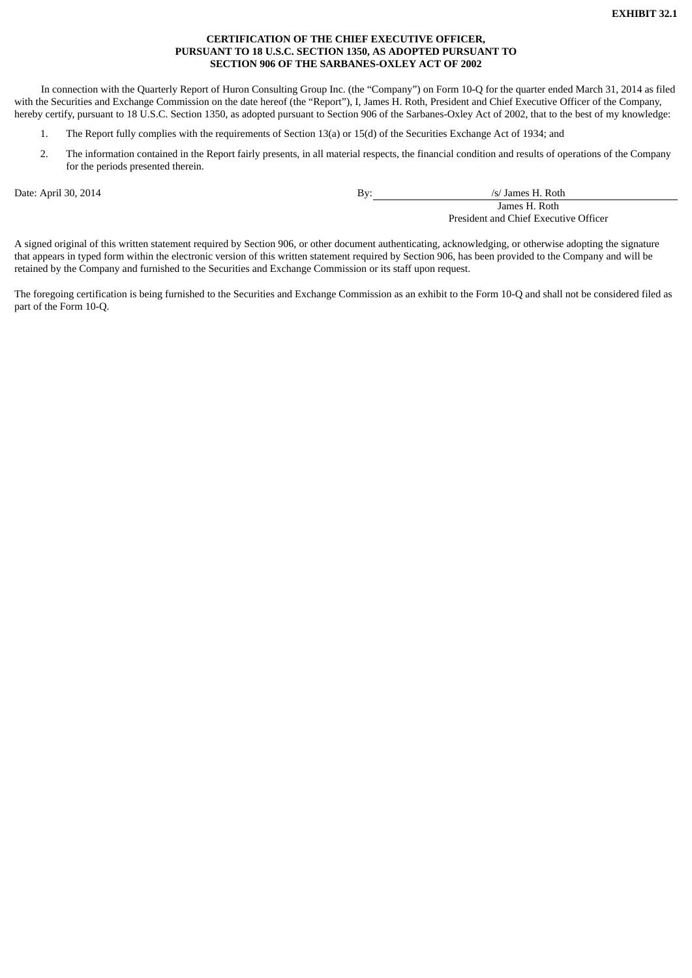#### **CERTIFICATION OF THE CHIEF EXECUTIVE OFFICER, PURSUANT TO 18 U.S.C. SECTION 1350, AS ADOPTED PURSUANT TO SECTION 906 OF THE SARBANES-OXLEY ACT OF 2002**

In connection with the Quarterly Report of Huron Consulting Group Inc. (the "Company") on Form 10-Q for the quarter ended March 31, 2014 as filed with the Securities and Exchange Commission on the date hereof (the "Report"), I, James H. Roth, President and Chief Executive Officer of the Company, hereby certify, pursuant to 18 U.S.C. Section 1350, as adopted pursuant to Section 906 of the Sarbanes-Oxley Act of 2002, that to the best of my knowledge:

- 1. The Report fully complies with the requirements of Section 13(a) or 15(d) of the Securities Exchange Act of 1934; and
- 2. The information contained in the Report fairly presents, in all material respects, the financial condition and results of operations of the Company for the periods presented therein.

Date: April 30, 2014 **By:** /s/ James H. Roth

James H. Roth President and Chief Executive Officer

A signed original of this written statement required by Section 906, or other document authenticating, acknowledging, or otherwise adopting the signature that appears in typed form within the electronic version of this written statement required by Section 906, has been provided to the Company and will be retained by the Company and furnished to the Securities and Exchange Commission or its staff upon request.

The foregoing certification is being furnished to the Securities and Exchange Commission as an exhibit to the Form 10-Q and shall not be considered filed as part of the Form 10-Q.